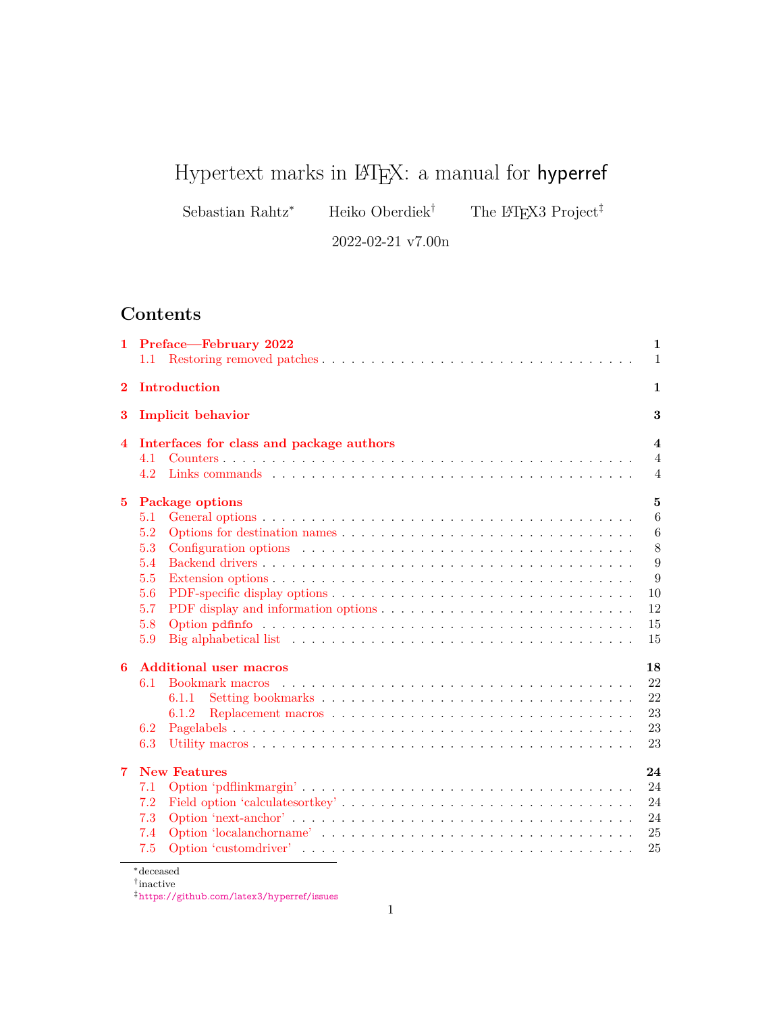# Hypertext marks in  $\mathbb{F}E[X: a$  manual for hyperref

Sebastian Rahtz\* Heiko Oberdiek<sup>†</sup> The LATEX3 Project<sup>‡</sup>

2022-02-21 v7.00n

# **Contents**

| 1.          | Preface—February 2022                                                                                                                                                                                      | 1<br>$\mathbf{1}$                                                 |
|-------------|------------------------------------------------------------------------------------------------------------------------------------------------------------------------------------------------------------|-------------------------------------------------------------------|
| $\bf{2}$    | Introduction                                                                                                                                                                                               | 1                                                                 |
| 3           | <b>Implicit behavior</b>                                                                                                                                                                                   | 3                                                                 |
| 4           | Interfaces for class and package authors<br>4.1<br>4.2                                                                                                                                                     | $\overline{\mathbf{4}}$<br>$\overline{4}$<br>$\overline{4}$       |
| $5^{\circ}$ | <b>Package options</b><br>5.1<br>5.2<br>5.3<br>5.4<br>5.5<br>5.6<br>5.7<br>5.8<br>Big alphabetical list $\dots \dots \dots \dots \dots \dots \dots \dots \dots \dots \dots \dots \dots \dots \dots$<br>5.9 | $\mathbf{5}$<br>6<br>6<br>$8\,$<br>9<br>9<br>10<br>12<br>15<br>15 |
| 6           | <b>Additional user macros</b><br>6.1<br>6.1.1<br>6.1.2<br>6.2<br>6.3                                                                                                                                       | 18<br>22<br>22<br>23<br>23<br>23                                  |
| 7           | <b>New Features</b><br>7.1<br>7.2<br>7.3<br>7.4<br>7.5                                                                                                                                                     | 24<br>24<br>24<br>24<br>25<br>25                                  |

<sup>∗</sup>deceased

<sup>†</sup> inactive

<sup>‡</sup><https://github.com/latex3/hyperref/issues>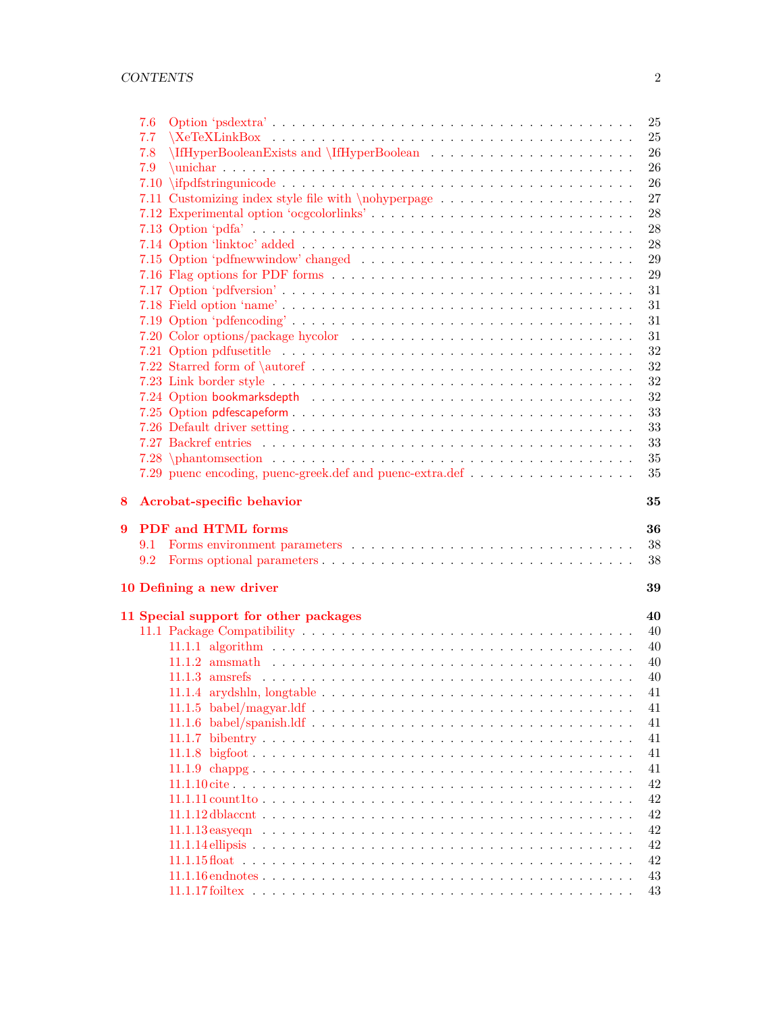|   | 7.6 |                                          | 25       |
|---|-----|------------------------------------------|----------|
|   | 7.7 | $\{XeTeXLinkBox$                         | 25       |
|   | 7.8 |                                          | 26       |
|   | 7.9 |                                          | 26       |
|   |     |                                          | 26       |
|   |     |                                          | 27       |
|   |     | 7.12 Experimental option 'ocgcolorlinks' | 28       |
|   |     |                                          | 28       |
|   |     |                                          | 28       |
|   |     |                                          | 29       |
|   |     |                                          | 29       |
|   |     |                                          | 31       |
|   |     |                                          | 31       |
|   |     |                                          | 31       |
|   |     |                                          | 31       |
|   |     |                                          | 32       |
|   |     |                                          | $32\,$   |
|   |     |                                          | $32\,$   |
|   |     |                                          | $32\,$   |
|   |     |                                          | 33       |
|   |     |                                          | 33       |
|   |     |                                          | 33       |
|   |     |                                          | 35       |
|   |     |                                          | 35       |
|   |     |                                          |          |
| 8 |     | Acrobat-specific behavior                | 35       |
| 9 |     | <b>PDF</b> and <b>HTML</b> forms         | 36       |
|   | 9.1 |                                          | 38       |
|   | 9.2 |                                          | 38       |
|   |     |                                          |          |
|   |     |                                          |          |
|   |     | 10 Defining a new driver                 | 39       |
|   |     | 11 Special support for other packages    | 40       |
|   |     |                                          | 40       |
|   |     |                                          | 40       |
|   |     |                                          | 40       |
|   |     |                                          | 40       |
|   |     |                                          | 41       |
|   |     |                                          | 41       |
|   |     |                                          | 41       |
|   |     |                                          | 41       |
|   |     |                                          | 41       |
|   |     |                                          | 41       |
|   |     |                                          |          |
|   |     |                                          | 42<br>42 |
|   |     |                                          |          |
|   |     |                                          | 42       |
|   |     |                                          | 42       |
|   |     |                                          | 42       |
|   |     |                                          | 42<br>43 |
|   |     |                                          | 43       |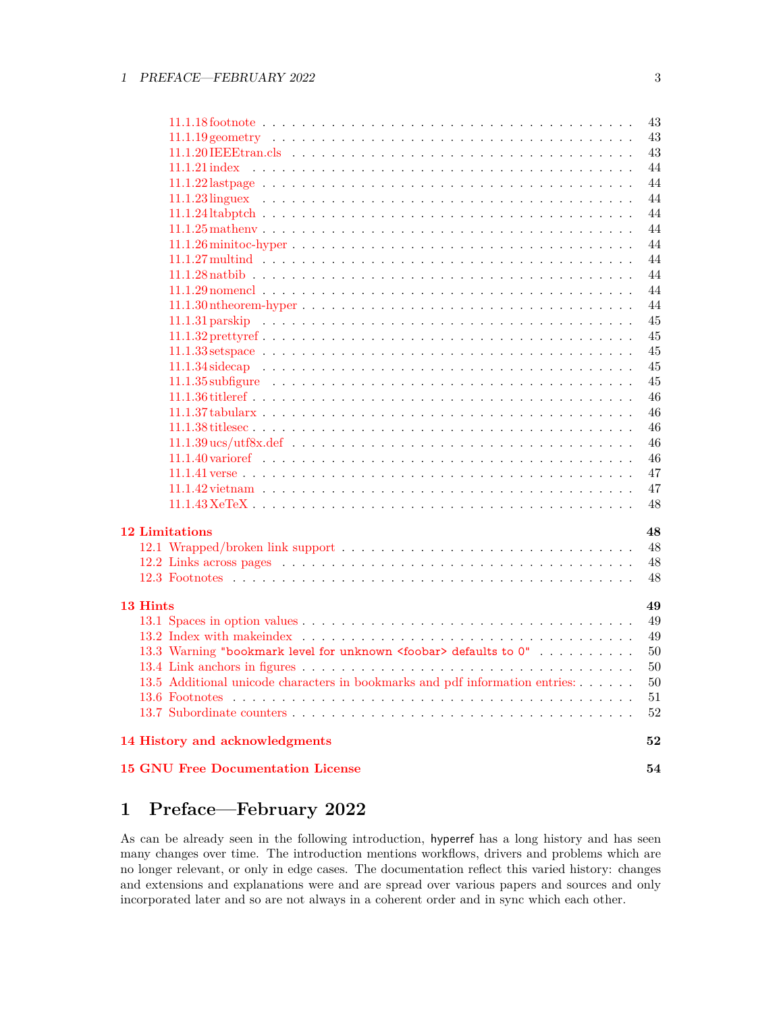|                                                                              | 43 |
|------------------------------------------------------------------------------|----|
|                                                                              | 43 |
|                                                                              | 43 |
|                                                                              | 44 |
|                                                                              | 44 |
|                                                                              | 44 |
|                                                                              | 44 |
|                                                                              | 44 |
|                                                                              | 44 |
|                                                                              | 44 |
|                                                                              | 44 |
|                                                                              | 44 |
|                                                                              | 44 |
|                                                                              | 45 |
|                                                                              | 45 |
|                                                                              | 45 |
|                                                                              | 45 |
|                                                                              | 45 |
|                                                                              | 46 |
|                                                                              | 46 |
|                                                                              | 46 |
|                                                                              | 46 |
|                                                                              |    |
|                                                                              | 46 |
|                                                                              | 47 |
|                                                                              | 47 |
|                                                                              | 48 |
| <b>12 Limitations</b>                                                        | 48 |
|                                                                              | 48 |
|                                                                              | 48 |
|                                                                              | 48 |
|                                                                              |    |
| 13 Hints                                                                     | 49 |
|                                                                              | 49 |
|                                                                              | 49 |
| 13.3 Warning "bookmark level for unknown <foobar> defaults to 0"</foobar>    | 50 |
|                                                                              | 50 |
| 13.5 Additional unicode characters in bookmarks and pdf information entries: | 50 |
|                                                                              | 51 |
|                                                                              | 52 |
|                                                                              |    |
| 14 History and acknowledgments                                               | 52 |
| <b>15 GNU Free Documentation License</b>                                     | 54 |

# <span id="page-2-0"></span>**1 Preface—February 2022**

As can be already seen in the following introduction, hyperref has a long history and has seen many changes over time. The introduction mentions workflows, drivers and problems which are no longer relevant, or only in edge cases. The documentation reflect this varied history: changes and extensions and explanations were and are spread over various papers and sources and only incorporated later and so are not always in a coherent order and in sync which each other.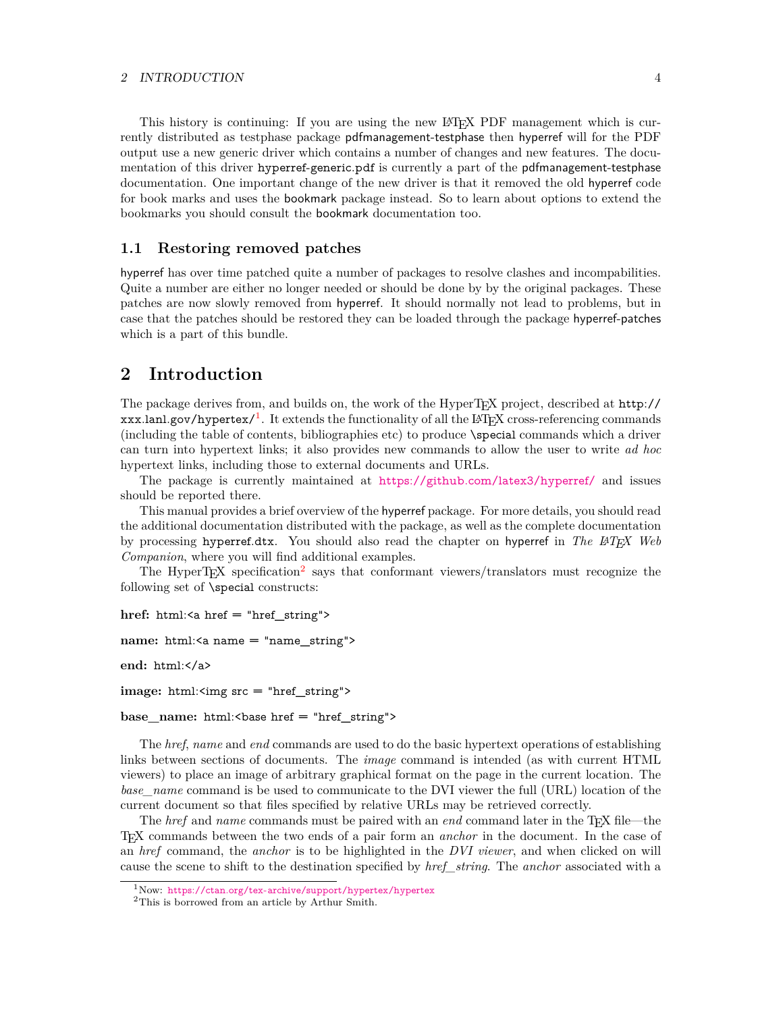### 2 INTRODUCTION 4

This history is continuing: If you are using the new LATEX PDF management which is currently distributed as testphase package pdfmanagement-testphase then hyperref will for the PDF output use a new generic driver which contains a number of changes and new features. The documentation of this driver hyperref-generic.pdf is currently a part of the pdfmanagement-testphase documentation. One important change of the new driver is that it removed the old hyperref code for book marks and uses the bookmark package instead. So to learn about options to extend the bookmarks you should consult the bookmark documentation too.

### <span id="page-3-0"></span>**1.1 Restoring removed patches**

hyperref has over time patched quite a number of packages to resolve clashes and incompabilities. Quite a number are either no longer needed or should be done by by the original packages. These patches are now slowly removed from hyperref. It should normally not lead to problems, but in case that the patches should be restored they can be loaded through the package hyperref-patches which is a part of this bundle.

# <span id="page-3-1"></span>**2 Introduction**

The package derives from, and builds on, the work of the HyperTEX project, described at http://  $xxx.lanl.gov/hypertext/$ <sup>[1](#page-3-2)</sup>. It extends the functionality of all the LAT<sub>E</sub>X cross-referencing commands (including the table of contents, bibliographies etc) to produce \special commands which a driver can turn into hypertext links; it also provides new commands to allow the user to write *ad hoc* hypertext links, including those to external documents and URLs.

The package is currently maintained at <https://github.com/latex3/hyperref/> and issues should be reported there.

This manual provides a brief overview of the hyperref package. For more details, you should read the additional documentation distributed with the package, as well as the complete documentation by processing hyperref.dtx. You should also read the chapter on hyperref in *The LATEX Web Companion*, where you will find additional examples.

The HyperT<sub>E</sub>X specification<sup>[2](#page-3-3)</sup> says that conformant viewers/translators must recognize the following set of \special constructs:

```
href: html:<a href = "href_string">
```

```
name: html:<a name = "name_string">
```

```
end: html:</a>
```
**image:** html:<img src = "href\_string">

base\_name: html:<br/>base href = "href\_string">

The *href*, *name* and *end* commands are used to do the basic hypertext operations of establishing links between sections of documents. The *image* command is intended (as with current HTML viewers) to place an image of arbitrary graphical format on the page in the current location. The *base\_name* command is be used to communicate to the DVI viewer the full (URL) location of the current document so that files specified by relative URLs may be retrieved correctly.

The *href* and *name* commands must be paired with an *end* command later in the T<sub>E</sub>X file—the TEX commands between the two ends of a pair form an *anchor* in the document. In the case of an *href* command, the *anchor* is to be highlighted in the *DVI viewer*, and when clicked on will cause the scene to shift to the destination specified by *href\_string*. The *anchor* associated with a

<span id="page-3-2"></span><sup>1</sup>Now: <https://ctan.org/tex-archive/support/hypertex/hypertex>

<span id="page-3-3"></span><sup>2</sup>This is borrowed from an article by Arthur Smith.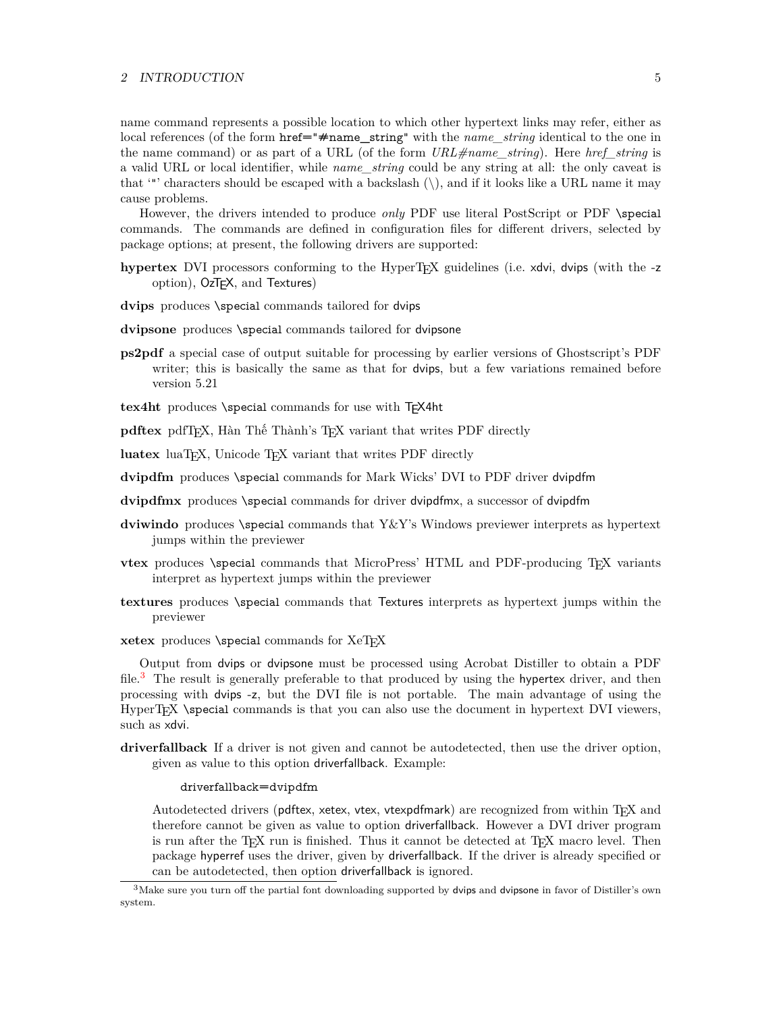### 2 INTRODUCTION 5

name command represents a possible location to which other hypertext links may refer, either as local references (of the form href="#name\_string" with the *name\_string* identical to the one in the name command) or as part of a URL (of the form *URL#name\_string*). Here *href\_string* is a valid URL or local identifier, while *name\_string* could be any string at all: the only caveat is that '"' characters should be escaped with a backslash  $(\cdot)$ , and if it looks like a URL name it may cause problems.

However, the drivers intended to produce *only* PDF use literal PostScript or PDF \special commands. The commands are defined in configuration files for different drivers, selected by package options; at present, the following drivers are supported:

- **hypertex** DVI processors conforming to the HyperTEX guidelines (i.e. xdvi, dvips (with the -z option), OzTEX, and Textures)
- **dvips** produces \special commands tailored for dvips
- **dvipsone** produces \special commands tailored for dvipsone
- **ps2pdf** a special case of output suitable for processing by earlier versions of Ghostscript's PDF writer; this is basically the same as that for dvips, but a few variations remained before version 5.21
- tex4ht produces *\special commands* for use with T<sub>F</sub>X4ht

**pdftex** pdfT<sub>E</sub>X, Hàn Thế Thành's T<sub>E</sub>X variant that writes PDF directly

- luatex luaT<sub>E</sub>X, Unicode T<sub>E</sub>X variant that writes PDF directly
- **dvipdfm** produces \special commands for Mark Wicks' DVI to PDF driver dvipdfm
- **dvipdfmx** produces \special commands for driver dvipdfmx, a successor of dvipdfm
- **dviwindo** produces \special commands that Y&Y's Windows previewer interprets as hypertext jumps within the previewer
- **vtex** produces \special commands that MicroPress' HTML and PDF-producing T<sub>E</sub>X variants interpret as hypertext jumps within the previewer
- **textures** produces \special commands that Textures interprets as hypertext jumps within the previewer
- **xetex** produces *\special commands for XeTEX*

Output from dvips or dvipsone must be processed using Acrobat Distiller to obtain a PDF file.<sup>[3](#page-4-0)</sup> The result is generally preferable to that produced by using the hypertex driver, and then processing with dvips -z, but the DVI file is not portable. The main advantage of using the HyperTEX \special commands is that you can also use the document in hypertext DVI viewers, such as xdvi.

**driverfallback** If a driver is not given and cannot be autodetected, then use the driver option, given as value to this option driverfallback. Example:

### driverfallback=dvipdfm

Autodetected drivers (pdftex, xetex, vtex, vtexpdfmark) are recognized from within TEX and therefore cannot be given as value to option driverfallback. However a DVI driver program is run after the T<sub>E</sub>X run is finished. Thus it cannot be detected at T<sub>E</sub>X macro level. Then package hyperref uses the driver, given by driverfallback. If the driver is already specified or can be autodetected, then option driverfallback is ignored.

<span id="page-4-0"></span> $3$ Make sure you turn off the partial font downloading supported by dvips and dvipsone in favor of Distiller's own system.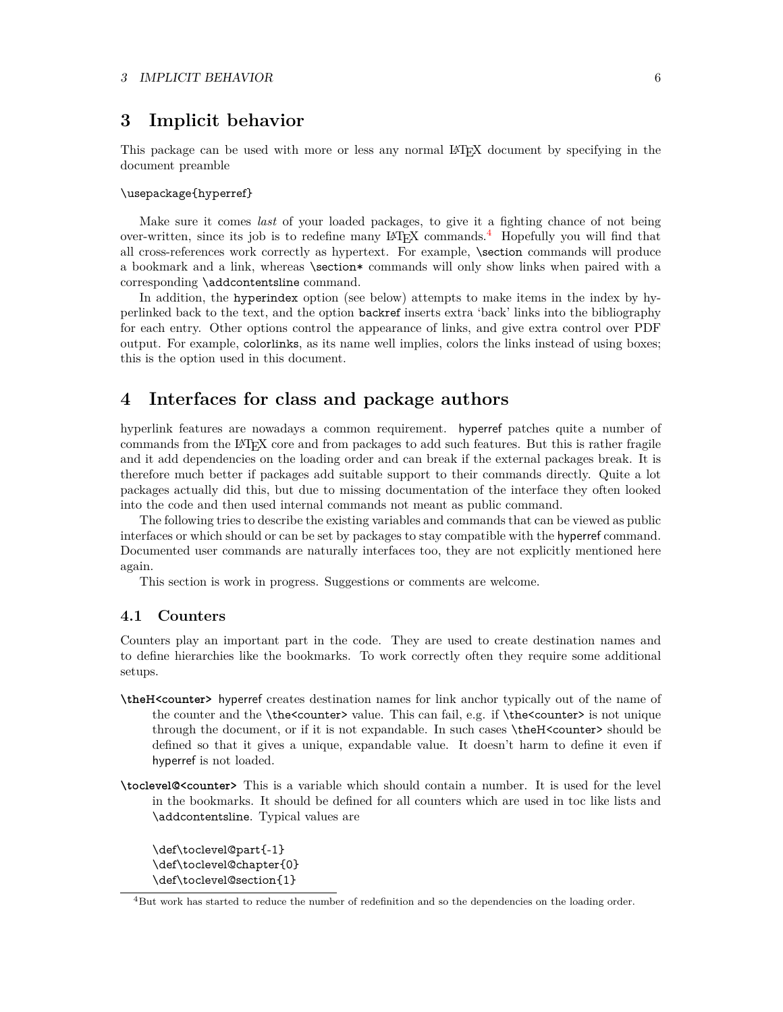# <span id="page-5-0"></span>**3 Implicit behavior**

This package can be used with more or less any normal LATEX document by specifying in the document preamble

### \usepackage{hyperref}

Make sure it comes *last* of your loaded packages, to give it a fighting chance of not being over-written, since its job is to redefine many LATEX commands.[4](#page-5-3) Hopefully you will find that all cross-references work correctly as hypertext. For example, \section commands will produce a bookmark and a link, whereas \section\* commands will only show links when paired with a corresponding \addcontentsline command.

In addition, the hyperindex option (see below) attempts to make items in the index by hyperlinked back to the text, and the option backref inserts extra 'back' links into the bibliography for each entry. Other options control the appearance of links, and give extra control over PDF output. For example, colorlinks, as its name well implies, colors the links instead of using boxes; this is the option used in this document.

# <span id="page-5-1"></span>**4 Interfaces for class and package authors**

hyperlink features are nowadays a common requirement. hyperref patches quite a number of commands from the LATEX core and from packages to add such features. But this is rather fragile and it add dependencies on the loading order and can break if the external packages break. It is therefore much better if packages add suitable support to their commands directly. Quite a lot packages actually did this, but due to missing documentation of the interface they often looked into the code and then used internal commands not meant as public command.

The following tries to describe the existing variables and commands that can be viewed as public interfaces or which should or can be set by packages to stay compatible with the hyperref command. Documented user commands are naturally interfaces too, they are not explicitly mentioned here again.

This section is work in progress. Suggestions or comments are welcome.

### <span id="page-5-2"></span>**4.1 Counters**

Counters play an important part in the code. They are used to create destination names and to define hierarchies like the bookmarks. To work correctly often they require some additional setups.

- **\theH<counter>** hyperref creates destination names for link anchor typically out of the name of the counter and the \the<counter> value. This can fail, e.g. if \the<counter> is not unique through the document, or if it is not expandable. In such cases \theH<counter> should be defined so that it gives a unique, expandable value. It doesn't harm to define it even if hyperref is not loaded.
- **\toclevel@<counter>** This is a variable which should contain a number. It is used for the level in the bookmarks. It should be defined for all counters which are used in toc like lists and \addcontentsline. Typical values are

\def\toclevel@part{-1} \def\toclevel@chapter{0} \def\toclevel@section{1}

<span id="page-5-3"></span><sup>&</sup>lt;sup>4</sup>But work has started to reduce the number of redefinition and so the dependencies on the loading order.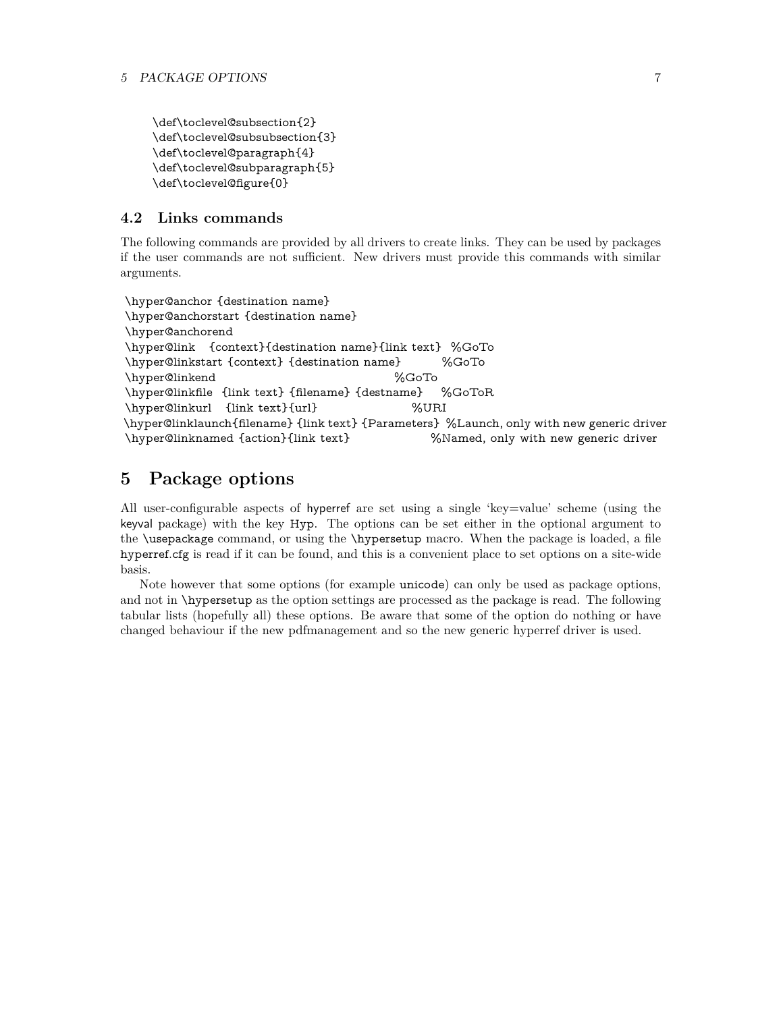```
\def\toclevel@subsection{2}
\def\toclevel@subsubsection{3}
\def\toclevel@paragraph{4}
\def\toclevel@subparagraph{5}
\def\toclevel@figure{0}
```
# <span id="page-6-0"></span>**4.2 Links commands**

The following commands are provided by all drivers to create links. They can be used by packages if the user commands are not sufficient. New drivers must provide this commands with similar arguments.

```
\hyper@anchor {destination name}
\hyper@anchorstart {destination name}
\hyper@anchorend
\hyper@link {context}{destination name}{link text} %GoTo
\hyper@linkstart {context} {destination name} %GoTo
\hyper@linkend %GoTo
\hyper@linkfile {link text} {filename} {destname} %GoToR
\hyper@linkurl {link text}{url} %URI
\hyper@linklaunch{filename} {link text} {Parameters} %Launch, only with new generic driver
\hyper@linknamed {action}{link text} %Named, only with new generic driver
```
# <span id="page-6-1"></span>**5 Package options**

All user-configurable aspects of hyperref are set using a single 'key=value' scheme (using the keyval package) with the key Hyp. The options can be set either in the optional argument to the \usepackage command, or using the \hypersetup macro. When the package is loaded, a file hyperref.cfg is read if it can be found, and this is a convenient place to set options on a site-wide basis.

Note however that some options (for example unicode) can only be used as package options, and not in \hypersetup as the option settings are processed as the package is read. The following tabular lists (hopefully all) these options. Be aware that some of the option do nothing or have changed behaviour if the new pdfmanagement and so the new generic hyperref driver is used.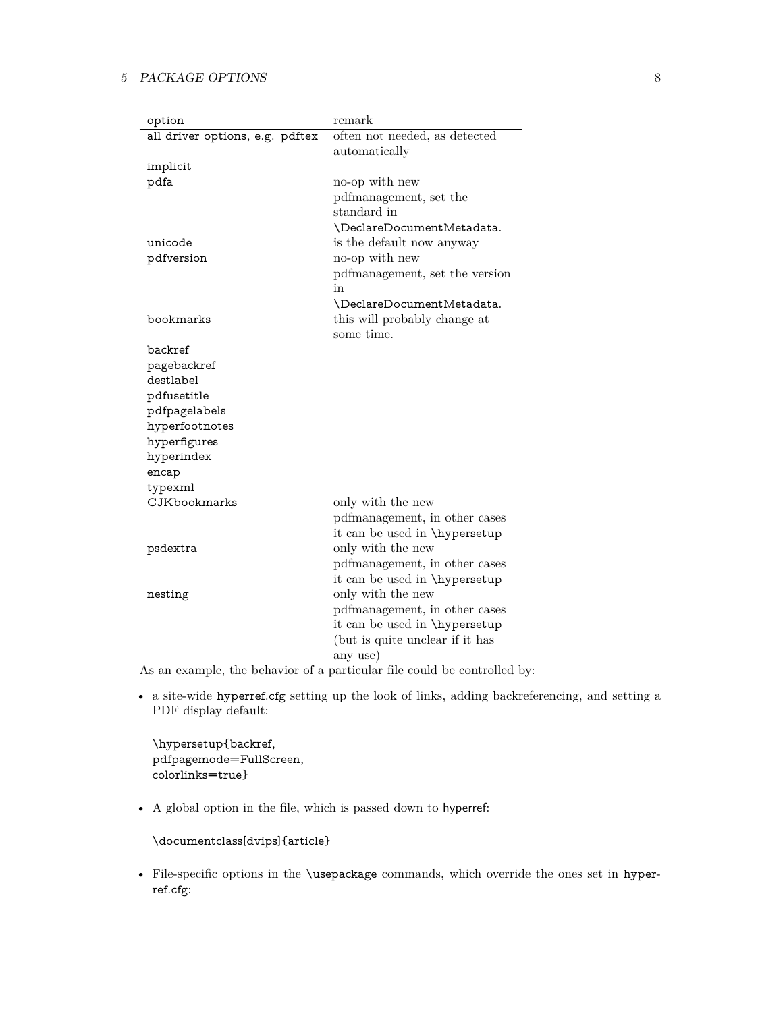| option                          | remark                          |
|---------------------------------|---------------------------------|
| all driver options, e.g. pdftex | often not needed, as detected   |
|                                 | automatically                   |
| implicit                        |                                 |
| pdfa                            | no-op with new                  |
|                                 | pdfmanagement, set the          |
|                                 | standard in                     |
|                                 | \DeclareDocumentMetadata.       |
| unicode                         | is the default now anyway       |
| pdfversion                      | no-op with new                  |
|                                 | pdfmanagement, set the version  |
|                                 | in                              |
|                                 | \DeclareDocumentMetadata.       |
| bookmarks                       | this will probably change at    |
|                                 | some time.                      |
| backref                         |                                 |
| pagebackref<br>destlabel        |                                 |
| pdfusetitle                     |                                 |
| pdfpagelabels                   |                                 |
| hyperfootnotes                  |                                 |
| hyperfigures                    |                                 |
| hyperindex                      |                                 |
| encap                           |                                 |
| typexml                         |                                 |
| CJKbookmarks                    | only with the new               |
|                                 | pdfmanagement, in other cases   |
|                                 | it can be used in \hypersetup   |
| psdextra                        | only with the new               |
|                                 | pdfmanagement, in other cases   |
|                                 | it can be used in \hypersetup   |
| nesting                         | only with the new               |
|                                 | pdfmanagement, in other cases   |
|                                 | it can be used in \hypersetup   |
|                                 | (but is quite unclear if it has |
|                                 | any use)                        |
|                                 |                                 |

As an example, the behavior of a particular file could be controlled by:

• a site-wide hyperref.cfg setting up the look of links, adding backreferencing, and setting a PDF display default:

\hypersetup{backref, pdfpagemode=FullScreen, colorlinks=true}

• A global option in the file, which is passed down to hyperref:

\documentclass[dvips]{article}

• File-specific options in the \usepackage commands, which override the ones set in hyperref.cfg: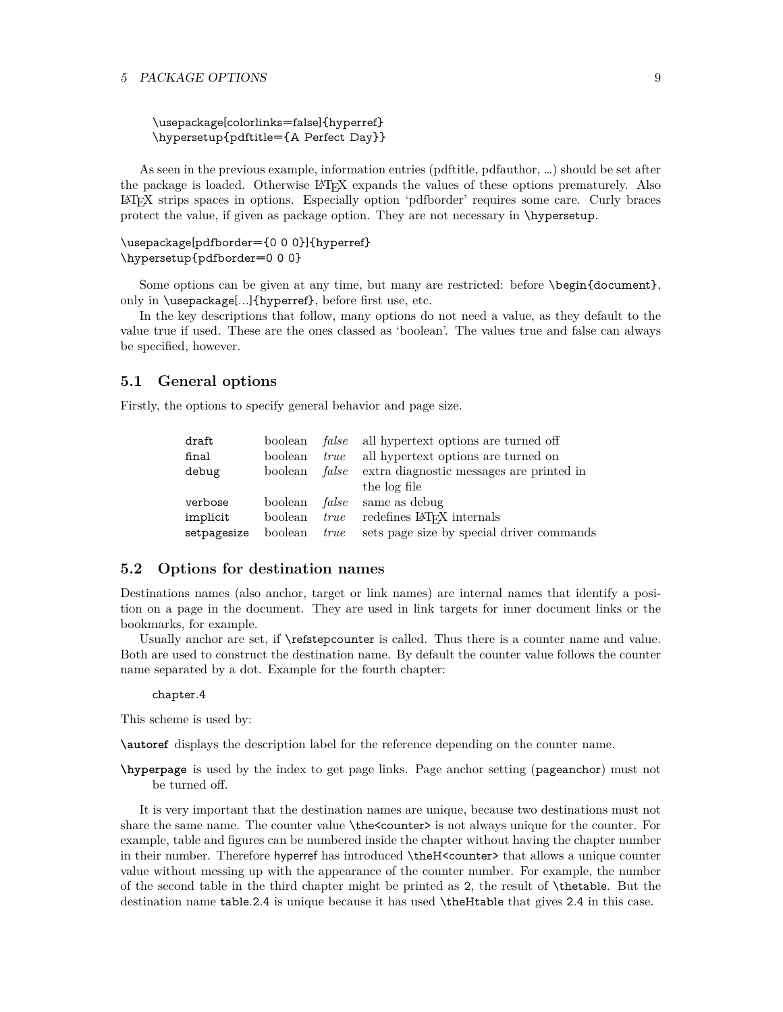\usepackage[colorlinks=false]{hyperref} \hypersetup{pdftitle={A Perfect Day}}

As seen in the previous example, information entries (pdftitle, pdfauthor, …) should be set after the package is loaded. Otherwise LATEX expands the values of these options prematurely. Also LATEX strips spaces in options. Especially option 'pdfborder' requires some care. Curly braces protect the value, if given as package option. They are not necessary in \hypersetup.

# \usepackage[pdfborder={0 0 0}]{hyperref} \hypersetup{pdfborder=0 0 0}

Some options can be given at any time, but many are restricted: before \begin{document}, only in \usepackage[...]{hyperref}, before first use, etc.

In the key descriptions that follow, many options do not need a value, as they default to the value true if used. These are the ones classed as 'boolean'. The values true and false can always be specified, however.

### <span id="page-8-0"></span>**5.1 General options**

Firstly, the options to specify general behavior and page size.

| draft       | boolean |      | <i>false</i> all hypertext options are turned off     |
|-------------|---------|------|-------------------------------------------------------|
| final       | boolean | true | all hypertext options are turned on                   |
| debug       | boolean |      | <i>false</i> extra diagnostic messages are printed in |
|             |         |      | the log file                                          |
| verbose     | boolean |      | <i>false</i> same as debug                            |
| implicit    | boolean | true | redefines LAT <sub>EX</sub> internals                 |
| setpagesize | boolean | true | sets page size by special driver commands             |

### <span id="page-8-1"></span>**5.2 Options for destination names**

Destinations names (also anchor, target or link names) are internal names that identify a position on a page in the document. They are used in link targets for inner document links or the bookmarks, for example.

Usually anchor are set, if  $\ref{stepcounter}$  is called. Thus there is a counter name and value. Both are used to construct the destination name. By default the counter value follows the counter name separated by a dot. Example for the fourth chapter:

### chapter.4

This scheme is used by:

**\autoref** displays the description label for the reference depending on the counter name.

**\hyperpage** is used by the index to get page links. Page anchor setting (pageanchor) must not be turned off.

It is very important that the destination names are unique, because two destinations must not share the same name. The counter value  $\theta$  the counter is not always unique for the counter. For example, table and figures can be numbered inside the chapter without having the chapter number in their number. Therefore hyperref has introduced \theH<counter> that allows a unique counter value without messing up with the appearance of the counter number. For example, the number of the second table in the third chapter might be printed as 2, the result of \thetable. But the destination name table.2.4 is unique because it has used \theHtable that gives 2.4 in this case.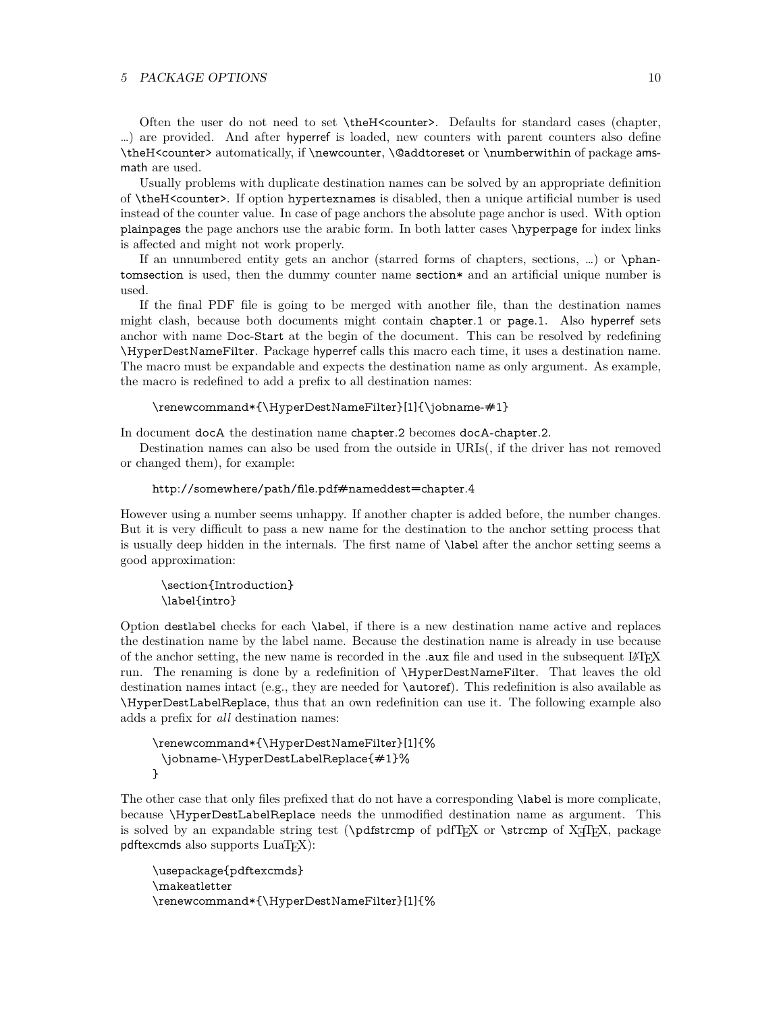Often the user do not need to set \theH<counter>. Defaults for standard cases (chapter, …) are provided. And after hyperref is loaded, new counters with parent counters also define \theH<counter> automatically, if \newcounter, \@addtoreset or \numberwithin of package amsmath are used.

Usually problems with duplicate destination names can be solved by an appropriate definition of \theH<counter>. If option hypertexnames is disabled, then a unique artificial number is used instead of the counter value. In case of page anchors the absolute page anchor is used. With option plainpages the page anchors use the arabic form. In both latter cases \hyperpage for index links is affected and might not work properly.

If an unnumbered entity gets an anchor (starred forms of chapters, sections, …) or \phantomsection is used, then the dummy counter name section\* and an artificial unique number is used.

If the final PDF file is going to be merged with another file, than the destination names might clash, because both documents might contain chapter.1 or page.1. Also hyperref sets anchor with name Doc-Start at the begin of the document. This can be resolved by redefining \HyperDestNameFilter. Package hyperref calls this macro each time, it uses a destination name. The macro must be expandable and expects the destination name as only argument. As example, the macro is redefined to add a prefix to all destination names:

### \renewcommand\*{\HyperDestNameFilter}[1]{\jobname-#1}

In document docA the destination name chapter.2 becomes docA-chapter.2.

Destination names can also be used from the outside in URIs(, if the driver has not removed or changed them), for example:

#### http://somewhere/path/file.pdf#nameddest=chapter.4

However using a number seems unhappy. If another chapter is added before, the number changes. But it is very difficult to pass a new name for the destination to the anchor setting process that is usually deep hidden in the internals. The first name of \label after the anchor setting seems a good approximation:

\section{Introduction} \label{intro}

Option destlabel checks for each \label, if there is a new destination name active and replaces the destination name by the label name. Because the destination name is already in use because of the anchor setting, the new name is recorded in the .**aux** file and used in the subsequent LAT<sub>EX</sub> run. The renaming is done by a redefinition of \HyperDestNameFilter. That leaves the old destination names intact (e.g., they are needed for \autoref). This redefinition is also available as \HyperDestLabelReplace, thus that an own redefinition can use it. The following example also adds a prefix for *all* destination names:

```
\renewcommand*{\HyperDestNameFilter}[1]{%
 \jobname-\HyperDestLabelReplace{#1}%
}
```
The other case that only files prefixed that do not have a corresponding \label is more complicate, because \HyperDestLabelReplace needs the unmodified destination name as argument. This is solved by an expandable string test ( $\pdf$ FEX or  $\strut \strut \strut \strut$  or  $\sqrt{\sqrt{F}E}$ , package  $pdf$ excmds also supports  $LuaT<sub>F</sub>X$ ):

```
\usepackage{pdftexcmds}
\makeatletter
\renewcommand*{\HyperDestNameFilter}[1]{%
```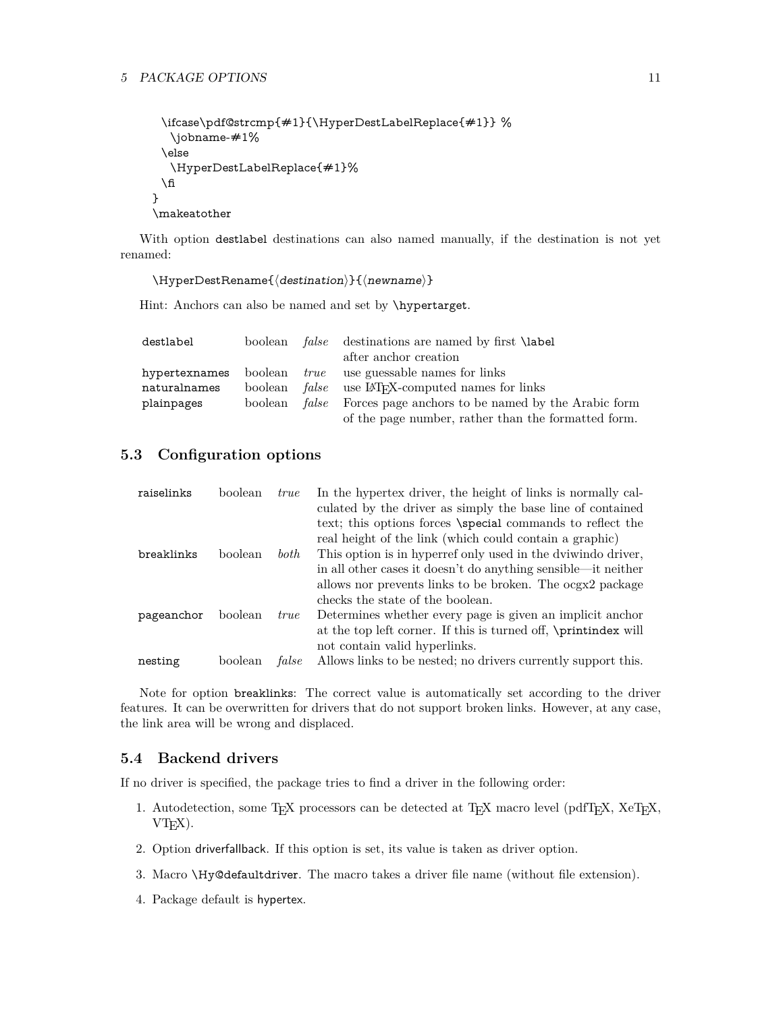```
\ifcase\pdf@strcmp{#1}{\HyperDestLabelReplace{#1}} %
  \jobname-#1%
 \else
  \HyperDestLabelReplace{#1}%
 \hat{n}}
\makeatother
```
With option destlabel destinations can also named manually, if the destination is not yet renamed:

 $\HyperDestRename{\langle destination\rangle}{\langle newname\rangle}$ 

Hint: Anchors can also be named and set by *\hypertarget*.

| destlabel     |  | boolean <i>false</i> destinations are named by first <b>\label</b>      |
|---------------|--|-------------------------------------------------------------------------|
|               |  | after anchor creation                                                   |
| hypertexnames |  | boolean <i>true</i> use guessable names for links                       |
| naturalnames  |  | boolean <i>false</i> use LAT <sub>F</sub> X-computed names for links    |
| plainpages    |  | boolean <i>false</i> Forces page anchors to be named by the Arabic form |
|               |  | of the page number, rather than the formatted form.                     |

# <span id="page-10-0"></span>**5.3 Configuration options**

| raiselinks | boolean | <i>true</i> | In the hypertex driver, the height of links is normally cal-    |
|------------|---------|-------------|-----------------------------------------------------------------|
|            |         |             | culated by the driver as simply the base line of contained      |
|            |         |             | text; this options forces \special commands to reflect the      |
|            |         |             | real height of the link (which could contain a graphic)         |
| breaklinks | boolean | both        | This option is in hyperref only used in the dviwindo driver,    |
|            |         |             | in all other cases it doesn't do anything sensible—it neither   |
|            |         |             | allows nor prevents links to be broken. The ocgx2 package       |
|            |         |             | checks the state of the boolean.                                |
| pageanchor | boolean | <i>true</i> | Determines whether every page is given an implicit anchor       |
|            |         |             | at the top left corner. If this is turned off, \printindex will |
|            |         |             | not contain valid hyperlinks.                                   |
| nesting    | boolean | false       | Allows links to be nested; no drivers currently support this.   |

Note for option breaklinks: The correct value is automatically set according to the driver features. It can be overwritten for drivers that do not support broken links. However, at any case, the link area will be wrong and displaced.

# <span id="page-10-1"></span>**5.4 Backend drivers**

If no driver is specified, the package tries to find a driver in the following order:

- 1. Autodetection, some TEX processors can be detected at TEX macro level (pdfTEX, XeTEX,  $VTFX$ ).
- 2. Option driverfallback. If this option is set, its value is taken as driver option.
- 3. Macro \Hy@defaultdriver. The macro takes a driver file name (without file extension).
- 4. Package default is hypertex.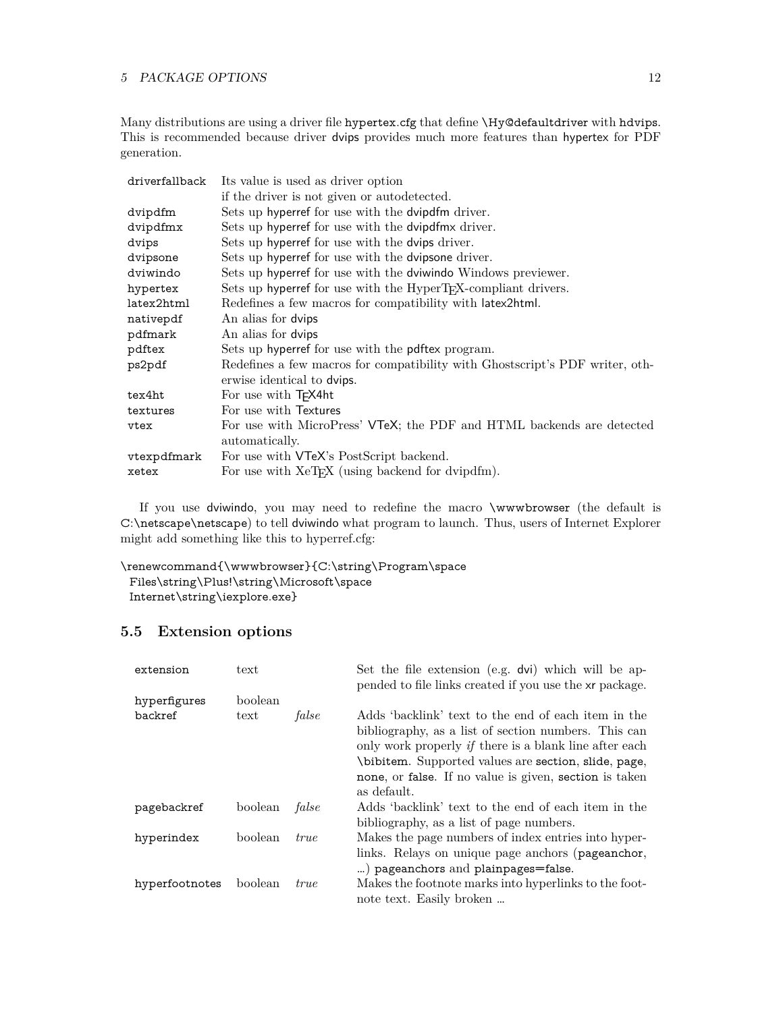Many distributions are using a driver file hypertex.cfg that define \Hy@defaultdriver with hdvips. This is recommended because driver dvips provides much more features than hypertex for PDF generation.

| driverfallback | Its value is used as driver option                                           |
|----------------|------------------------------------------------------------------------------|
|                | if the driver is not given or autodetected.                                  |
| dvipdfm        | Sets up hyperref for use with the dvipdfm driver.                            |
| dvipdfmx       | Sets up hyperref for use with the dvipdfmx driver.                           |
| dvips          | Sets up hyperref for use with the dvips driver.                              |
| dvipsone       | Sets up hyperref for use with the dvipsone driver.                           |
| dviwindo       | Sets up hyperref for use with the dviwindo Windows previewer.                |
| hypertex       | Sets up hyperref for use with the HyperT <sub>F</sub> X-compliant drivers.   |
| latex2html     | Redefines a few macros for compatibility with latex2html.                    |
| nativepdf      | An alias for dvips                                                           |
| pdfmark        | An alias for dvips                                                           |
| pdftex         | Sets up hyperref for use with the pdftex program.                            |
| ps2pdf         | Redefines a few macros for compatibility with Ghostscript's PDF writer, oth- |
|                | erwise identical to dvips.                                                   |
| tex4ht         | For use with T <sub>F</sub> X4ht                                             |
| textures       | For use with Textures                                                        |
| vtex           | For use with MicroPress' VTeX; the PDF and HTML backends are detected        |
|                | automatically.                                                               |
| vtexpdfmark    | For use with <b>VTeX</b> 's PostScript backend.                              |
| xetex          | For use with XeT <sub>F</sub> X (using backend for dvipdfm).                 |

If you use dviwindo, you may need to redefine the macro \wwwbrowser (the default is C:\netscape\netscape) to tell dviwindo what program to launch. Thus, users of Internet Explorer might add something like this to hyperref.cfg:

```
\renewcommand{\wwwbrowser}{C:\string\Program\space
 Files\string\Plus!\string\Microsoft\space
 Internet\string\iexplore.exe}
```
# <span id="page-11-0"></span>**5.5 Extension options**

| extension      | text    |             | Set the file extension (e.g. dvi) which will be ap-<br>pended to file links created if you use the xr package.                                                                                                                                                                                                |
|----------------|---------|-------------|---------------------------------------------------------------------------------------------------------------------------------------------------------------------------------------------------------------------------------------------------------------------------------------------------------------|
| hyperfigures   | boolean |             |                                                                                                                                                                                                                                                                                                               |
| backref        | text    | false       | Adds 'backlink' text to the end of each item in the<br>bibliography, as a list of section numbers. This can<br>only work properly <i>if</i> there is a blank line after each<br>\bibitem. Supported values are section, slide, page,<br>none, or false. If no value is given, section is taken<br>as default. |
| pagebackref    | boolean | false       | Adds 'backlink' text to the end of each item in the<br>bibliography, as a list of page numbers.                                                                                                                                                                                                               |
| hyperindex     | boolean | <i>true</i> | Makes the page numbers of index entries into hyper-<br>links. Relays on unique page anchors (pageanchor,<br>) pageanchors and plainpages=false.                                                                                                                                                               |
| hyperfootnotes | boolean | <i>true</i> | Makes the footnote marks into hyperlinks to the foot-<br>note text. Easily broken                                                                                                                                                                                                                             |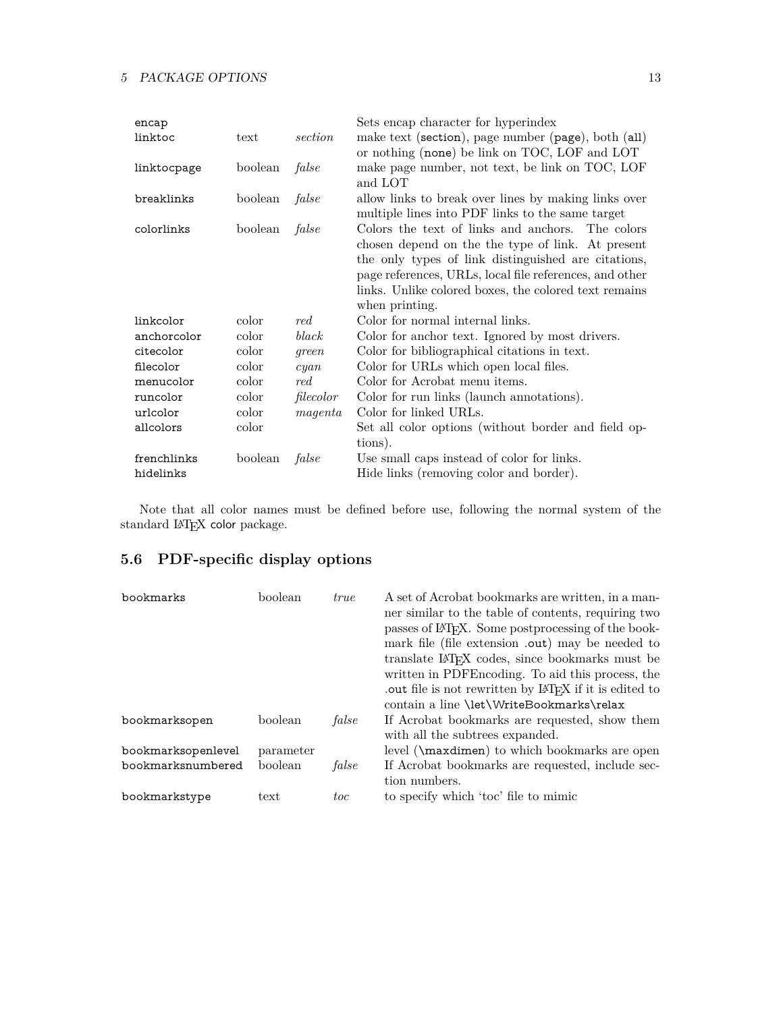| encap       |         |                          | Sets encap character for hyperindex                                                                                                                                                                                                                                                                |
|-------------|---------|--------------------------|----------------------------------------------------------------------------------------------------------------------------------------------------------------------------------------------------------------------------------------------------------------------------------------------------|
| linktoc     | text    | section                  | make text (section), page number (page), both (all)<br>or nothing (none) be link on TOC, LOF and LOT                                                                                                                                                                                               |
| linktocpage | boolean | false                    | make page number, not text, be link on TOC, LOF<br>and LOT                                                                                                                                                                                                                                         |
| breaklinks  | boolean | false                    | allow links to break over lines by making links over<br>multiple lines into PDF links to the same target                                                                                                                                                                                           |
| colorlinks  | boolean | false                    | Colors the text of links and anchors. The colors<br>chosen depend on the the type of link. At present<br>the only types of link distinguished are citations,<br>page references, URLs, local file references, and other<br>links. Unlike colored boxes, the colored text remains<br>when printing. |
| linkcolor   | color   | red                      | Color for normal internal links.                                                                                                                                                                                                                                                                   |
| anchorcolor | color   | black                    | Color for anchor text. Ignored by most drivers.                                                                                                                                                                                                                                                    |
| citecolor   | color   | green                    | Color for bibliographical citations in text.                                                                                                                                                                                                                                                       |
| filecolor   | color   | cyan                     | Color for URLs which open local files.                                                                                                                                                                                                                                                             |
| menucolor   | color   | $\mathop{red.}\nolimits$ | Color for Acrobat menu items.                                                                                                                                                                                                                                                                      |
| runcolor    | color   | filecolor                | Color for run links (launch annotations).                                                                                                                                                                                                                                                          |
| urlcolor    | color   | magenta                  | Color for linked URLs.                                                                                                                                                                                                                                                                             |
| allcolors   | color   |                          | Set all color options (without border and field op-                                                                                                                                                                                                                                                |
|             |         |                          | tions).                                                                                                                                                                                                                                                                                            |
| frenchlinks | boolean | false                    | Use small caps instead of color for links.                                                                                                                                                                                                                                                         |
| hidelinks   |         |                          | Hide links (removing color and border).                                                                                                                                                                                                                                                            |

Note that all color names must be defined before use, following the normal system of the standard IATEX color package.

# <span id="page-12-0"></span>**5.6 PDF-specific display options**

| bookmarks          | boolean   | <i>true</i> | A set of Acrobat bookmarks are written, in a man-<br>ner similar to the table of contents, requiring two<br>passes of IAT <sub>F</sub> X. Some postprocessing of the book-<br>mark file (file extension .out) may be needed to<br>translate LAT <sub>F</sub> X codes, since bookmarks must be<br>written in PDFE ncoding. To aid this process, the<br>out file is not rewritten by LAT <sub>F</sub> X if it is edited to<br>contain a line \let\WriteBookmarks\relax |
|--------------------|-----------|-------------|----------------------------------------------------------------------------------------------------------------------------------------------------------------------------------------------------------------------------------------------------------------------------------------------------------------------------------------------------------------------------------------------------------------------------------------------------------------------|
| bookmarksopen      | boolean   | false       | If Acrobat bookmarks are requested, show them<br>with all the subtrees expanded.                                                                                                                                                                                                                                                                                                                                                                                     |
| bookmarksopenlevel | parameter |             | level (\maxdimen) to which bookmarks are open                                                                                                                                                                                                                                                                                                                                                                                                                        |
| bookmarksnumbered  | boolean   | false       | If Acrobat bookmarks are requested, include sec-<br>tion numbers.                                                                                                                                                                                                                                                                                                                                                                                                    |
| bookmarkstype      | text      | toc         | to specify which 'toc' file to mimic                                                                                                                                                                                                                                                                                                                                                                                                                                 |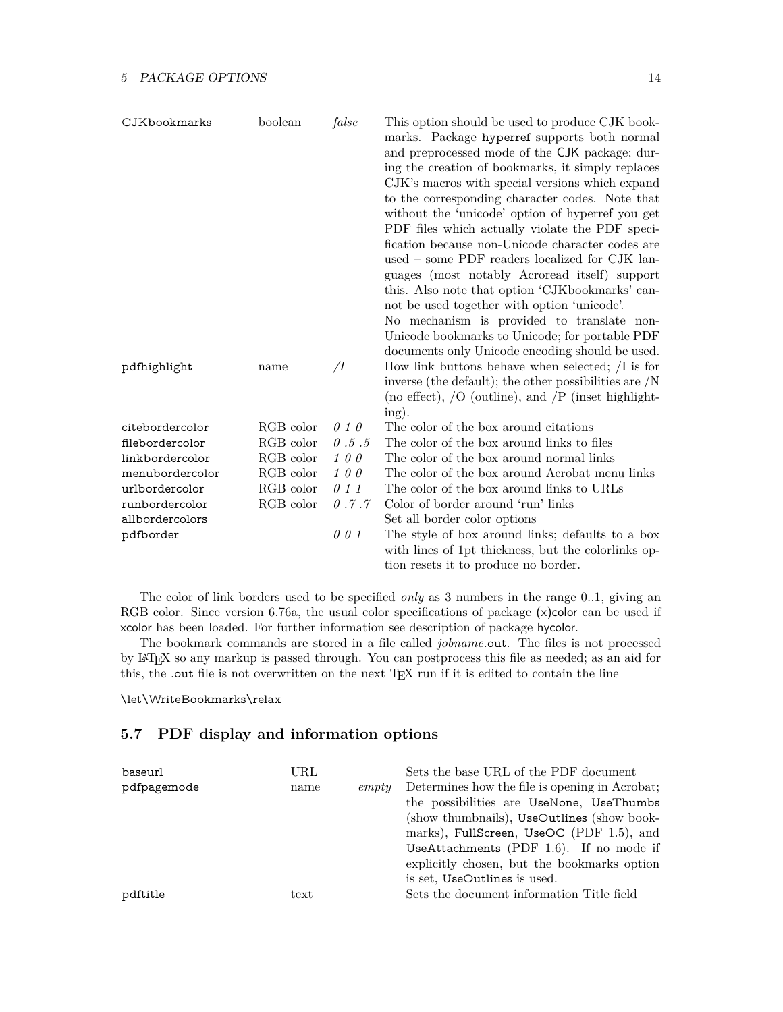| CJKbookmarks    | boolean   | false          | This option should be used to produce CJK book-<br>marks. Package hyperref supports both normal<br>and preprocessed mode of the CJK package; dur-<br>ing the creation of bookmarks, it simply replaces<br>CJK's macros with special versions which expand<br>to the corresponding character codes. Note that<br>without the 'unicode' option of hyperref you get<br>PDF files which actually violate the PDF speci-<br>fication because non-Unicode character codes are<br>used – some PDF readers localized for CJK lan-<br>guages (most notably Acroread itself) support<br>this. Also note that option 'CJKbookmarks' can-<br>not be used together with option 'unicode'.<br>No mechanism is provided to translate non-<br>Unicode bookmarks to Unicode; for portable PDF |
|-----------------|-----------|----------------|------------------------------------------------------------------------------------------------------------------------------------------------------------------------------------------------------------------------------------------------------------------------------------------------------------------------------------------------------------------------------------------------------------------------------------------------------------------------------------------------------------------------------------------------------------------------------------------------------------------------------------------------------------------------------------------------------------------------------------------------------------------------------|
| pdfhighlight    | name      | $\overline{I}$ | documents only Unicode encoding should be used.<br>How link buttons behave when selected; $\overline{I}$ is for<br>inverse (the default); the other possibilities are $/N$<br>(no effect), $/O$ (outline), and $/P$ (inset highlight-<br>ing).                                                                                                                                                                                                                                                                                                                                                                                                                                                                                                                               |
| citebordercolor | RGB color | 010            | The color of the box around citations                                                                                                                                                                                                                                                                                                                                                                                                                                                                                                                                                                                                                                                                                                                                        |
| filebordercolor | RGB color | 0.5.5          | The color of the box around links to files                                                                                                                                                                                                                                                                                                                                                                                                                                                                                                                                                                                                                                                                                                                                   |
| linkbordercolor | RGB color | 100            | The color of the box around normal links                                                                                                                                                                                                                                                                                                                                                                                                                                                                                                                                                                                                                                                                                                                                     |
| menubordercolor | RGB color | 100            | The color of the box around Acrobat menu links                                                                                                                                                                                                                                                                                                                                                                                                                                                                                                                                                                                                                                                                                                                               |
| urlbordercolor  | RGB color | 0 1 1          | The color of the box around links to URLs                                                                                                                                                                                                                                                                                                                                                                                                                                                                                                                                                                                                                                                                                                                                    |
| runbordercolor  | RGB color | 0.7.7          | Color of border around 'run' links                                                                                                                                                                                                                                                                                                                                                                                                                                                                                                                                                                                                                                                                                                                                           |
| allbordercolors |           |                | Set all border color options                                                                                                                                                                                                                                                                                                                                                                                                                                                                                                                                                                                                                                                                                                                                                 |
| pdfborder       |           | 001            | The style of box around links; defaults to a box<br>with lines of 1pt thickness, but the colorlinks op-<br>tion resets it to produce no border.                                                                                                                                                                                                                                                                                                                                                                                                                                                                                                                                                                                                                              |

The color of link borders used to be specified *only* as 3 numbers in the range 0..1, giving an RGB color. Since version 6.76a, the usual color specifications of package (x)color can be used if xcolor has been loaded. For further information see description of package hycolor.

The bookmark commands are stored in a file called *jobname*.out. The files is not processed by LATEX so any markup is passed through. You can postprocess this file as needed; as an aid for this, the .out file is not overwritten on the next TEX run if it is edited to contain the line

### \let\WriteBookmarks\relax

# <span id="page-13-0"></span>**5.7 PDF display and information options**

| baseurl     | URL          |       | Sets the base URL of the PDF document          |
|-------------|--------------|-------|------------------------------------------------|
| pdfpagemode | name         | empty | Determines how the file is opening in Acrobat: |
|             |              |       | the possibilities are UseNone, UseThumbs       |
|             |              |       | (show thumbnails), UseOutlines (show book-     |
|             |              |       | marks), FullScreen, UseOC (PDF 1.5), and       |
|             |              |       | UseAttachments (PDF $1.6$ ). If no mode if     |
|             |              |       | explicitly chosen, but the bookmarks option    |
|             |              |       | is set, UseOutlines is used.                   |
| pdftitle    | $text{text}$ |       | Sets the document information Title field      |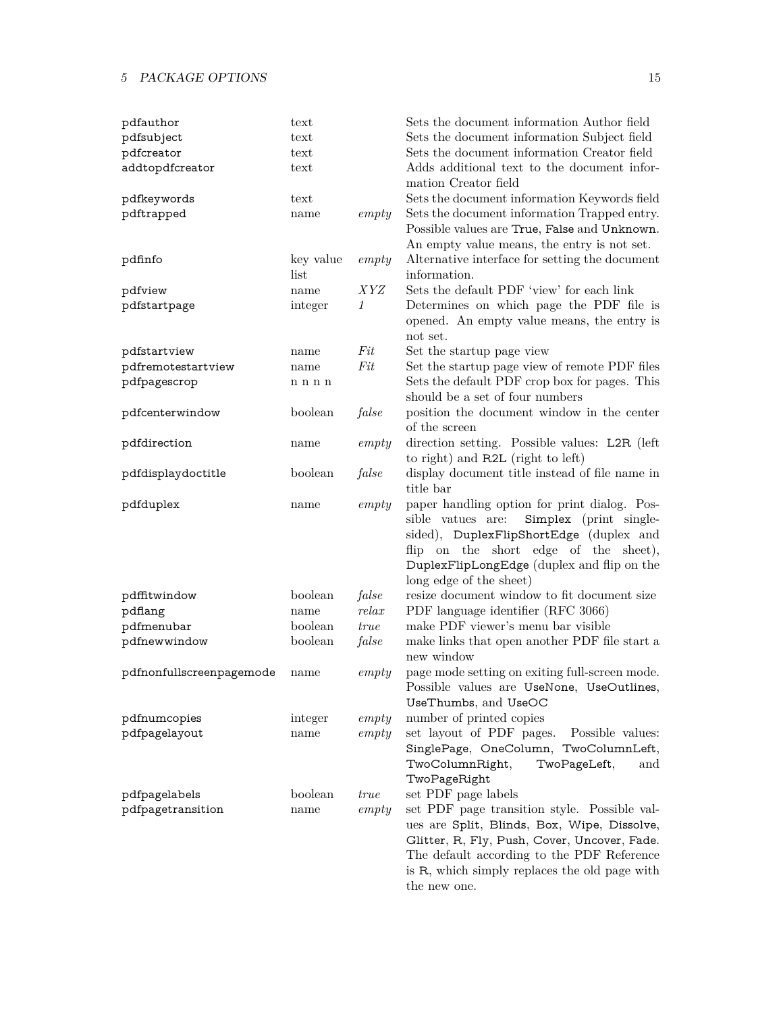| pdfauthor                | text              |            | Sets the document information Author field                                                                                                                                                                                                                 |
|--------------------------|-------------------|------------|------------------------------------------------------------------------------------------------------------------------------------------------------------------------------------------------------------------------------------------------------------|
| pdfsubject               | text              |            | Sets the document information Subject field                                                                                                                                                                                                                |
| pdfcreator               | text              |            | Sets the document information Creator field                                                                                                                                                                                                                |
| addtopdfcreator          | text              |            | Adds additional text to the document infor-<br>mation Creator field                                                                                                                                                                                        |
| pdfkeywords              | text              |            | Sets the document information Keywords field                                                                                                                                                                                                               |
| pdftrapped               | name              | empty      | Sets the document information Trapped entry.<br>Possible values are True, False and Unknown.<br>An empty value means, the entry is not set.                                                                                                                |
| pdfinfo                  | key value<br>list | empty      | Alternative interface for setting the document<br>information.                                                                                                                                                                                             |
| pdfview                  | name              | <i>XYZ</i> | Sets the default PDF 'view' for each link                                                                                                                                                                                                                  |
| pdfstartpage             | integer           | 1          | Determines on which page the PDF file is                                                                                                                                                                                                                   |
|                          |                   |            | opened. An empty value means, the entry is<br>not set.                                                                                                                                                                                                     |
| pdfstartview             | name              | $Fit$      | Set the startup page view                                                                                                                                                                                                                                  |
| pdfremotestartview       | name              | Fit        | Set the startup page view of remote PDF files                                                                                                                                                                                                              |
| pdfpagescrop             | n n n n           |            | Sets the default PDF crop box for pages. This<br>should be a set of four numbers                                                                                                                                                                           |
| pdfcenterwindow          | boolean           | false      | position the document window in the center<br>of the screen                                                                                                                                                                                                |
| pdfdirection             | name              | empty      | direction setting. Possible values: L2R (left)<br>to right) and R2L (right to left)                                                                                                                                                                        |
| pdfdisplaydoctitle       | boolean           | false      | display document title instead of file name in<br>title bar                                                                                                                                                                                                |
| pdfduplex                | name              | empty      | paper handling option for print dialog. Pos-<br>sible vatues are:<br>Simplex (print single-<br>sided), DuplexFlipShortEdge (duplex and<br>flip on the short edge of the sheet),<br>DuplexFlipLongEdge (duplex and flip on the<br>long edge of the sheet)   |
| pdffitwindow             | boolean           | false      | resize document window to fit document size                                                                                                                                                                                                                |
| pdflang                  | name              | relax      | PDF language identifier (RFC 3066)                                                                                                                                                                                                                         |
| pdfmenubar               | boolean           | true       | make PDF viewer's menu bar visible                                                                                                                                                                                                                         |
| pdfnewwindow             | boolean           | false      | make links that open another PDF file start a<br>new window                                                                                                                                                                                                |
| pdfnonfullscreenpagemode | name              | empty      | page mode setting on exiting full-screen mode.<br>Possible values are UseNone, UseOutlines,<br>UseThumbs, and UseOC                                                                                                                                        |
| pdfnumcopies             | integer           | empty      | number of printed copies                                                                                                                                                                                                                                   |
| pdfpagelayout            | name              | empty      | set layout of PDF pages.<br>Possible values:<br>SinglePage, OneColumn, TwoColumnLeft,<br>TwoColumnRight,<br>TwoPageLeft,<br>and<br>TwoPageRight                                                                                                            |
| pdfpagelabels            | boolean           | true       | set PDF page labels                                                                                                                                                                                                                                        |
| pdfpagetransition        | name              | empty      | set PDF page transition style. Possible val-<br>ues are Split, Blinds, Box, Wipe, Dissolve,<br>Glitter, R, Fly, Push, Cover, Uncover, Fade.<br>The default according to the PDF Reference<br>is R, which simply replaces the old page with<br>the new one. |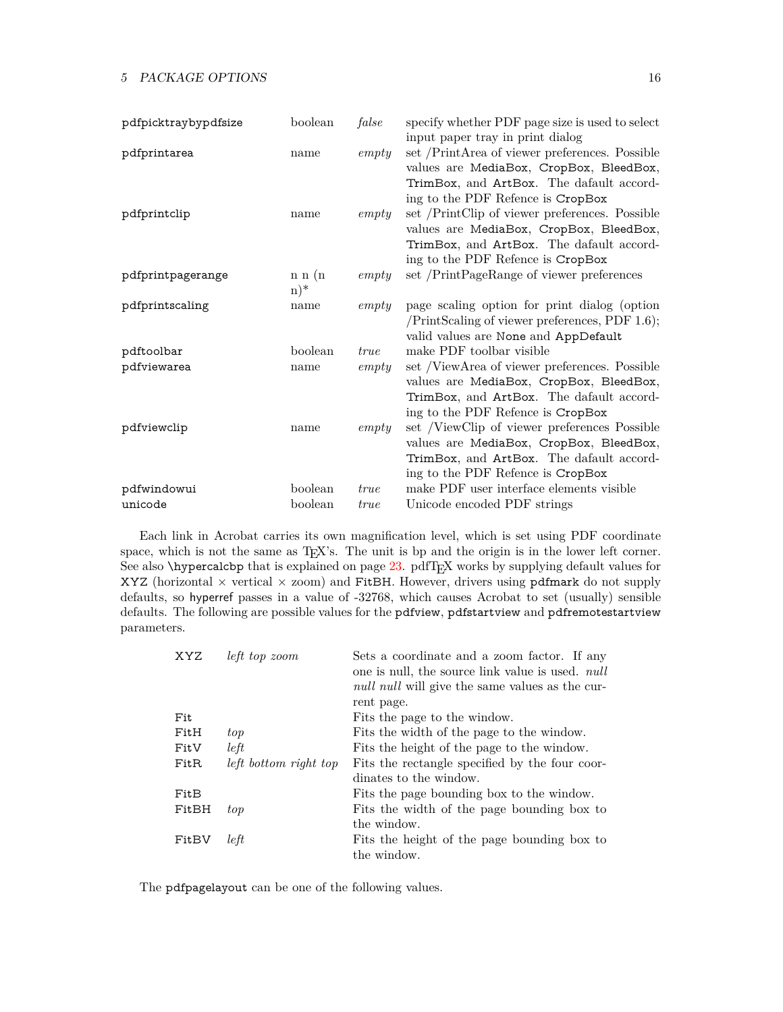| pdfpicktraybypdfsize | boolean | false       | specify whether PDF page size is used to select  |
|----------------------|---------|-------------|--------------------------------------------------|
|                      |         |             | input paper tray in print dialog                 |
| pdfprintarea         | name    | empty       | set /PrintArea of viewer preferences. Possible   |
|                      |         |             | values are MediaBox, CropBox, BleedBox,          |
|                      |         |             | TrimBox, and ArtBox. The dafault accord-         |
|                      |         |             | ing to the PDF Refence is CropBox                |
| pdfprintclip         | name    | empty       | set /PrintClip of viewer preferences. Possible   |
|                      |         |             | values are MediaBox, CropBox, BleedBox,          |
|                      |         |             | TrimBox, and ArtBox. The dafault accord-         |
|                      |         |             | ing to the PDF Refence is CropBox                |
| pdfprintpagerange    | n n (n) | empty       | set /PrintPageRange of viewer preferences        |
|                      | $(n)^*$ |             |                                                  |
| pdfprintscaling      | name    | empty       | page scaling option for print dialog (option     |
|                      |         |             | $/PrintScaling of viewer preferences, PDF 1.6);$ |
|                      |         |             | valid values are None and AppDefault             |
| pdftoolbar           | boolean | <i>true</i> | make PDF toolbar visible                         |
| pdfviewarea          | name    | empty       | set /ViewArea of viewer preferences. Possible    |
|                      |         |             | values are MediaBox, CropBox, BleedBox,          |
|                      |         |             | TrimBox, and ArtBox. The dafault accord-         |
|                      |         |             | ing to the PDF Refence is CropBox                |
| pdfviewclip          | name    | empty       | set /ViewClip of viewer preferences Possible     |
|                      |         |             | values are MediaBox, CropBox, BleedBox,          |
|                      |         |             | TrimBox, and ArtBox. The dafault accord-         |
|                      |         |             | ing to the PDF Refence is CropBox                |
| pdfwindowui          | boolean | <i>true</i> | make PDF user interface elements visible         |
| unicode              | boolean | <i>true</i> | Unicode encoded PDF strings                      |

Each link in Acrobat carries its own magnification level, which is set using PDF coordinate space, which is not the same as T<sub>E</sub>X's. The unit is bp and the origin is in the lower left corner. See also \hypercalcbp that is explained on page [23.](#page-25-1) pdfTEX works by supplying default values for XYZ (horizontal  $\times$  vertical  $\times$  zoom) and FitBH. However, drivers using pdfmark do not supply defaults, so hyperref passes in a value of -32768, which causes Acrobat to set (usually) sensible defaults. The following are possible values for the pdfview, pdfstartview and pdfremotestartview parameters.

| left top zoom         | Sets a coordinate and a zoom factor. If any<br>one is null, the source link value is used. <i>null</i><br><i>null null</i> will give the same values as the cur- |
|-----------------------|------------------------------------------------------------------------------------------------------------------------------------------------------------------|
|                       | rent page.                                                                                                                                                       |
|                       | Fits the page to the window.                                                                                                                                     |
| top                   | Fits the width of the page to the window.                                                                                                                        |
| left                  | Fits the height of the page to the window.                                                                                                                       |
| left bottom right top | Fits the rectangle specified by the four coor-                                                                                                                   |
|                       | dinates to the window.                                                                                                                                           |
|                       | Fits the page bounding box to the window.                                                                                                                        |
| top                   | Fits the width of the page bounding box to                                                                                                                       |
|                       | the window.                                                                                                                                                      |
| left                  | Fits the height of the page bounding box to<br>the window.                                                                                                       |
|                       |                                                                                                                                                                  |

The pdfpagelayout can be one of the following values.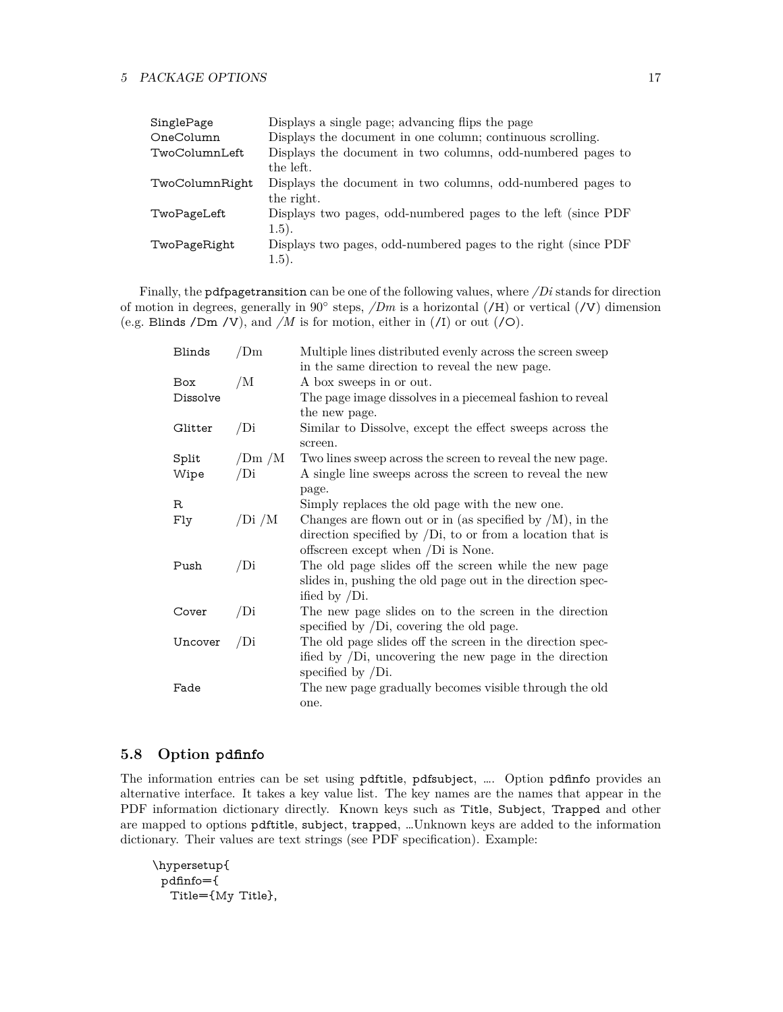| SinglePage     | Displays a single page; advancing flips the page               |
|----------------|----------------------------------------------------------------|
| OneColumn      | Displays the document in one column; continuous scrolling.     |
| TwoColumnLeft  | Displays the document in two columns, odd-numbered pages to    |
|                | the left.                                                      |
| TwoColumnRight | Displays the document in two columns, odd-numbered pages to    |
|                | the right.                                                     |
| TwoPageLeft    | Displays two pages, odd-numbered pages to the left (since PDF  |
|                | (1.5).                                                         |
| TwoPageRight   | Displays two pages, odd-numbered pages to the right (since PDF |
|                | (1.5).                                                         |

Finally, the pdfpagetransition can be one of the following values, where */Di* stands for direction of motion in degrees, generally in 90<sup>°</sup> steps, */Dm* is a horizontal (**/H**) or vertical (**/V**) dimension (e.g. Blinds /Dm /V), and */M* is for motion, either in (/I) or out (/O).

| Blinds     | /Dm    | Multiple lines distributed evenly across the screen sweep                                                     |
|------------|--------|---------------------------------------------------------------------------------------------------------------|
|            |        | in the same direction to reveal the new page.                                                                 |
| Box        | /M     | A box sweeps in or out.                                                                                       |
| Dissolve   |        | The page image dissolves in a piecemeal fashion to reveal                                                     |
|            |        | the new page.                                                                                                 |
| Glitter    | /Di    | Similar to Dissolve, except the effect sweeps across the<br>screen.                                           |
| Split      | /Dm/M  | Two lines sweep across the screen to reveal the new page.                                                     |
| Wipe       | /Di    | A single line sweeps across the screen to reveal the new                                                      |
|            |        | page.                                                                                                         |
| $_{\rm R}$ |        | Simply replaces the old page with the new one.                                                                |
| Fly        | /Di /M | Changes are flown out or in (as specified by $/M$ ), in the                                                   |
|            |        | direction specified by $\overline{D}$ , to or from a location that is                                         |
|            |        | offscreen except when /Di is None.                                                                            |
| Push       | /Di    | The old page slides off the screen while the new page                                                         |
|            |        | slides in, pushing the old page out in the direction spec-                                                    |
|            |        | ified by $/Di$ .                                                                                              |
| Cover      | /Di    | The new page slides on to the screen in the direction<br>specified by $\overline{D}$ , covering the old page. |
| Uncover    | /Di    | The old page slides off the screen in the direction spec-                                                     |
|            |        | ified by $\overline{D}$ , uncovering the new page in the direction<br>specified by $/Di$ .                    |
| Fade       |        | The new page gradually becomes visible through the old                                                        |
|            |        | one.                                                                                                          |

# <span id="page-16-0"></span>**5.8 Option pdfinfo**

The information entries can be set using pdftitle, pdfsubject, …. Option pdfinfo provides an alternative interface. It takes a key value list. The key names are the names that appear in the PDF information dictionary directly. Known keys such as Title, Subject, Trapped and other are mapped to options pdftitle, subject, trapped, …Unknown keys are added to the information dictionary. Their values are text strings (see PDF specification). Example:

```
\hypersetup{
 pdfinfo={
  Title={My Title},
```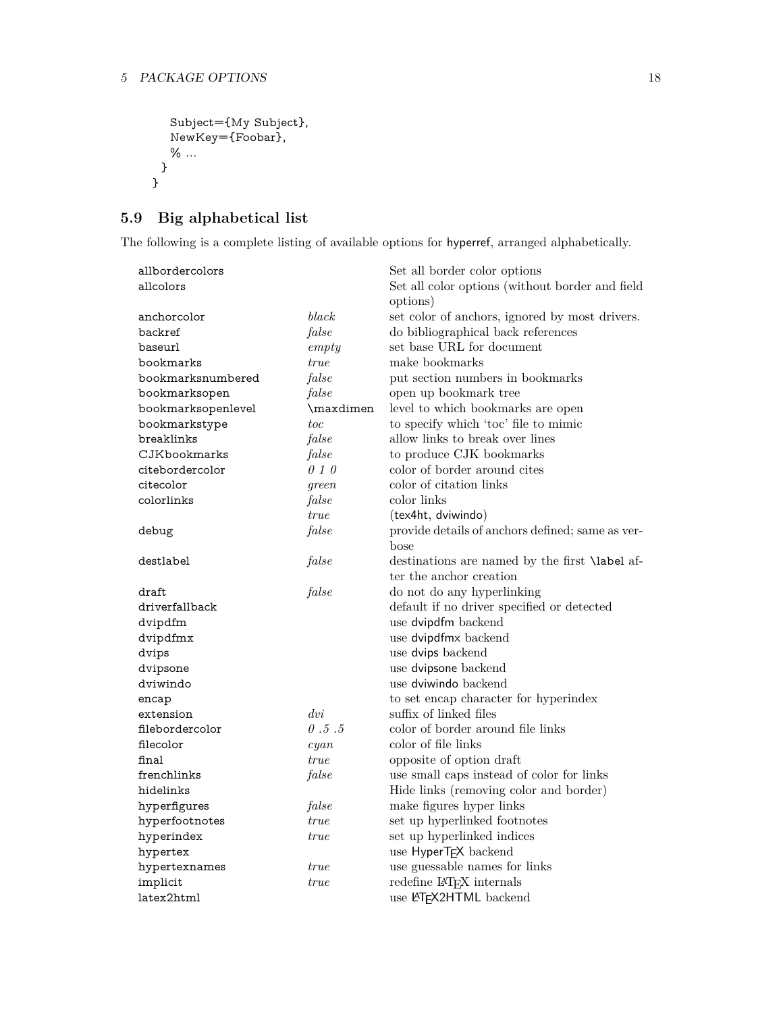```
Subject={My Subject},
  NewKey={Foobar},
  % ...
 }
}
```
# <span id="page-17-0"></span>**5.9 Big alphabetical list**

The following is a complete listing of available options for hyperref, arranged alphabetically.

| allbordercolors    |                 | Set all border color options                          |
|--------------------|-----------------|-------------------------------------------------------|
| allcolors          |                 | Set all color options (without border and field       |
|                    |                 | options)                                              |
| anchorcolor        | black           | set color of anchors, ignored by most drivers.        |
| backref            | false           | do bibliographical back references                    |
| baseurl            | empty           | set base URL for document                             |
| bookmarks          | <i>true</i>     | make bookmarks                                        |
| bookmarksnumbered  | false           | put section numbers in bookmarks                      |
| bookmarksopen      | false           | open up bookmark tree                                 |
| bookmarksopenlevel | \maxdimen       | level to which bookmarks are open                     |
| bookmarkstype      | toc             | to specify which 'toc' file to mimic                  |
| breaklinks         | false           | allow links to break over lines                       |
| CJKbookmarks       | false           | to produce CJK bookmarks                              |
| citebordercolor    | 010             | color of border around cites                          |
| citecolor          | green           | color of citation links                               |
| colorlinks         | false           | color links                                           |
|                    | <i>true</i>     | (tex4ht, dviwindo)                                    |
| debug              | false           | provide details of anchors defined; same as ver-      |
|                    |                 | bose                                                  |
| destlabel          | false           | destinations are named by the first <b>\label</b> af- |
|                    |                 | ter the anchor creation                               |
| draft              | false           | do not do any hyperlinking                            |
| driverfallback     |                 | default if no driver specified or detected            |
| dvipdfm            |                 | use dvipdfm backend                                   |
| dvipdfmx           |                 | use dvipdfmx backend                                  |
| dvips              |                 | use dvips backend                                     |
| dvipsone           |                 | use dvipsone backend                                  |
| dviwindo           |                 | use dviwindo backend                                  |
| encap              |                 | to set encap character for hyperindex                 |
| extension          | $\frac{dv}{dt}$ | suffix of linked files                                |
| filebordercolor    | 0.5.5           | color of border around file links                     |
| filecolor          | cyan            | color of file links                                   |
| final              | <i>true</i>     | opposite of option draft                              |
| frenchlinks        | false           | use small caps instead of color for links             |
| hidelinks          |                 | Hide links (removing color and border)                |
| hyperfigures       | false           | make figures hyper links                              |
| hyperfootnotes     | <i>true</i>     | set up hyperlinked footnotes                          |
|                    |                 |                                                       |
| hyperindex         | <i>true</i>     | set up hyperlinked indices                            |
| hypertex           |                 | use HyperTEX backend                                  |
| hypertexnames      | <i>true</i>     | use guessable names for links                         |
| implicit           | true            | redefine IAT <sub>F</sub> X internals                 |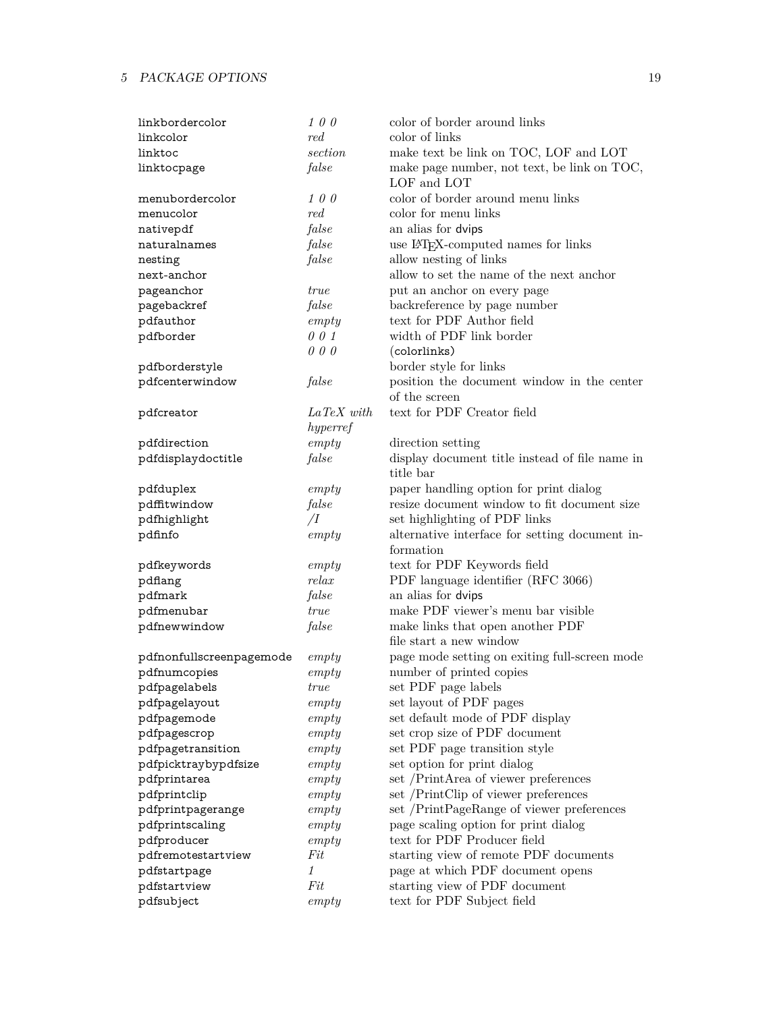| linkbordercolor          | 100                  | color of border around links                    |
|--------------------------|----------------------|-------------------------------------------------|
| linkcolor                | red                  | color of links                                  |
| linktoc                  | section              | make text be link on TOC, LOF and LOT           |
| linktocpage              | false                | make page number, not text, be link on TOC,     |
|                          |                      | LOF and LOT                                     |
| menubordercolor          | 100                  | color of border around menu links               |
| menucolor                | red                  | color for menu links                            |
| nativepdf                | false                | an alias for dvips                              |
| naturalnames             | false                | use IAT <sub>E</sub> X-computed names for links |
| nesting                  | false                | allow nesting of links                          |
| next-anchor              |                      | allow to set the name of the next anchor        |
| pageanchor               | true                 | put an anchor on every page                     |
| pagebackref              | false                | backreference by page number                    |
| pdfauthor                | empty                | text for PDF Author field                       |
| pdfborder                | 001                  | width of PDF link border                        |
|                          | 000                  | (colorlinks)                                    |
| pdfborderstyle           |                      | border style for links                          |
| pdfcenterwindow          | false                | position the document window in the center      |
|                          |                      | of the screen                                   |
| pdfcreator               | $LaTeX\ with$        | text for PDF Creator field                      |
|                          | hyperref             |                                                 |
| pdfdirection             | empty                | direction setting                               |
| pdfdisplaydoctitle       | false                | display document title instead of file name in  |
|                          |                      | title bar                                       |
| pdfduplex                | empty                | paper handling option for print dialog          |
| pdffitwindow             | false                | resize document window to fit document size     |
| pdfhighlight             | $\overline{\Lambda}$ | set highlighting of PDF links                   |
| pdfinfo                  | empty                | alternative interface for setting document in-  |
|                          |                      | formation                                       |
| pdfkeywords              | empty                | text for PDF Keywords field                     |
| pdflang                  | relax                | PDF language identifier (RFC 3066)              |
| pdfmark                  | false                | an alias for dvips                              |
| pdfmenubar               | true                 | make PDF viewer's menu bar visible              |
| pdfnewwindow             | false                | make links that open another PDF                |
|                          |                      | file start a new window                         |
| pdfnonfullscreenpagemode | empty                | page mode setting on exiting full-screen mode   |
| pdfnumcopies             | empty                | number of printed copies                        |
| pdfpagelabels            | $true$               | set PDF page labels                             |
| pdfpagelayout            | empty                | set layout of PDF pages                         |
| pdfpagemode              | empty                | set default mode of PDF display                 |
| pdfpagescrop             | empty                | set crop size of PDF document                   |
| pdfpagetransition        | empty                | set PDF page transition style                   |
| pdfpicktraybypdfsize     | empty                | set option for print dialog                     |
| pdfprintarea             | empty                | set /PrintArea of viewer preferences            |
| pdfprintclip             | empty                | set /PrintClip of viewer preferences            |
| pdfprintpagerange        | empty                | set /PrintPageRange of viewer preferences       |
| pdfprintscaling          | empty                | page scaling option for print dialog            |
| pdfproducer              | empty                | text for PDF Producer field                     |
| pdfremotestartview       | Fit                  | starting view of remote PDF documents           |
| pdfstartpage             | 1                    | page at which PDF document opens                |
| pdfstartview             | Fit                  | starting view of PDF document                   |
| pdfsubject               | empty                | text for PDF Subject field                      |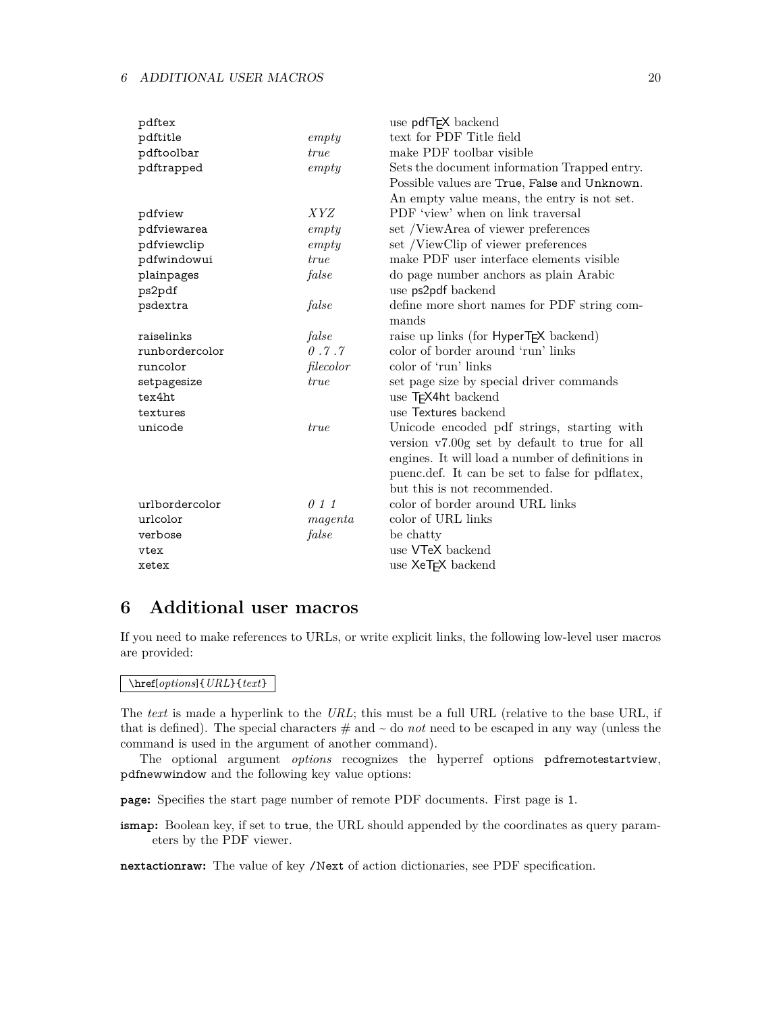| pdftex         |             | use pdfT <sub>F</sub> X backend                    |
|----------------|-------------|----------------------------------------------------|
| pdftitle       | empty       | text for PDF Title field                           |
| pdftoolbar     | true        | make PDF toolbar visible                           |
| pdftrapped     | empty       | Sets the document information Trapped entry.       |
|                |             | Possible values are True, False and Unknown.       |
|                |             | An empty value means, the entry is not set.        |
| pdfview        | <i>XYZ</i>  | PDF 'view' when on link traversal                  |
| pdfviewarea    | empty       | set /ViewArea of viewer preferences                |
| pdfviewclip    | empty       | set /ViewClip of viewer preferences                |
| pdfwindowui    | true        | make PDF user interface elements visible           |
| plainpages     | false       | do page number anchors as plain Arabic             |
| ps2pdf         |             | use ps2pdf backend                                 |
| psdextra       | false       | define more short names for PDF string com-        |
|                |             | mands                                              |
| raiselinks     | false       | raise up links (for HyperT <sub>F</sub> X backend) |
| runbordercolor | 0.7.7       | color of border around 'run' links                 |
| runcolor       | filecolor   | color of 'run' links                               |
| setpagesize    | <i>true</i> | set page size by special driver commands           |
| tex4ht         |             | use T <sub>F</sub> X4ht backend                    |
| textures       |             | use Textures backend                               |
| unicode        | <i>true</i> | Unicode encoded pdf strings, starting with         |
|                |             | version v7.00g set by default to true for all      |
|                |             | engines. It will load a number of definitions in   |
|                |             | puenc.def. It can be set to false for pdflatex,    |
|                |             | but this is not recommended.                       |
| urlbordercolor | 011         | color of border around URL links                   |
| urlcolor       | magenta     | color of URL links                                 |
| verbose        | false       | be chatty                                          |
| vtex           |             | use VTeX backend                                   |
| xetex          |             | use XeT <sub>F</sub> X backend                     |

# <span id="page-19-0"></span>**6 Additional user macros**

If you need to make references to URLs, or write explicit links, the following low-level user macros are provided:

### \href[*options*]{*URL*}{*text*}

The *text* is made a hyperlink to the *URL*; this must be a full URL (relative to the base URL, if that is defined). The special characters  $\#$  and  $\sim$  do *not* need to be escaped in any way (unless the command is used in the argument of another command).

The optional argument *options* recognizes the hyperref options pdfremotestartview, pdfnewwindow and the following key value options:

**page:** Specifies the start page number of remote PDF documents. First page is 1.

**ismap:** Boolean key, if set to true, the URL should appended by the coordinates as query parameters by the PDF viewer.

**nextactionraw:** The value of key /Next of action dictionaries, see PDF specification.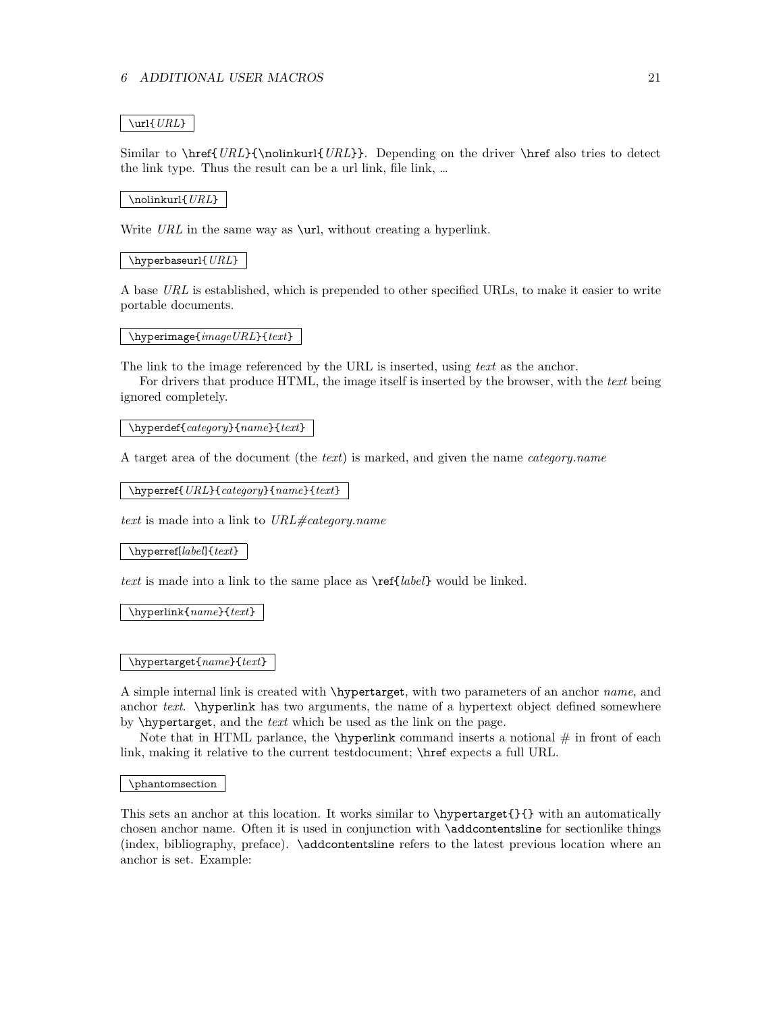### \url{*URL*}

Similar to \href{*URL*}{\nolinkurl{*URL*}}. Depending on the driver \href also tries to detect the link type. Thus the result can be a url link, file link, …

#### \nolinkurl{*URL*}

Write *URL* in the same way as **\url**, without creating a hyperlink.

### \hyperbaseurl{*URL*}

A base *URL* is established, which is prepended to other specified URLs, to make it easier to write portable documents.

#### \hyperimage{*imageURL*}{*text*}

The link to the image referenced by the URL is inserted, using *text* as the anchor.

For drivers that produce HTML, the image itself is inserted by the browser, with the *text* being ignored completely.

### \hyperdef{*category*}{*name*}{*text*}

A target area of the document (the *text*) is marked, and given the name *category.name*

\hyperref{*URL*}{*category*}{*name*}{*text*}

*text* is made into a link to *URL#category.name*

\hyperref[*label*]{*text*}

*text* is made into a link to the same place as \ref{*label*} would be linked.

\hyperlink{*name*}{*text*}

### \hypertarget{*name*}{*text*}

A simple internal link is created with \hypertarget, with two parameters of an anchor *name*, and anchor *text*. \hyperlink has two arguments, the name of a hypertext object defined somewhere by \hypertarget, and the *text* which be used as the link on the page.

Note that in HTML parlance, the  $\hbar$  vertical command inserts a notional  $\#$  in front of each link, making it relative to the current testdocument; \href expects a full URL.

\phantomsection

This sets an anchor at this location. It works similar to \hypertarget{}{} with an automatically chosen anchor name. Often it is used in conjunction with \addcontentsline for sectionlike things (index, bibliography, preface). \addcontentsline refers to the latest previous location where an anchor is set. Example: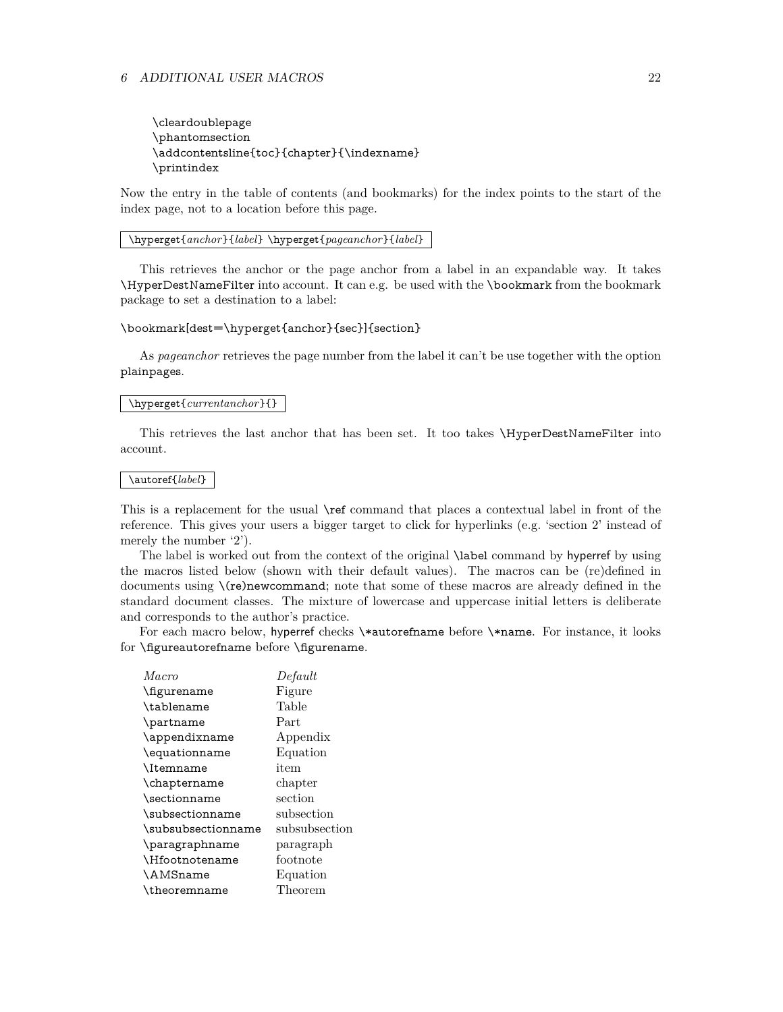\cleardoublepage \phantomsection \addcontentsline{toc}{chapter}{\indexname} \printindex

Now the entry in the table of contents (and bookmarks) for the index points to the start of the index page, not to a location before this page.

\hyperget{*anchor*}{*label*} \hyperget{*pageanchor*}{*label*}

This retrieves the anchor or the page anchor from a label in an expandable way. It takes \HyperDestNameFilter into account. It can e.g. be used with the \bookmark from the bookmark package to set a destination to a label:

#### \bookmark[dest=\hyperget{anchor}{sec}]{section}

As *pageanchor* retrieves the page number from the label it can't be use together with the option plainpages.

### \hyperget{*currentanchor*}{}

This retrieves the last anchor that has been set. It too takes \HyperDestNameFilter into account.

#### \autoref{*label*}

This is a replacement for the usual \ref command that places a contextual label in front of the reference. This gives your users a bigger target to click for hyperlinks (e.g. 'section 2' instead of merely the number '2').

The label is worked out from the context of the original \label command by hyperref by using the macros listed below (shown with their default values). The macros can be (re)defined in documents using \(re)newcommand; note that some of these macros are already defined in the standard document classes. The mixture of lowercase and uppercase initial letters is deliberate and corresponds to the author's practice.

For each macro below, hyperref checks \\*autorefname before \\*name. For instance, it looks for \figureautorefname before \figurename.

| Macro              | Default            |
|--------------------|--------------------|
| \figurename        | Figure             |
| \tablename         | Table              |
| \partname          | Part               |
| \appendixname      | Appendix           |
| \equationname      | Equation           |
| <b>\Itemname</b>   | item               |
| \chaptername       | chapter            |
| \sectionname       | $\mathrm{section}$ |
| \subsectionname    | subsection         |
| \subsubsectionname | subsubsection      |
| \paragraphname     | paragraph          |
| \Hfootnotename     | footnote           |
| <b>\AMSname</b>    | Equation           |
| \theoremname       | Theorem            |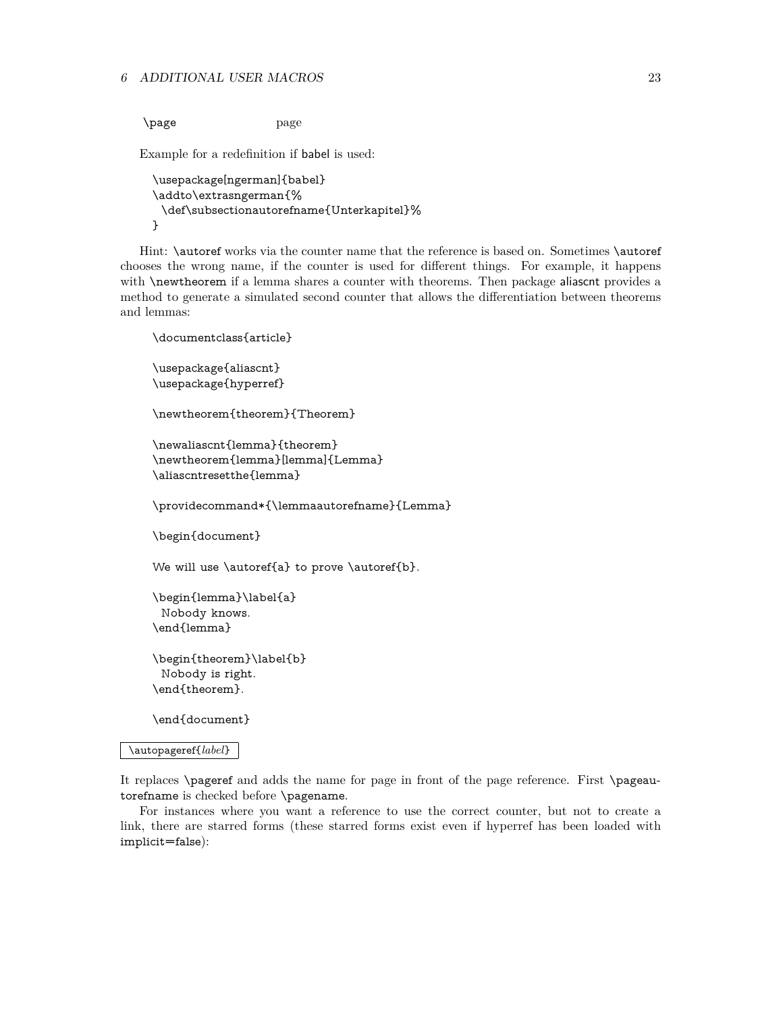\page page

Example for a redefinition if babel is used:

```
\usepackage[ngerman]{babel}
\addto\extrasngerman{%
 \def\subsectionautorefname{Unterkapitel}%
}
```
Hint: \autoref works via the counter name that the reference is based on. Sometimes \autoref chooses the wrong name, if the counter is used for different things. For example, it happens with **\newtheorem** if a lemma shares a counter with theorems. Then package aliascnt provides a method to generate a simulated second counter that allows the differentiation between theorems and lemmas:

```
\documentclass{article}
\usepackage{aliascnt}
\usepackage{hyperref}
\newtheorem{theorem}{Theorem}
\newaliascnt{lemma}{theorem}
\newtheorem{lemma}[lemma]{Lemma}
\aliascntresetthe{lemma}
\providecommand*{\lemmaautorefname}{Lemma}
\begin{document}
We will use \autoref{a} to prove \autoref{b}.
\begin{lemma}\label{a}
 Nobody knows.
\end{lemma}
\begin{theorem}\label{b}
 Nobody is right.
\end{theorem}.
```
\end{document}

#### \autopageref{*label*}

It replaces \pageref and adds the name for page in front of the page reference. First \pageautorefname is checked before \pagename.

For instances where you want a reference to use the correct counter, but not to create a link, there are starred forms (these starred forms exist even if hyperref has been loaded with implicit=false):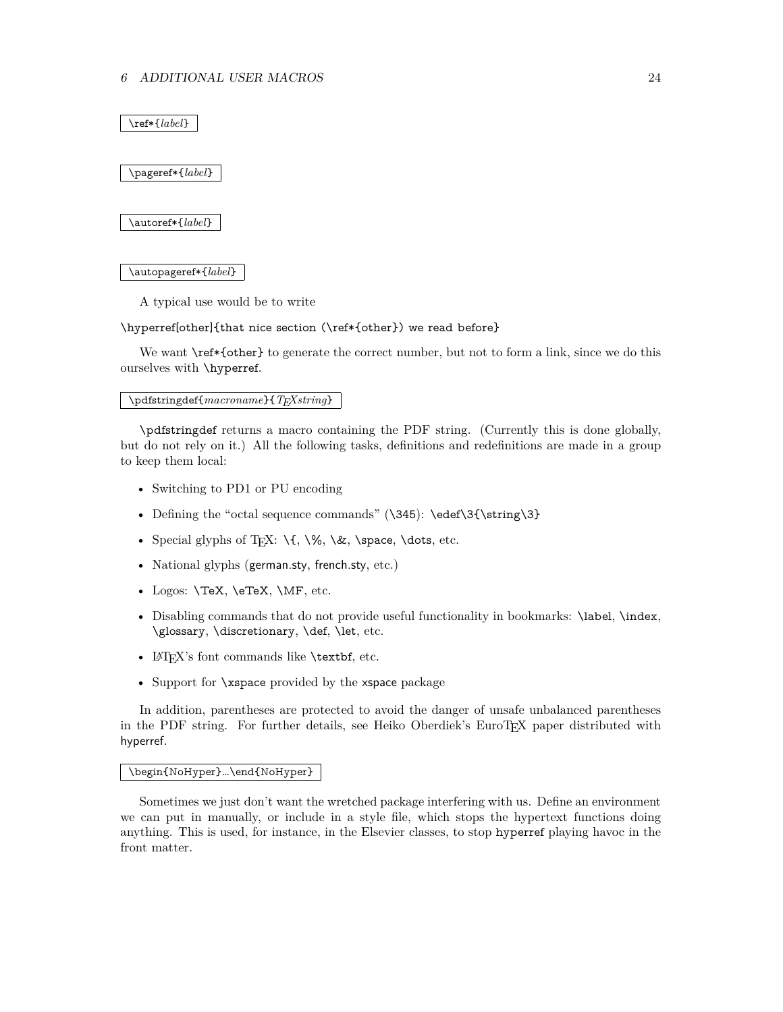\ref\*{*label*}

\pageref\*{*label*}

\autoref\*{*label*}

\autopageref\*{*label*}

A typical use would be to write

\hyperref[other]{that nice section (\ref\*{other}) we read before}

We want  $\ref*{other}$  to generate the correct number, but not to form a link, since we do this ourselves with \hyperref.

\pdfstringdef{*macroname*}{*TEXstring*}

\pdfstringdef returns a macro containing the PDF string. (Currently this is done globally, but do not rely on it.) All the following tasks, definitions and redefinitions are made in a group to keep them local:

- Switching to PD1 or PU encoding
- Defining the "octal sequence commands"  $(\345)$ :  $\edef\3{\string\3}$
- Special glyphs of T<sub>E</sub>X:  $\{\sqrt{}, \&, \$  space, \dots, etc.
- National glyphs (german.sty, french.sty, etc.)
- Logos: **\TeX, \eTeX, \MF**, etc.
- Disabling commands that do not provide useful functionality in bookmarks: \label, \index, \glossary, \discretionary, \def, \let, etc.
- LAT<sub>F</sub>X's font commands like **\textbf**, etc.
- Support for \xspace provided by the xspace package

In addition, parentheses are protected to avoid the danger of unsafe unbalanced parentheses in the PDF string. For further details, see Heiko Oberdiek's EuroTEX paper distributed with hyperref.

### \begin{NoHyper}…\end{NoHyper}

Sometimes we just don't want the wretched package interfering with us. Define an environment we can put in manually, or include in a style file, which stops the hypertext functions doing anything. This is used, for instance, in the Elsevier classes, to stop hyperref playing havoc in the front matter.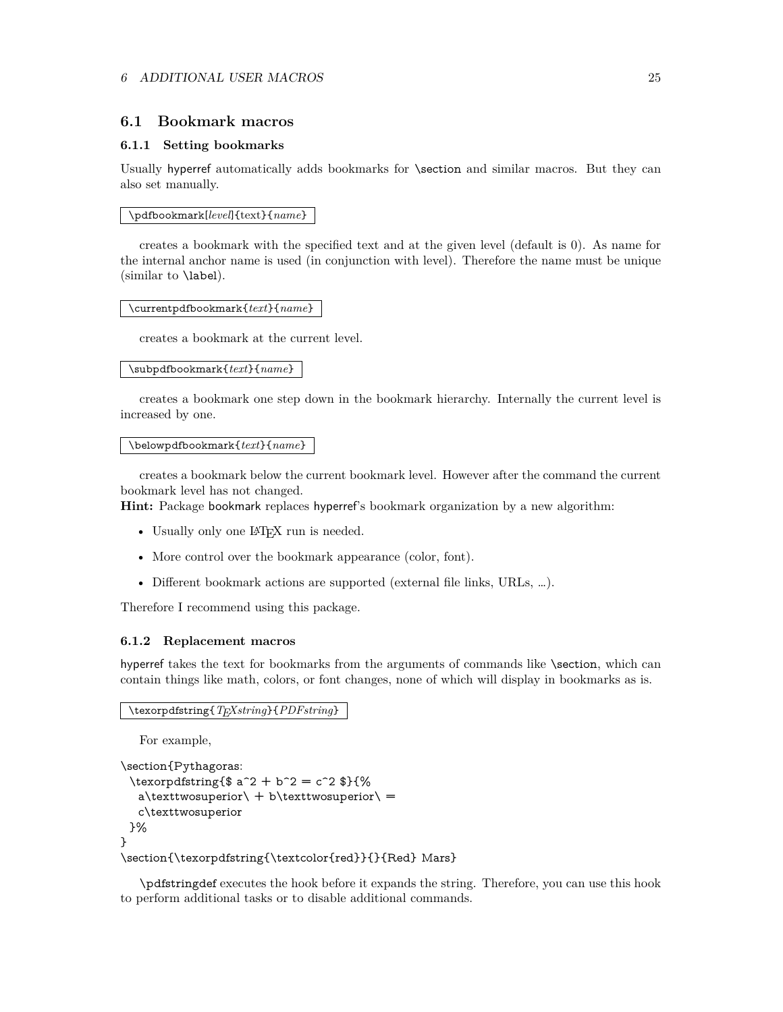### <span id="page-24-0"></span>**6.1 Bookmark macros**

### <span id="page-24-1"></span>**6.1.1 Setting bookmarks**

Usually hyperref automatically adds bookmarks for \section and similar macros. But they can also set manually.

\pdfbookmark[*level*]{text}{*name*}

creates a bookmark with the specified text and at the given level (default is 0). As name for the internal anchor name is used (in conjunction with level). Therefore the name must be unique (similar to \label).

\currentpdfbookmark{*text*}{*name*}

creates a bookmark at the current level.

#### \subpdfbookmark{*text*}{*name*}

creates a bookmark one step down in the bookmark hierarchy. Internally the current level is increased by one.

#### \belowpdfbookmark{*text*}{*name*}

creates a bookmark below the current bookmark level. However after the command the current bookmark level has not changed.

**Hint:** Package bookmark replaces hyperref's bookmark organization by a new algorithm:

- Usually only one LAT<sub>EX</sub> run is needed.
- More control over the bookmark appearance (color, font).
- Different bookmark actions are supported (external file links, URLs, …).

Therefore I recommend using this package.

### <span id="page-24-2"></span>**6.1.2 Replacement macros**

hyperref takes the text for bookmarks from the arguments of commands like \section, which can contain things like math, colors, or font changes, none of which will display in bookmarks as is.

\texorpdfstring{*TEXstring*}{*PDFstring*}

For example,

```
\section{Pythagoras:
 \texorpdfstring{$ a^2 + b^2 = c^2 $}{%
  a\text{two superior} + b\text{two superior} =c\texttwosuperior
 }%
}
\section{\texorpdfstring{\textcolor{red}}{}{Red} Mars}
```
\pdfstringdef executes the hook before it expands the string. Therefore, you can use this hook to perform additional tasks or to disable additional commands.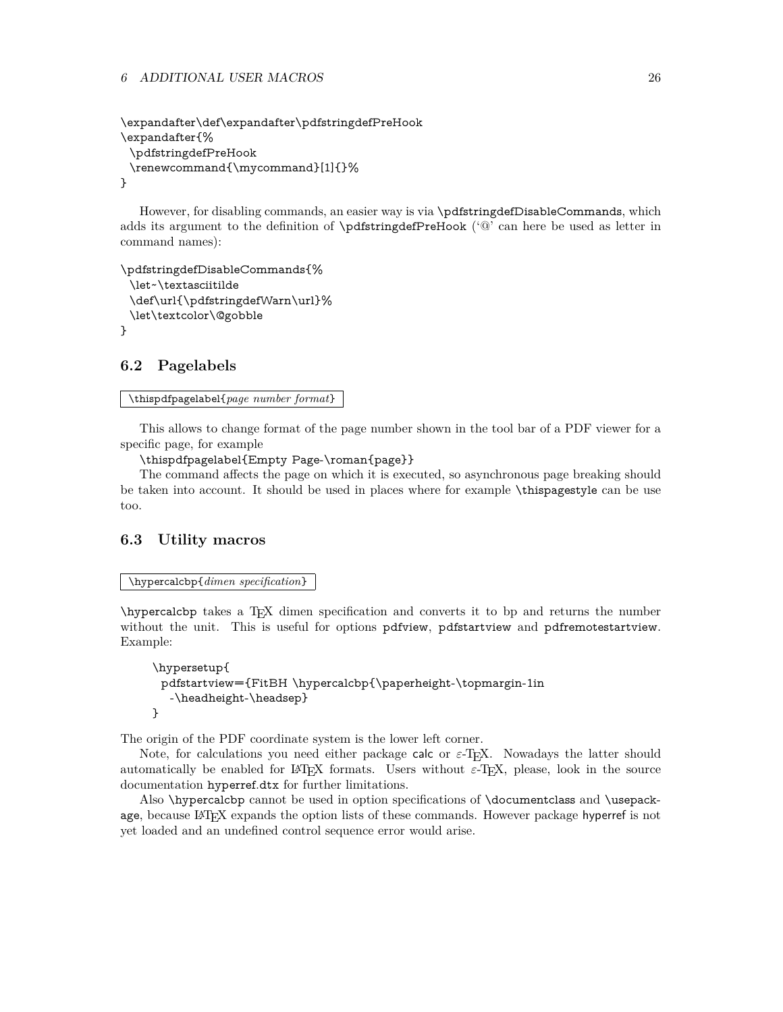### 6 ADDITIONAL USER MACROS 26

```
\expandafter\def\expandafter\pdfstringdefPreHook
\expandafter{%
 \pdfstringdefPreHook
 \renewcommand{\mycommand}[1]{}%
}
```
However, for disabling commands, an easier way is via \pdfstringdefDisableCommands, which adds its argument to the definition of \pdfstringdefPreHook ('@' can here be used as letter in command names):

```
\pdfstringdefDisableCommands{%
 \let~\textasciitilde
 \def\url{\pdfstringdefWarn\url}%
 \let\textcolor\@gobble
}
```
# <span id="page-25-0"></span>**6.2 Pagelabels**

```
\thispdfpagelabel{page number format}
```
This allows to change format of the page number shown in the tool bar of a PDF viewer for a specific page, for example

\thispdfpagelabel{Empty Page-\roman{page}}

The command affects the page on which it is executed, so asynchronous page breaking should be taken into account. It should be used in places where for example \thispagestyle can be use too.

# <span id="page-25-1"></span>**6.3 Utility macros**

\hypercalcbp{*dimen specification*}

\hypercalcbp takes a TEX dimen specification and converts it to bp and returns the number without the unit. This is useful for options pdfview, pdfstartview and pdfremotestartview. Example:

```
\hypersetup{
 pdfstartview={FitBH \hypercalcbp{\paperheight-\topmargin-1in
  -\headheight-\headsep}
}
```
The origin of the PDF coordinate system is the lower left corner.

Note, for calculations you need either package calc or  $\varepsilon$ -T<sub>F</sub>X. Nowadays the latter should automatically be enabled for LATEX formats. Users without  $\varepsilon$ -TEX, please, look in the source documentation hyperref.dtx for further limitations.

Also \hypercalcbp cannot be used in option specifications of \documentclass and \usepackage, because LATEX expands the option lists of these commands. However package hyperref is not yet loaded and an undefined control sequence error would arise.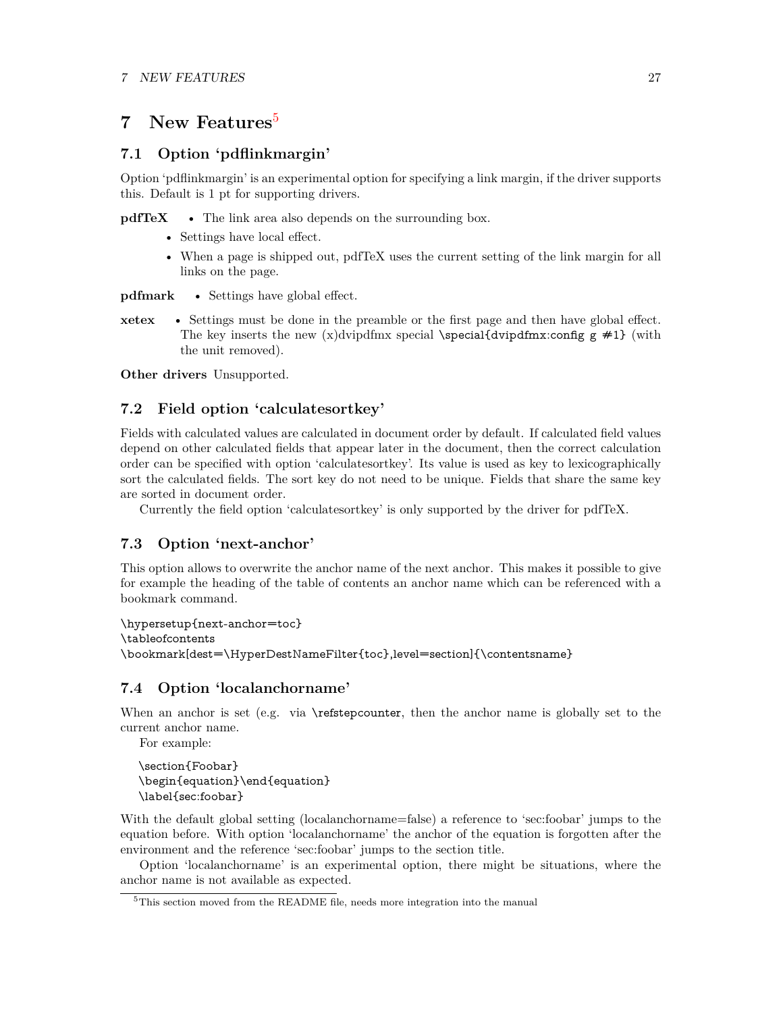# <span id="page-26-0"></span>**7 New Features**[5](#page-26-5)

# <span id="page-26-1"></span>**7.1 Option 'pdflinkmargin'**

Option 'pdflinkmargin' is an experimental option for specifying a link margin, if the driver supports this. Default is 1 pt for supporting drivers.

**pdfTeX** • The link area also depends on the surrounding box.

- Settings have local effect.
- When a page is shipped out, pdfTeX uses the current setting of the link margin for all links on the page.

**pdfmark** • Settings have global effect.

**xetex** • Settings must be done in the preamble or the first page and then have global effect. The key inserts the new (x)dvipdfmx special \special{dvipdfmx:config  $g \neq 1$ } (with the unit removed).

**Other drivers** Unsupported.

# <span id="page-26-2"></span>**7.2 Field option 'calculatesortkey'**

Fields with calculated values are calculated in document order by default. If calculated field values depend on other calculated fields that appear later in the document, then the correct calculation order can be specified with option 'calculatesortkey'. Its value is used as key to lexicographically sort the calculated fields. The sort key do not need to be unique. Fields that share the same key are sorted in document order.

Currently the field option 'calculatesortkey' is only supported by the driver for pdfTeX.

# <span id="page-26-3"></span>**7.3 Option 'next-anchor'**

This option allows to overwrite the anchor name of the next anchor. This makes it possible to give for example the heading of the table of contents an anchor name which can be referenced with a bookmark command.

\hypersetup{next-anchor=toc} \tableofcontents \bookmark[dest=\HyperDestNameFilter{toc},level=section]{\contentsname}

# <span id="page-26-4"></span>**7.4 Option 'localanchorname'**

When an anchor is set (e.g. via \refstepcounter, then the anchor name is globally set to the current anchor name.

For example:

\section{Foobar} \begin{equation}\end{equation} \label{sec:foobar}

With the default global setting (localanchorname=false) a reference to 'sec:foobar' jumps to the equation before. With option 'localanchorname' the anchor of the equation is forgotten after the environment and the reference 'sec:foobar' jumps to the section title.

Option 'localanchorname' is an experimental option, there might be situations, where the anchor name is not available as expected.

<span id="page-26-5"></span><sup>5</sup>This section moved from the README file, needs more integration into the manual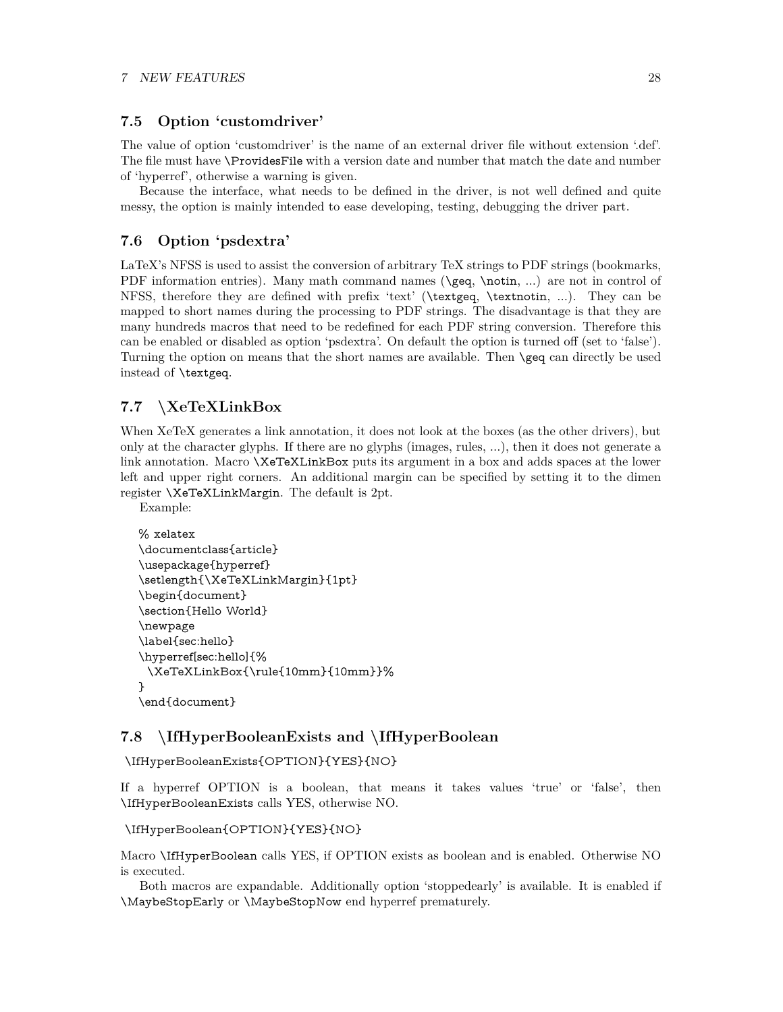# <span id="page-27-0"></span>**7.5 Option 'customdriver'**

The value of option 'customdriver' is the name of an external driver file without extension '.def'. The file must have \ProvidesFile with a version date and number that match the date and number of 'hyperref', otherwise a warning is given.

Because the interface, what needs to be defined in the driver, is not well defined and quite messy, the option is mainly intended to ease developing, testing, debugging the driver part.

# <span id="page-27-1"></span>**7.6 Option 'psdextra'**

LaTeX's NFSS is used to assist the conversion of arbitrary TeX strings to PDF strings (bookmarks, PDF information entries). Many math command names (\geq, \notin, ...) are not in control of NFSS, therefore they are defined with prefix 'text' (\textgeq, \textnotin, ...). They can be mapped to short names during the processing to PDF strings. The disadvantage is that they are many hundreds macros that need to be redefined for each PDF string conversion. Therefore this can be enabled or disabled as option 'psdextra'. On default the option is turned off (set to 'false'). Turning the option on means that the short names are available. Then \geq can directly be used instead of \textgeq.

# <span id="page-27-2"></span>**7.7 \XeTeXLinkBox**

Example:

When XeTeX generates a link annotation, it does not look at the boxes (as the other drivers), but only at the character glyphs. If there are no glyphs (images, rules, ...), then it does not generate a link annotation. Macro \XeTeXLinkBox puts its argument in a box and adds spaces at the lower left and upper right corners. An additional margin can be specified by setting it to the dimen register \XeTeXLinkMargin. The default is 2pt.

```
% xelatex
\documentclass{article}
\usepackage{hyperref}
\setlength{\XeTeXLinkMargin}{1pt}
\begin{document}
\section{Hello World}
\newpage
\label{sec:hello}
\hyperref[sec:hello]{%
 \XeTeXLinkBox{\rule{10mm}{10mm}}%
}
\end{document}
```
# <span id="page-27-3"></span>**7.8 \IfHyperBooleanExists and \IfHyperBoolean**

\IfHyperBooleanExists{OPTION}{YES}{NO}

If a hyperref OPTION is a boolean, that means it takes values 'true' or 'false', then \IfHyperBooleanExists calls YES, otherwise NO.

```
\IfHyperBoolean{OPTION}{YES}{NO}
```
Macro \IfHyperBoolean calls YES, if OPTION exists as boolean and is enabled. Otherwise NO is executed.

Both macros are expandable. Additionally option 'stoppedearly' is available. It is enabled if \MaybeStopEarly or \MaybeStopNow end hyperref prematurely.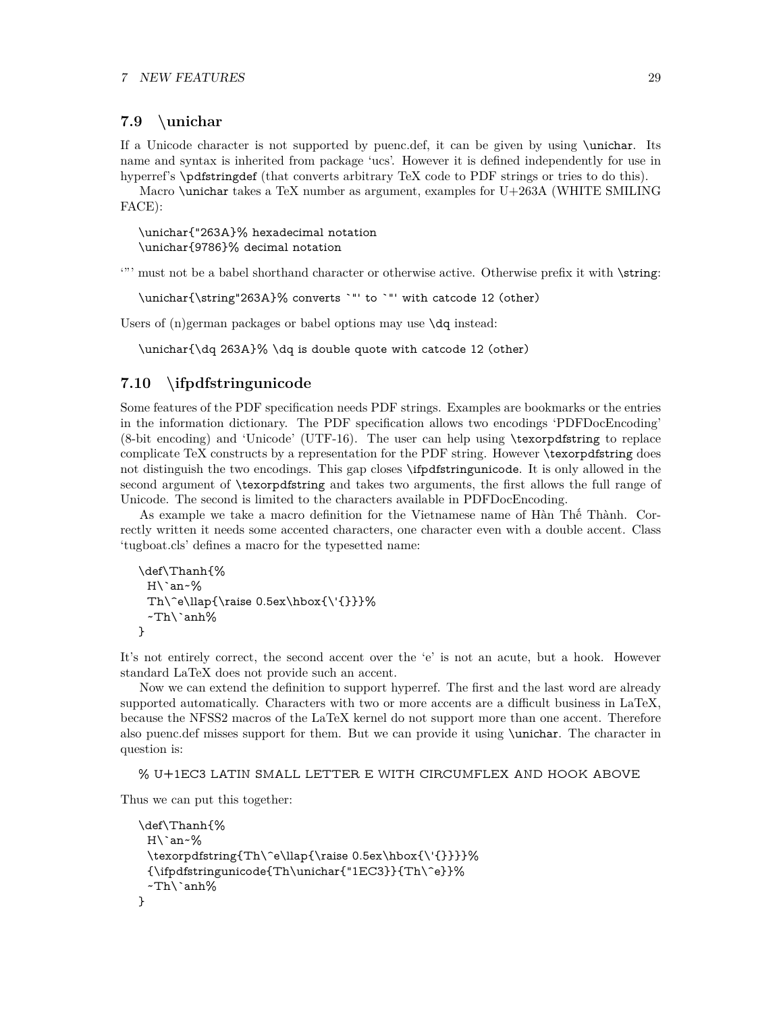# <span id="page-28-0"></span>**7.9 \unichar**

If a Unicode character is not supported by puenc.def, it can be given by using \unichar. Its name and syntax is inherited from package 'ucs'. However it is defined independently for use in hyperref's \pdfstringdef (that converts arbitrary TeX code to PDF strings or tries to do this).

Macro \unichar takes a TeX number as argument, examples for U+263A (WHITE SMILING FACE):

\unichar{"263A}% hexadecimal notation \unichar{9786}% decimal notation

'"' must not be a babel shorthand character or otherwise active. Otherwise prefix it with \string:

\unichar{\string"263A}% converts `"' to `"' with catcode 12 (other)

Users of (n)german packages or babel options may use  $\text{d}q$  instead:

\unichar{\dq 263A}% \dq is double quote with catcode 12 (other)

# <span id="page-28-1"></span>**7.10 \ifpdfstringunicode**

Some features of the PDF specification needs PDF strings. Examples are bookmarks or the entries in the information dictionary. The PDF specification allows two encodings 'PDFDocEncoding' (8-bit encoding) and 'Unicode' (UTF-16). The user can help using \texorpdfstring to replace complicate TeX constructs by a representation for the PDF string. However \texorpdfstring does not distinguish the two encodings. This gap closes \ifpdfstringunicode. It is only allowed in the second argument of \texorpdfstring and takes two arguments, the first allows the full range of Unicode. The second is limited to the characters available in PDFDocEncoding.

As example we take a macro definition for the Vietnamese name of Hàn Thế Thành. Correctly written it needs some accented characters, one character even with a double accent. Class 'tugboat.cls' defines a macro for the typesetted name:

```
\def\Thanh{%
 H\`an~%
 Th\^e\llap{\raise 0.5ex\hbox{\'{}}}%
 ~Th\`anh%
}
```
It's not entirely correct, the second accent over the 'e' is not an acute, but a hook. However standard LaTeX does not provide such an accent.

Now we can extend the definition to support hyperref. The first and the last word are already supported automatically. Characters with two or more accents are a difficult business in LaTeX, because the NFSS2 macros of the LaTeX kernel do not support more than one accent. Therefore also puenc.def misses support for them. But we can provide it using \unichar. The character in question is:

% U+1EC3 LATIN SMALL LETTER E WITH CIRCUMFLEX AND HOOK ABOVE

Thus we can put this together:

```
\def\Thanh{%
 H\`an~%
 \texorpdfstring{Th\^e\llap{\raise 0.5ex\hbox{\'{}}}}%
 {\ifpdfstringunicode{Th\unichar{"1EC3}}{Th\^e}}%
 ~Th\`anh%
}
```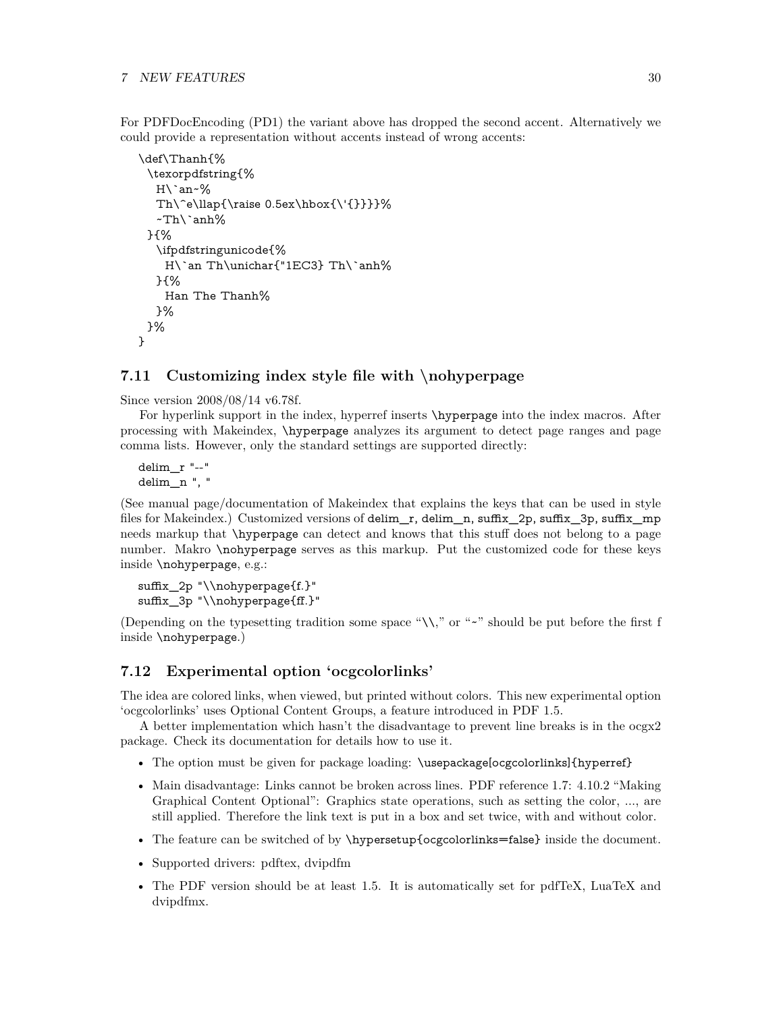For PDFDocEncoding (PD1) the variant above has dropped the second accent. Alternatively we could provide a representation without accents instead of wrong accents:

```
\def\Thanh{%
 \texorpdfstring{%
  H\`an~%
  Th\^e\llap{\raise 0.5ex\hbox{\'{}}}}%
  ~Th\`anh%
 }{%
  \ifpdfstringunicode{%
   H\`an Th\unichar{"1EC3} Th\`anh%
  }{%
   Han The Thanh%
  }%
 }%
}
```
# <span id="page-29-0"></span>**7.11 Customizing index style file with \nohyperpage**

Since version 2008/08/14 v6.78f.

For hyperlink support in the index, hyperref inserts  $\hbox{\texttt{hyperpage}}$  into the index macros. After processing with Makeindex, \hyperpage analyzes its argument to detect page ranges and page comma lists. However, only the standard settings are supported directly:

delim\_r "--" delim\_n ", "

(See manual page/documentation of Makeindex that explains the keys that can be used in style files for Makeindex.) Customized versions of delim\_r, delim\_n, suffix\_2p, suffix\_3p, suffix\_mp needs markup that \hyperpage can detect and knows that this stuff does not belong to a page number. Makro \nohyperpage serves as this markup. Put the customized code for these keys inside \nohyperpage, e.g.:

```
suffix_2p "\\nohyperpage{f.}"
suffix_3p "\\nohyperpage{ff.}"
```
(Depending on the typesetting tradition some space " $\setminus\setminus$ " or "~" should be put before the first f inside \nohyperpage.)

# <span id="page-29-1"></span>**7.12 Experimental option 'ocgcolorlinks'**

The idea are colored links, when viewed, but printed without colors. This new experimental option 'ocgcolorlinks' uses Optional Content Groups, a feature introduced in PDF 1.5.

A better implementation which hasn't the disadvantage to prevent line breaks is in the ocgx2 package. Check its documentation for details how to use it.

- The option must be given for package loading: \usepackage[ocgcolorlinks]{hyperref}
- Main disadvantage: Links cannot be broken across lines. PDF reference 1.7: 4.10.2 "Making" Graphical Content Optional": Graphics state operations, such as setting the color, ..., are still applied. Therefore the link text is put in a box and set twice, with and without color.
- The feature can be switched of by \hypersetup{ocgcolorlinks=false} inside the document.
- Supported drivers: pdftex, dvipdfm
- The PDF version should be at least 1.5. It is automatically set for pdfTeX, LuaTeX and dvipdfmx.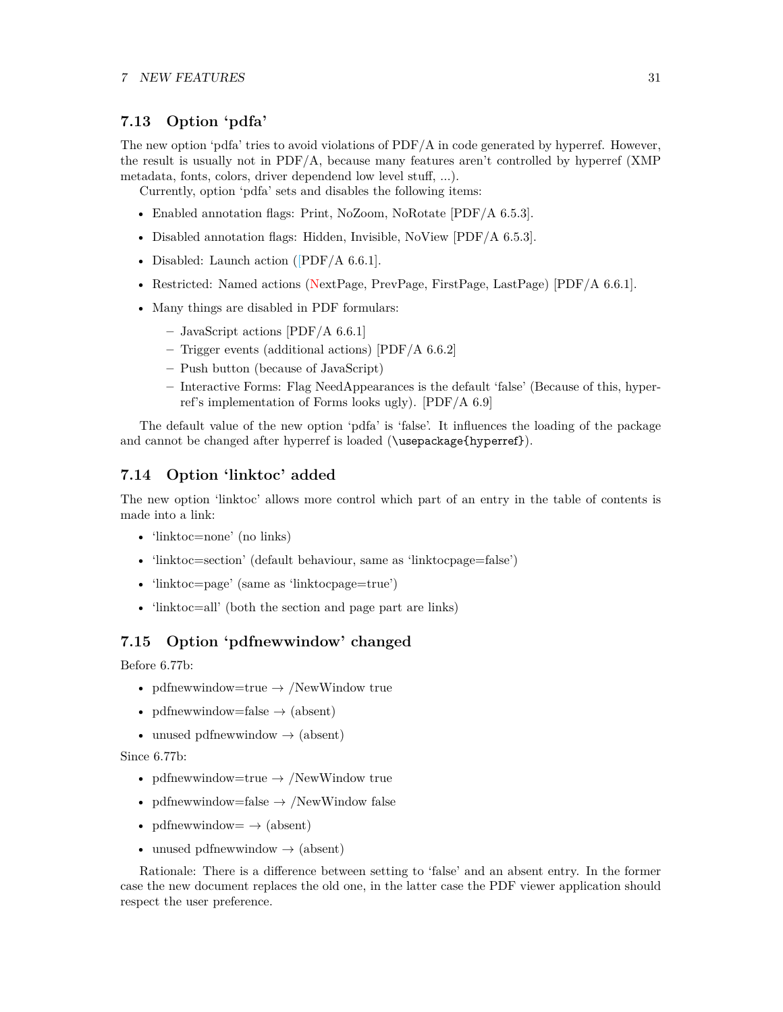# <span id="page-30-0"></span>**7.13 Option 'pdfa'**

The new option 'pdfa' tries to avoid violations of PDF/A in code generated by hyperref. However, the result is usually not in  $PDF/A$ , because many features aren't controlled by hyperref (XMP) metadata, fonts, colors, driver dependend low level stuff, ...).

Currently, option 'pdfa' sets and disables the following items:

- Enabled annotation flags: Print, NoZoom, NoRotate [PDF/A 6.5.3].
- Disabled annotation flags: Hidden, Invisible, NoView [PDF/A 6.5.3].
- Disabled: Launch action ([PDF/A 6.6.1].
- Restricted: Named actions (NextPage, PrevPage, FirstPage, LastPage) [PDF/A 6.6.1].
- Many things are disabled in PDF formulars:
	- **–** JavaScript actions [PDF/A 6.6.1]
	- **–** Trigger events (additional actions) [PDF/A 6.6.2]
	- **–** Push button (because of JavaScript)
	- **–** Interactive Forms: Flag NeedAppearances is the default 'false' (Because of this, hyperref's implementation of Forms looks ugly). [PDF/A 6.9]

The default value of the new option 'pdfa' is 'false'. It influences the loading of the package and cannot be changed after hyperref is loaded (\usepackage{hyperref}).

# <span id="page-30-1"></span>**7.14 Option 'linktoc' added**

The new option 'linktoc' allows more control which part of an entry in the table of contents is made into a link:

- 'linktoc=none' (no links)
- 'linktoc=section' (default behaviour, same as 'linktocpage=false')
- 'linktoc=page' (same as 'linktocpage=true')
- 'linktoc=all' (both the section and page part are links)

# <span id="page-30-2"></span>**7.15 Option 'pdfnewwindow' changed**

Before 6.77b:

- pdfnewwindow=true  $\rightarrow$  /NewWindow true
- pdfnewwindow=false  $\rightarrow$  (absent)
- unused pdfnewwindow  $\rightarrow$  (absent)

Since 6.77b:

- pdfnewwindow=true  $\rightarrow$  /NewWindow true
- pdfnewwindow=false  $\rightarrow$  /NewWindow false
- pdfnewwindow  $\Rightarrow$  (absent)
- unused pdfnewwindow  $\rightarrow$  (absent)

Rationale: There is a difference between setting to 'false' and an absent entry. In the former case the new document replaces the old one, in the latter case the PDF viewer application should respect the user preference.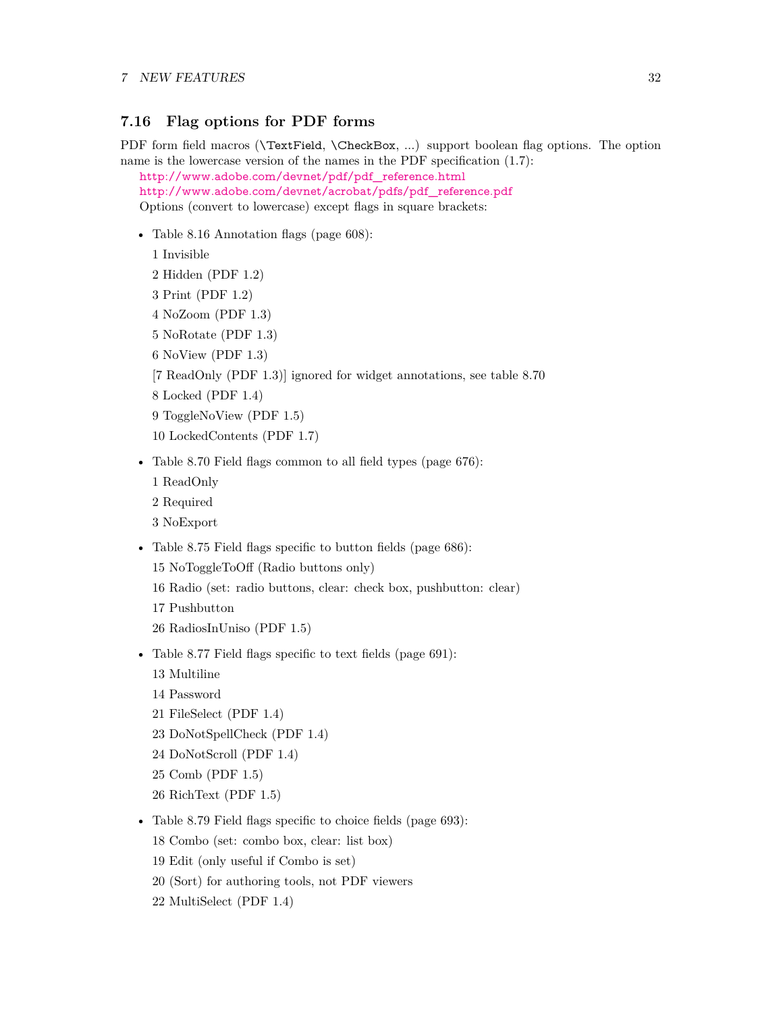# <span id="page-31-0"></span>**7.16 Flag options for PDF forms**

PDF form field macros (**\TextField, \CheckBox, ...**) support boolean flag options. The option name is the lowercase version of the names in the PDF specification (1.7):

[http://www.adobe.com/devnet/pdf/pdf\\_reference.html](http://www.adobe.com/devnet/pdf/pdf_reference.html)

[http://www.adobe.com/devnet/acrobat/pdfs/pdf\\_reference.pdf](http://www.adobe.com/devnet/acrobat/pdfs/pdf_reference.pdf) Options (convert to lowercase) except flags in square brackets:

• Table 8.16 Annotation flags (page 608):

1 Invisible 2 Hidden (PDF 1.2)

- 3 Print (PDF 1.2)
- 4 NoZoom (PDF 1.3)
- 5 NoRotate (PDF 1.3)
- 6 NoView (PDF 1.3)
- [7 ReadOnly (PDF 1.3)] ignored for widget annotations, see table 8.70
- 8 Locked (PDF 1.4)
- 9 ToggleNoView (PDF 1.5)
- 10 LockedContents (PDF 1.7)
- Table 8.70 Field flags common to all field types (page 676):
	- 1 ReadOnly
	- 2 Required
	- 3 NoExport
- Table 8.75 Field flags specific to button fields (page 686):
	- 15 NoToggleToOff (Radio buttons only)
	- 16 Radio (set: radio buttons, clear: check box, pushbutton: clear)
	- 17 Pushbutton
	- 26 RadiosInUniso (PDF 1.5)
- Table 8.77 Field flags specific to text fields (page 691):
	- 13 Multiline
	- 14 Password
	- 21 FileSelect (PDF 1.4)
	- 23 DoNotSpellCheck (PDF 1.4)
	- 24 DoNotScroll (PDF 1.4)
	- 25 Comb (PDF 1.5)
	- 26 RichText (PDF 1.5)
- Table 8.79 Field flags specific to choice fields (page 693):
	- 18 Combo (set: combo box, clear: list box)
	- 19 Edit (only useful if Combo is set)
	- 20 (Sort) for authoring tools, not PDF viewers
	- 22 MultiSelect (PDF 1.4)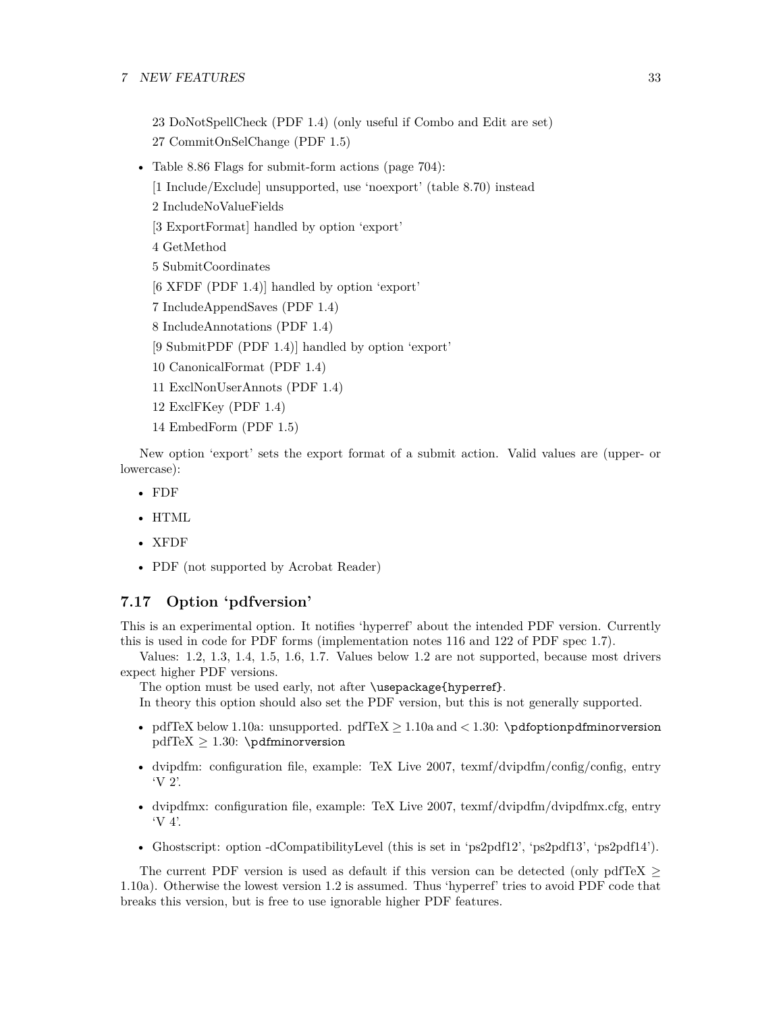### 7 NEW FEATURES 33

23 DoNotSpellCheck (PDF 1.4) (only useful if Combo and Edit are set) 27 CommitOnSelChange (PDF 1.5)

- Table 8.86 Flags for submit-form actions (page 704):
	- [1 Include/Exclude] unsupported, use 'noexport' (table 8.70) instead
	- 2 IncludeNoValueFields

[3 ExportFormat] handled by option 'export'

4 GetMethod

5 SubmitCoordinates

[6 XFDF (PDF 1.4)] handled by option 'export'

7 IncludeAppendSaves (PDF 1.4)

8 IncludeAnnotations (PDF 1.4)

[9 SubmitPDF (PDF 1.4)] handled by option 'export'

- 10 CanonicalFormat (PDF 1.4)
- 11 ExclNonUserAnnots (PDF 1.4)
- 12 ExclFKey (PDF 1.4)
- 14 EmbedForm (PDF 1.5)

New option 'export' sets the export format of a submit action. Valid values are (upper- or lowercase):

- FDF
- HTML
- XFDF
- PDF (not supported by Acrobat Reader)

# <span id="page-32-0"></span>**7.17 Option 'pdfversion'**

This is an experimental option. It notifies 'hyperref' about the intended PDF version. Currently this is used in code for PDF forms (implementation notes 116 and 122 of PDF spec 1.7).

Values: 1.2, 1.3, 1.4, 1.5, 1.6, 1.7. Values below 1.2 are not supported, because most drivers expect higher PDF versions.

The option must be used early, not after \usepackage{hyperref}.

In theory this option should also set the PDF version, but this is not generally supported.

- pdfTeX below 1.10a: unsupported. pdfTeX  $\geq$  1.10a and  $\lt$  1.30: \pdfoptionpdfminorversion  $pdfTeX \geq 1.30$ : \pdfminorversion
- dvipdfm: configuration file, example: TeX Live 2007, texmf/dvipdfm/config/config, entry 'V 2'.
- dvipdfmx: configuration file, example: TeX Live 2007, texmf/dvipdfm/dvipdfmx.cfg, entry 'V 4'.
- Ghostscript: option -dCompatibilityLevel (this is set in 'ps2pdf12', 'ps2pdf13', 'ps2pdf14').

The current PDF version is used as default if this version can be detected (only pdfTeX  $\geq$ 1.10a). Otherwise the lowest version 1.2 is assumed. Thus 'hyperref' tries to avoid PDF code that breaks this version, but is free to use ignorable higher PDF features.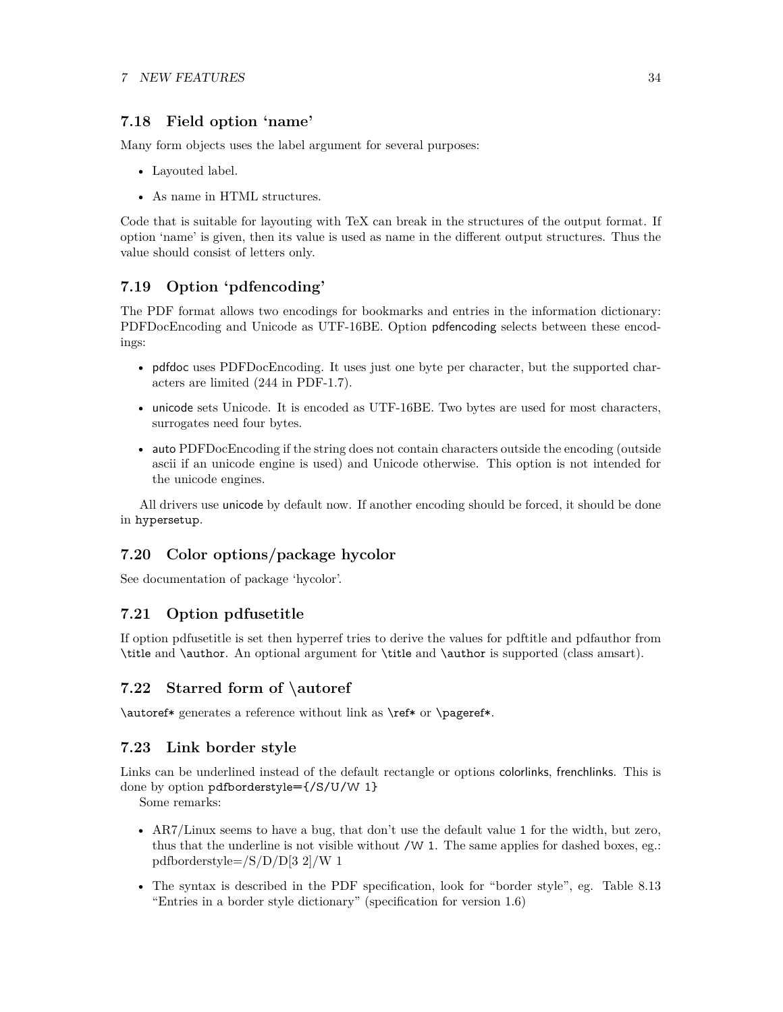# <span id="page-33-0"></span>**7.18 Field option 'name'**

Many form objects uses the label argument for several purposes:

- Layouted label.
- As name in HTML structures.

Code that is suitable for layouting with TeX can break in the structures of the output format. If option 'name' is given, then its value is used as name in the different output structures. Thus the value should consist of letters only.

# <span id="page-33-1"></span>**7.19 Option 'pdfencoding'**

The PDF format allows two encodings for bookmarks and entries in the information dictionary: PDFDocEncoding and Unicode as UTF-16BE. Option pdfencoding selects between these encodings:

- pdfdoc uses PDFDocEncoding. It uses just one byte per character, but the supported characters are limited (244 in PDF-1.7).
- unicode sets Unicode. It is encoded as UTF-16BE. Two bytes are used for most characters, surrogates need four bytes.
- auto PDFDocEncoding if the string does not contain characters outside the encoding (outside ascii if an unicode engine is used) and Unicode otherwise. This option is not intended for the unicode engines.

All drivers use unicode by default now. If another encoding should be forced, it should be done in hypersetup.

# <span id="page-33-2"></span>**7.20 Color options/package hycolor**

See documentation of package 'hycolor'.

# <span id="page-33-3"></span>**7.21 Option pdfusetitle**

If option pdfusetitle is set then hyperref tries to derive the values for pdftitle and pdfauthor from \title and \author. An optional argument for \title and \author is supported (class amsart).

# <span id="page-33-4"></span>**7.22 Starred form of \autoref**

\autoref\* generates a reference without link as \ref\* or \pageref\*.

# <span id="page-33-5"></span>**7.23 Link border style**

Links can be underlined instead of the default rectangle or options colorlinks, frenchlinks. This is done by option pdfborderstyle={/S/U/W 1}

Some remarks:

- AR7/Linux seems to have a bug, that don't use the default value 1 for the width, but zero, thus that the underline is not visible without  $/W$  1. The same applies for dashed boxes, eg.: pdfborderstyle=/S/D/D[3 2]/W 1
- The syntax is described in the PDF specification, look for "border style", eg. Table 8.13 "Entries in a border style dictionary" (specification for version 1.6)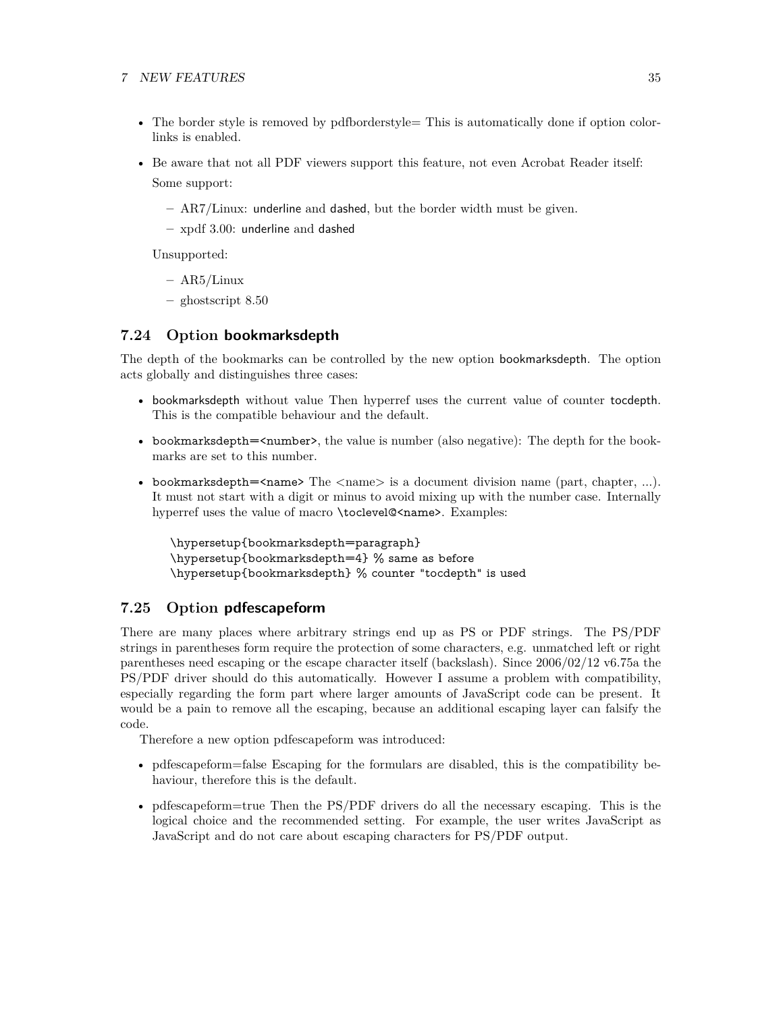### 7 NEW FEATURES 35

- The border style is removed by pdfborderstyle This is automatically done if option colorlinks is enabled.
- Be aware that not all PDF viewers support this feature, not even Acrobat Reader itself: Some support:
	- **–** AR7/Linux: underline and dashed, but the border width must be given.
	- **–** xpdf 3.00: underline and dashed

Unsupported:

- **–** AR5/Linux
- **–** ghostscript 8.50

# <span id="page-34-0"></span>**7.24 Option bookmarksdepth**

The depth of the bookmarks can be controlled by the new option bookmarksdepth. The option acts globally and distinguishes three cases:

- bookmarksdepth without value Then hyperref uses the current value of counter tocdepth. This is the compatible behaviour and the default.
- bookmarksdepth= $\leq$ number>, the value is number (also negative): The depth for the bookmarks are set to this number.
- bookmarksdepth= $\langle$ name> The  $\langle$ name> is a document division name (part, chapter, ...). It must not start with a digit or minus to avoid mixing up with the number case. Internally hyperref uses the value of macro \toclevel@<name>. Examples:

\hypersetup{bookmarksdepth=paragraph} \hypersetup{bookmarksdepth=4} % same as before \hypersetup{bookmarksdepth} % counter "tocdepth" is used

# <span id="page-34-1"></span>**7.25 Option pdfescapeform**

There are many places where arbitrary strings end up as PS or PDF strings. The PS/PDF strings in parentheses form require the protection of some characters, e.g. unmatched left or right parentheses need escaping or the escape character itself (backslash). Since 2006/02/12 v6.75a the PS/PDF driver should do this automatically. However I assume a problem with compatibility, especially regarding the form part where larger amounts of JavaScript code can be present. It would be a pain to remove all the escaping, because an additional escaping layer can falsify the code.

Therefore a new option pdfescapeform was introduced:

- pdfescapeform=false Escaping for the formulars are disabled, this is the compatibility behaviour, therefore this is the default.
- pdfescapeform=true Then the PS/PDF drivers do all the necessary escaping. This is the logical choice and the recommended setting. For example, the user writes JavaScript as JavaScript and do not care about escaping characters for PS/PDF output.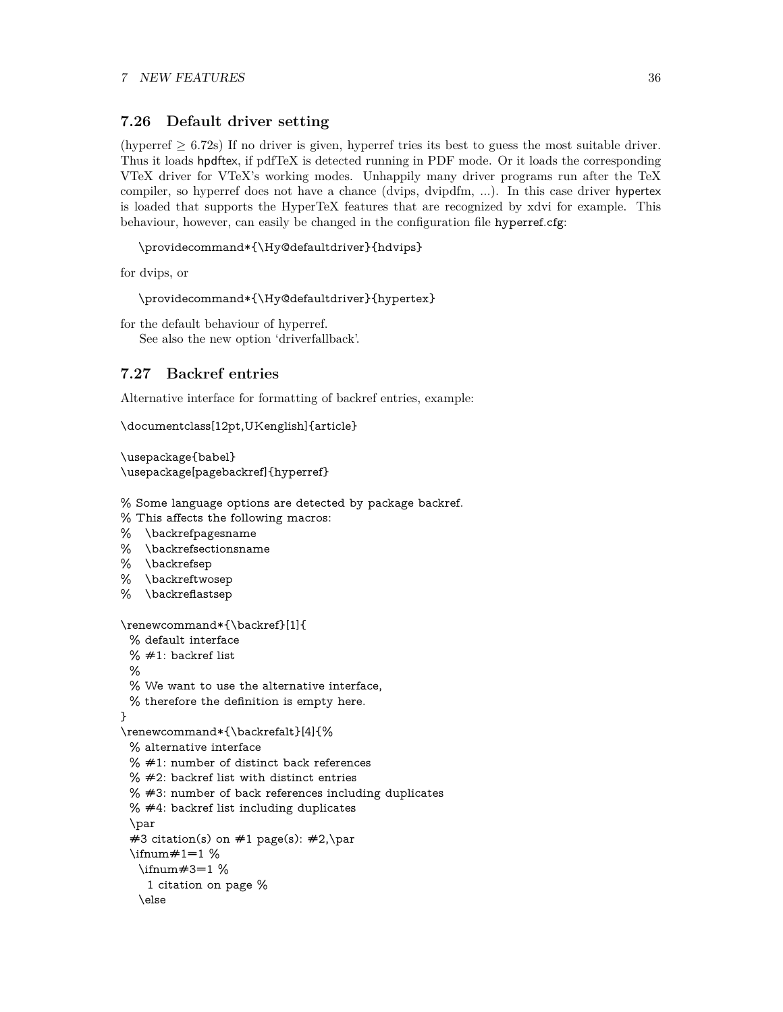# <span id="page-35-0"></span>**7.26 Default driver setting**

(hyperref  $\geq 6.72$ s) If no driver is given, hyperref tries its best to guess the most suitable driver. Thus it loads hpdftex, if pdfTeX is detected running in PDF mode. Or it loads the corresponding VTeX driver for VTeX's working modes. Unhappily many driver programs run after the TeX compiler, so hyperref does not have a chance (dvips, dvipdfm, ...). In this case driver hypertex is loaded that supports the HyperTeX features that are recognized by xdvi for example. This behaviour, however, can easily be changed in the configuration file hyperref.cfg:

```
\providecommand*{\Hy@defaultdriver}{hdvips}
```
for dvips, or

```
\providecommand*{\Hy@defaultdriver}{hypertex}
```
for the default behaviour of hyperref. See also the new option 'driverfallback'.

# <span id="page-35-1"></span>**7.27 Backref entries**

Alternative interface for formatting of backref entries, example:

```
\documentclass[12pt,UKenglish]{article}
```

```
\usepackage{babel}
\usepackage[pagebackref]{hyperref}
```
% Some language options are detected by package backref.

- % This affects the following macros:
- % \backrefpagesname
- % \backrefsectionsname
- % \backrefsep
- % \backreftwosep
- % \backreflastsep

```
\renewcommand*{\backref}[1]{
 % default interface
 % #1: backref list%
 % We want to use the alternative interface,
 % therefore the definition is empty here.
}
\renewcommand*{\backrefalt}[4]{%
 % alternative interface
 % #1: number of distinct back references
 % #2: backref list with distinct entries
 % #3: number of back references including duplicates
 % #4: backref list including duplicates
 \par
 #3 citation(s) on #1 page(s): #2, \par
 \lim_{\#1=1 \%}\ifnum#3=1 %
    1 citation on page %
   \else
```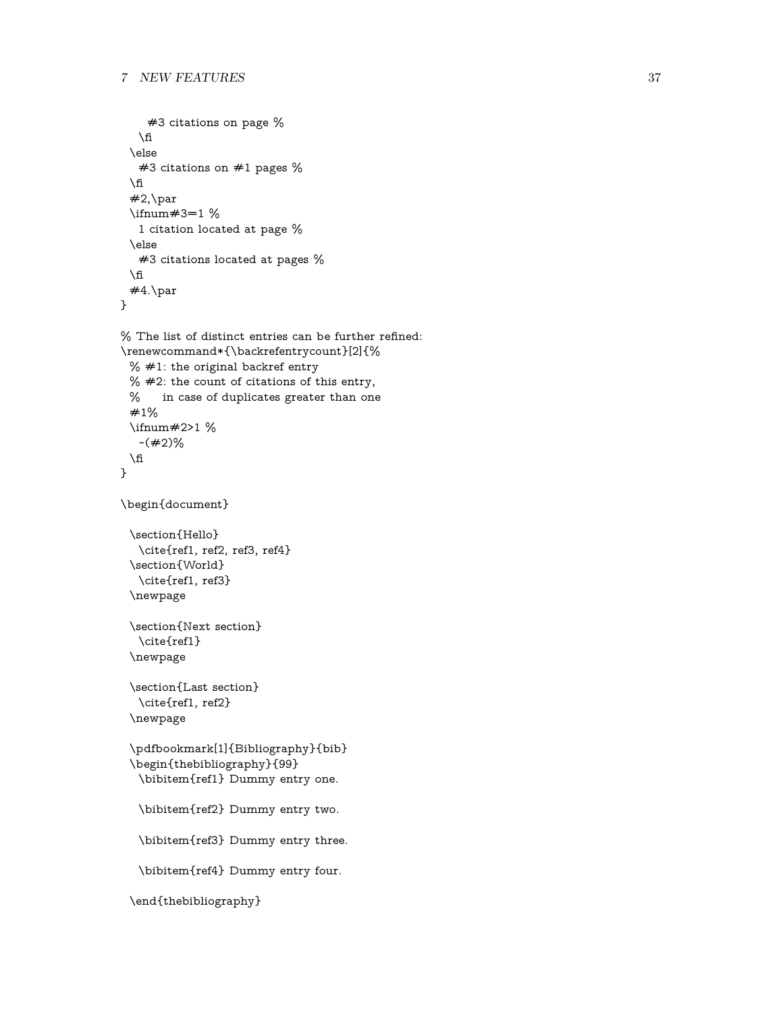```
#3 citations on page %
   \ln\else
   #3 citations on #1 pages %
 \Lambda#2, par\ifnum#3=1 %
   1 citation located at page %
 \else
   #3 citations located at pages %
 \ln#4.\par
}
\% The list of distinct entries can be further refined:
\renewcommand*{\backrefentrycount}[2]{%
 % #1: the original backref entry
 % #2: the count of citations of this entry,
 % in case of duplicates greater than one
 #1%
 \ifnum#2>1 %
   -(\#2)\%\Lambda}
\begin{document}
 \section{Hello}
   \cite{ref1, ref2, ref3, ref4}
 \section{World}
   \cite{ref1, ref3}
 \newpage
 \section{Next section}
   \cite{ref1}
 \newpage
 \section{Last section}
   \cite{ref1, ref2}
 \newpage
 \pdfbookmark[1]{Bibliography}{bib}
 \begin{thebibliography}{99}
   \bibitem{ref1} Dummy entry one.
   \bibitem{ref2} Dummy entry two.
   \bibitem{ref3} Dummy entry three.
   \bibitem{ref4} Dummy entry four.
 \end{thebibliography}
```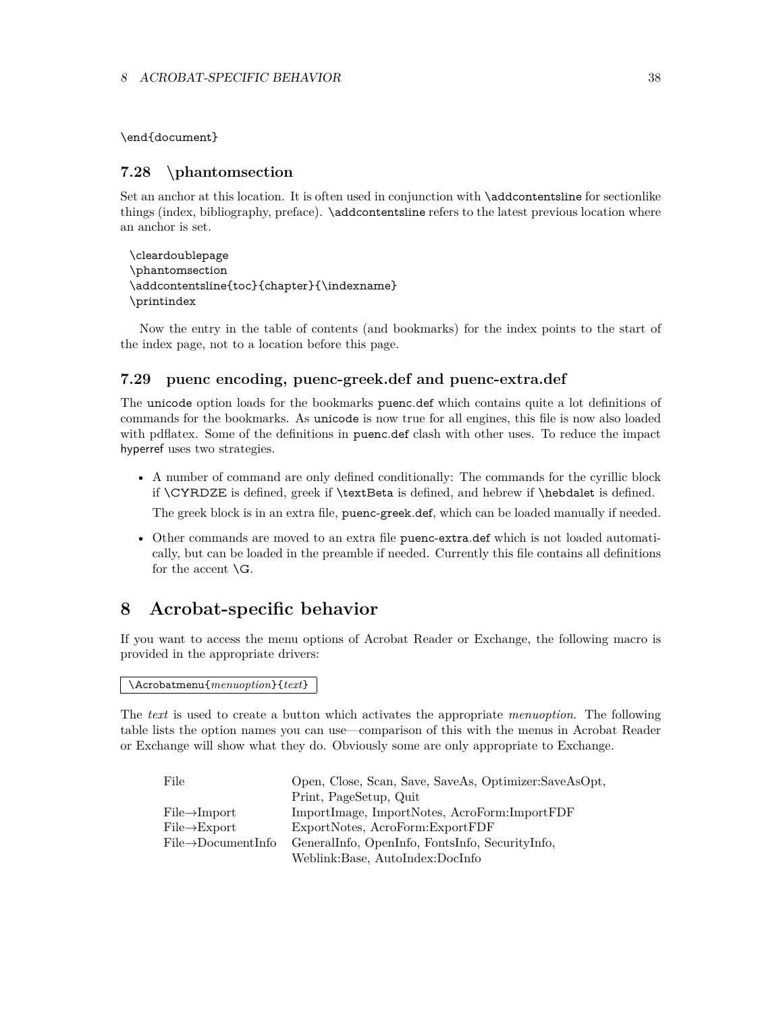\end{document}

# <span id="page-37-0"></span>**7.28 \phantomsection**

Set an anchor at this location. It is often used in conjunction with **\addcontentsline** for sectionlike things (index, bibliography, preface). \addcontentsline refers to the latest previous location where an anchor is set.

```
\cleardoublepage
\phantomsection
\addcontentsline{toc}{chapter}{\indexname}
\printindex
```
Now the entry in the table of contents (and bookmarks) for the index points to the start of the index page, not to a location before this page.

# <span id="page-37-1"></span>**7.29 puenc encoding, puenc-greek.def and puenc-extra.def**

The unicode option loads for the bookmarks puenc.def which contains quite a lot definitions of commands for the bookmarks. As unicode is now true for all engines, this file is now also loaded with pdflatex. Some of the definitions in puenc.def clash with other uses. To reduce the impact hyperref uses two strategies.

- A number of command are only defined conditionally: The commands for the cyrillic block if \CYRDZE is defined, greek if \textBeta is defined, and hebrew if \hebdalet is defined. The greek block is in an extra file, puenc-greek.def, which can be loaded manually if needed.
- Other commands are moved to an extra file puenc-extra.def which is not loaded automatically, but can be loaded in the preamble if needed. Currently this file contains all definitions for the accent \G.

# <span id="page-37-2"></span>**8 Acrobat-specific behavior**

If you want to access the menu options of Acrobat Reader or Exchange, the following macro is provided in the appropriate drivers:

\Acrobatmenu{*menuoption*}{*text*}

The *text* is used to create a button which activates the appropriate *menuoption*. The following table lists the option names you can use—comparison of this with the menus in Acrobat Reader or Exchange will show what they do. Obviously some are only appropriate to Exchange.

| File                            | Open, Close, Scan, Save, SaveAs, Optimizer:SaveAsOpt, |
|---------------------------------|-------------------------------------------------------|
|                                 | Print, PageSetup, Quit                                |
| $File \rightarrow Import$       | ImportImage, ImportNotes, AcroForm:ImportFDF          |
| $File \rightarrow Export$       | ExportNotes, AcroForm:ExportFDF                       |
| $File \rightarrow DocumentInfo$ | GeneralInfo, OpenInfo, FontsInfo, SecurityInfo,       |
|                                 | Weblink:Base, AutoIndex:DocInfo                       |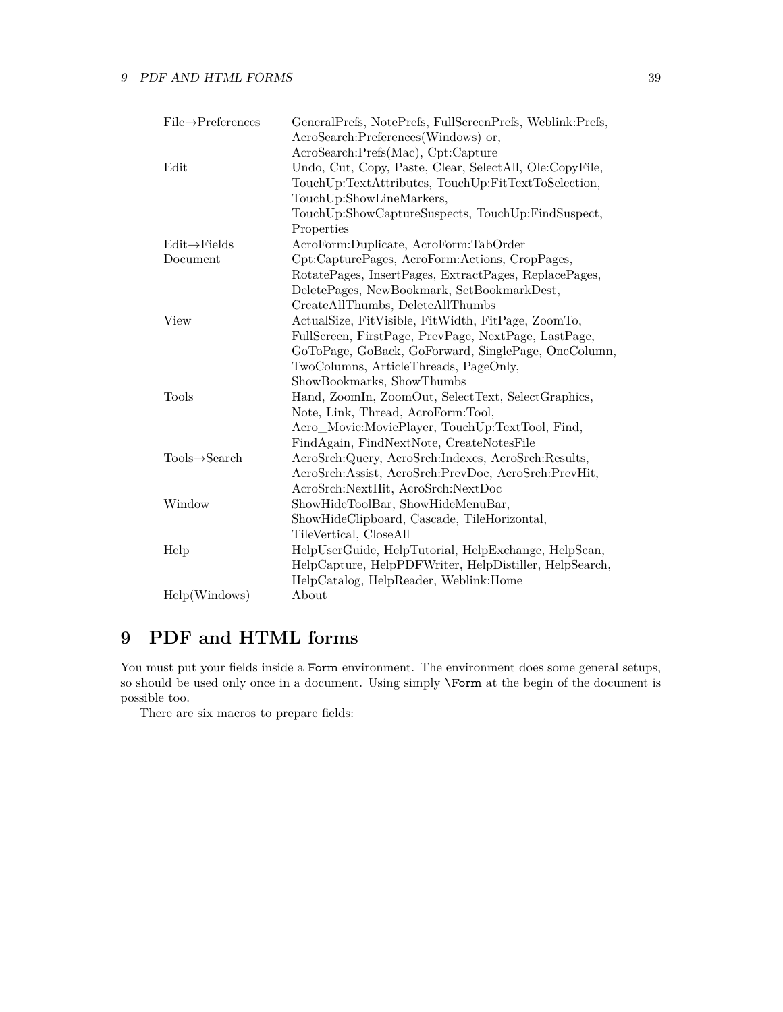| $File \rightarrow$ Preferences | GeneralPrefs, NotePrefs, FullScreenPrefs, Weblink:Prefs, |
|--------------------------------|----------------------------------------------------------|
|                                | AcroSearch:Preferences(Windows) or,                      |
|                                | AcroSearch:Prefs(Mac), Cpt:Capture                       |
| Edit                           | Undo, Cut, Copy, Paste, Clear, SelectAll, Ole:CopyFile,  |
|                                | TouchUp:TextAttributes, TouchUp:FitTextToSelection,      |
|                                | TouchUp:ShowLineMarkers,                                 |
|                                | TouchUp:ShowCaptureSuspects, TouchUp:FindSuspect,        |
|                                | Properties                                               |
| $Edit \rightarrow Fields$      | AcroForm:Duplicate, AcroForm:TabOrder                    |
| Document                       | Cpt:CapturePages, AcroForm:Actions, CropPages,           |
|                                | RotatePages, InsertPages, ExtractPages, ReplacePages,    |
|                                | DeletePages, NewBookmark, SetBookmarkDest,               |
|                                | CreateAllThumbs, DeleteAllThumbs                         |
| View                           | ActualSize, FitVisible, FitWidth, FitPage, ZoomTo,       |
|                                | FullScreen, FirstPage, PrevPage, NextPage, LastPage,     |
|                                | GoToPage, GoBack, GoForward, SinglePage, OneColumn,      |
|                                | TwoColumns, ArticleThreads, PageOnly,                    |
|                                | ShowBookmarks, ShowThumbs                                |
| Tools                          | Hand, ZoomIn, ZoomOut, SelectText, SelectGraphics,       |
|                                | Note, Link, Thread, AcroForm:Tool,                       |
|                                | Acro_Movie:MoviePlayer, TouchUp:TextTool, Find,          |
|                                | FindAgain, FindNextNote, CreateNotesFile                 |
| $Tools \rightarrow Search$     | AcroSrch:Query, AcroSrch:Indexes, AcroSrch:Results,      |
|                                | AcroSrch:Assist, AcroSrch:PrevDoc, AcroSrch:PrevHit,     |
|                                | AcroSrch:NextHit, AcroSrch:NextDoc                       |
| Window                         | ShowHideToolBar, ShowHideMenuBar,                        |
|                                | ShowHideClipboard, Cascade, TileHorizontal,              |
|                                | TileVertical, CloseAll                                   |
| Help                           | HelpUserGuide, HelpTutorial, HelpExchange, HelpScan,     |
|                                | HelpCapture, HelpPDFWriter, HelpDistiller, HelpSearch,   |
|                                | HelpCatalog, HelpReader, Weblink:Home                    |
| Help(Windows)                  | About                                                    |

# <span id="page-38-0"></span>**9 PDF and HTML forms**

You must put your fields inside a Form environment. The environment does some general setups, so should be used only once in a document. Using simply \Form at the begin of the document is possible too.

There are six macros to prepare fields: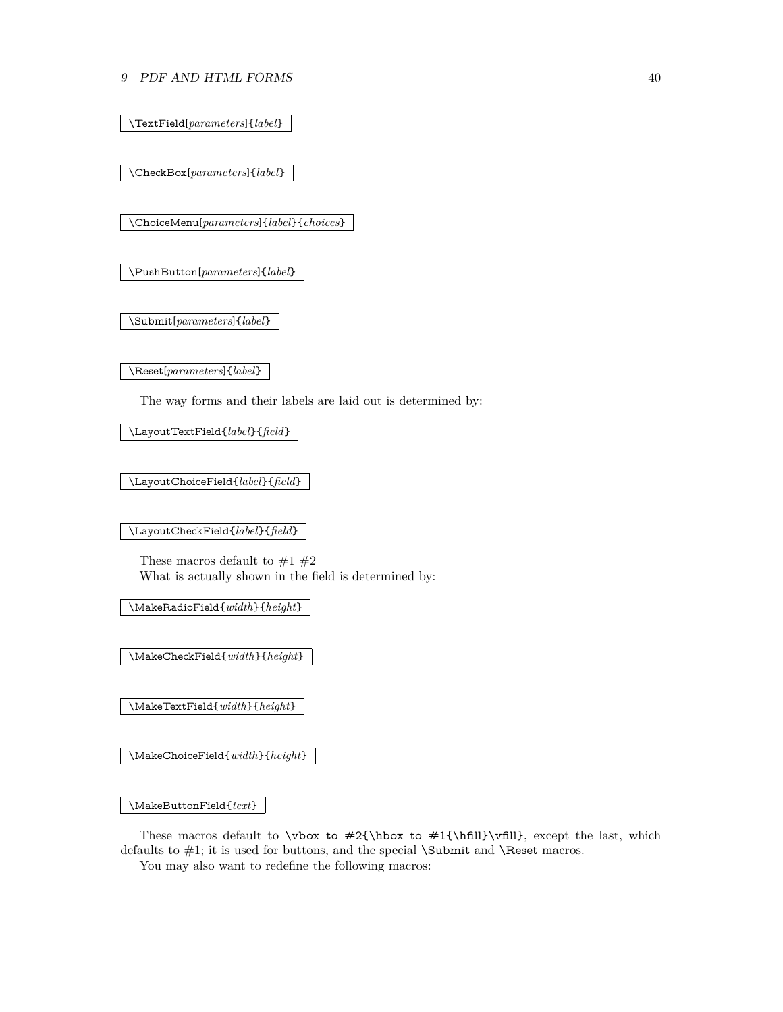### 9 PDF AND HTML FORMS 40

\TextField[*parameters*]{*label*}

\CheckBox[*parameters*]{*label*}

\ChoiceMenu[*parameters*]{*label*}{*choices*}

\PushButton[*parameters*]{*label*}

\Submit[*parameters*]{*label*}

\Reset[*parameters*]{*label*}

The way forms and their labels are laid out is determined by:

\LayoutTextField{*label*}{*field*}

\LayoutChoiceField{*label*}{*field*}

\LayoutCheckField{*label*}{*field*}

These macros default to  $\#1$   $\#2$ What is actually shown in the field is determined by:

\MakeRadioField{*width*}{*height*}

\MakeCheckField{*width*}{*height*}

\MakeTextField{*width*}{*height*}

\MakeChoiceField{*width*}{*height*}

\MakeButtonField{*text*}

These macros default to  $\forall x \in #2{\hbox{fill}}\vfill$ , except the last, which defaults to  $\#1$ ; it is used for buttons, and the special **\Submit** and **\Reset** macros.

You may also want to redefine the following macros: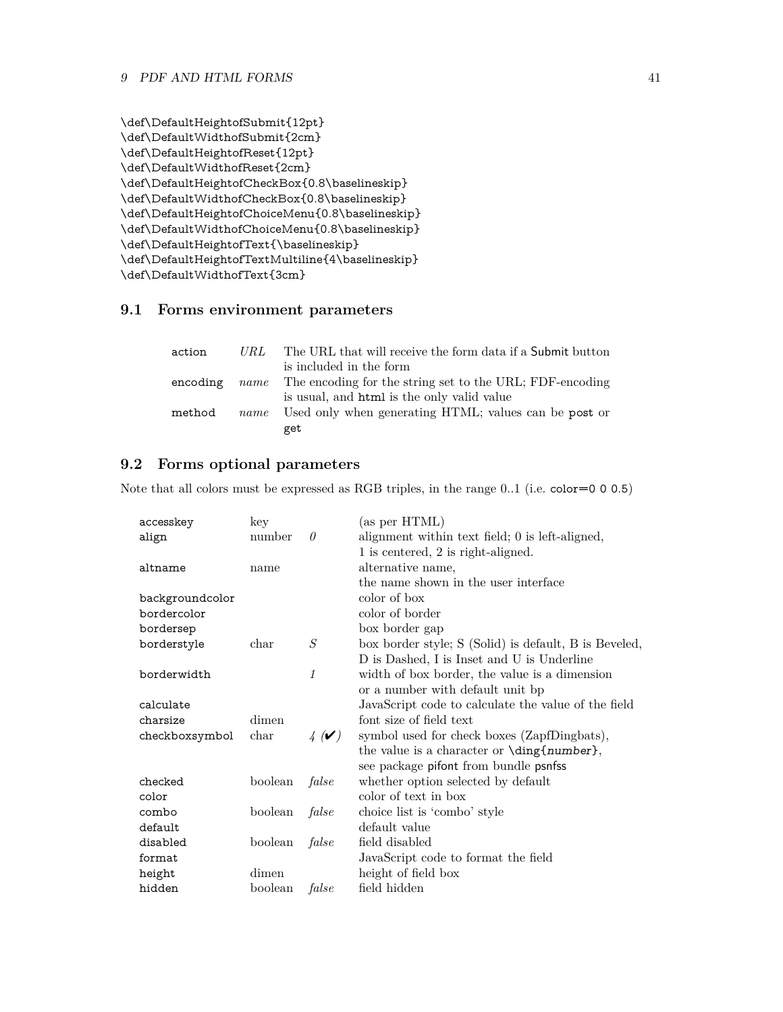```
\def\DefaultHeightofSubmit{12pt}
\def\DefaultWidthofSubmit{2cm}
\def\DefaultHeightofReset{12pt}
\def\DefaultWidthofReset{2cm}
\def\DefaultHeightofCheckBox{0.8\baselineskip}
\def\DefaultWidthofCheckBox{0.8\baselineskip}
\def\DefaultHeightofChoiceMenu{0.8\baselineskip}
\def\DefaultWidthofChoiceMenu{0.8\baselineskip}
\def\DefaultHeightofText{\baselineskip}
\def\DefaultHeightofTextMultiline{4\baselineskip}
\def\DefaultWidthofText{3cm}
```
# <span id="page-40-0"></span>**9.1 Forms environment parameters**

| action   | URL  | The URL that will receive the form data if a Submit button           |
|----------|------|----------------------------------------------------------------------|
|          |      | is included in the form                                              |
| encoding |      | <i>name</i> The encoding for the string set to the URL; FDF-encoding |
|          |      | is usual, and html is the only valid value                           |
| method   | name | Used only when generating HTML; values can be post or                |
|          |      | get                                                                  |

# <span id="page-40-1"></span>**9.2 Forms optional parameters**

Note that all colors must be expressed as RGB triples, in the range 0..1 (i.e. color=0 0 0.5)

| accesskey       | key           |                           | (as per HTML)                                         |
|-----------------|---------------|---------------------------|-------------------------------------------------------|
| align           | number        | 0                         | alignment within text field; 0 is left-aligned,       |
|                 |               |                           | 1 is centered, 2 is right-aligned.                    |
| altname         | name          |                           | alternative name,                                     |
|                 |               |                           | the name shown in the user interface                  |
| backgroundcolor |               |                           | color of box                                          |
| bordercolor     |               |                           | color of border                                       |
| bordersep       |               |                           | box border gap                                        |
| borderstyle     | $_{\rm char}$ | S                         | box border style; S (Solid) is default, B is Beveled, |
|                 |               |                           | D is Dashed, I is Inset and U is Underline            |
| borderwidth     |               | 1                         | width of box border, the value is a dimension         |
|                 |               |                           | or a number with default unit bp                      |
| calculate       |               |                           | JavaScript code to calculate the value of the field   |
| charsize        | dimen         |                           | font size of field text                               |
| checkboxsymbol  | char          | $\frac{1}{4}(\mathbf{V})$ | symbol used for check boxes (ZapfDingbats),           |
|                 |               |                           | the value is a character or \ding{number},            |
|                 |               |                           | see package pifont from bundle psnfss                 |
| checked         | boolean       | false                     | whether option selected by default                    |
| color           |               |                           | color of text in box                                  |
| combo           | boolean       | false                     | choice list is 'combo' style                          |
| default         |               |                           | default value                                         |
| disabled        | boolean       | false                     | field disabled                                        |
| format          |               |                           | JavaScript code to format the field                   |
| height          | dimen         |                           | height of field box                                   |
| hidden          | boolean       | false                     | field hidden                                          |
|                 |               |                           |                                                       |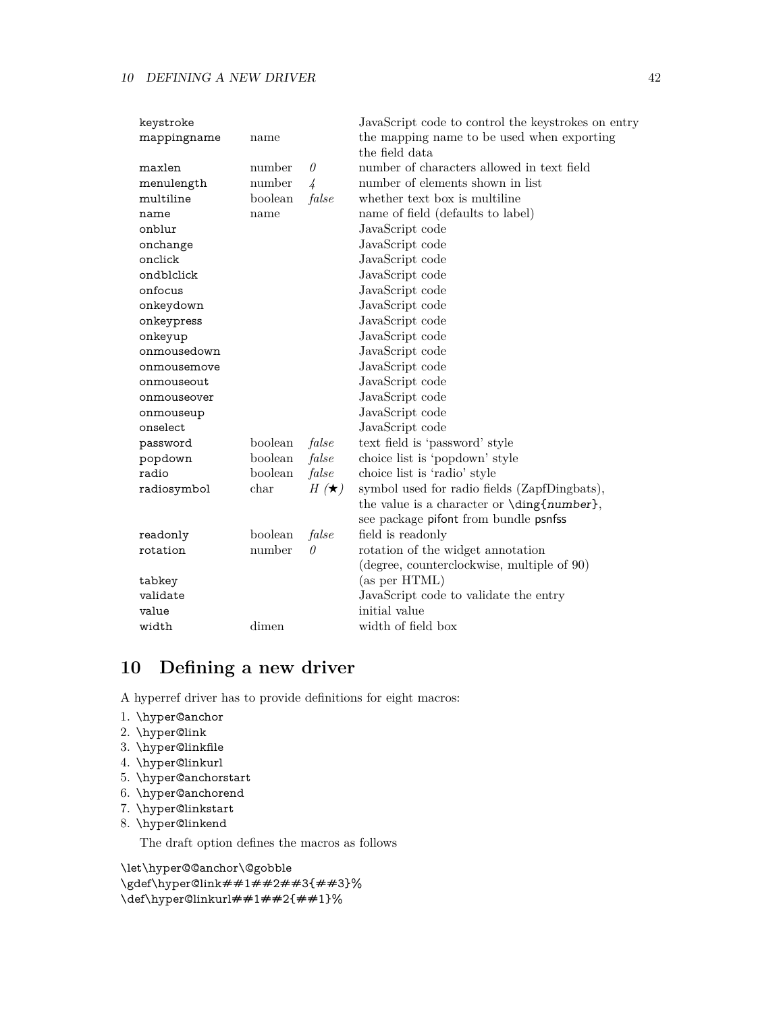| keystroke   |         |               | JavaScript code to control the keystrokes on entry |
|-------------|---------|---------------|----------------------------------------------------|
| mappingname | name    |               | the mapping name to be used when exporting         |
|             |         |               | the field data                                     |
| maxlen      | number  | $\theta$      | number of characters allowed in text field         |
| menulength  | number  | $\frac{1}{4}$ | number of elements shown in list                   |
| multiline   | boolean | false         | whether text box is multiline                      |
| name        | name    |               | name of field (defaults to label)                  |
| onblur      |         |               | JavaScript code                                    |
| onchange    |         |               | JavaScript code                                    |
| onclick     |         |               | JavaScript code                                    |
| ondblclick  |         |               | JavaScript code                                    |
| onfocus     |         |               | JavaScript code                                    |
| onkeydown   |         |               | JavaScript code                                    |
| onkeypress  |         |               | JavaScript code                                    |
| onkeyup     |         |               | JavaScript code                                    |
| onmousedown |         |               | JavaScript code                                    |
| onmousemove |         |               | JavaScript code                                    |
| onmouseout  |         |               | JavaScript code                                    |
| onmouseover |         |               | JavaScript code                                    |
| onmouseup   |         |               | JavaScript code                                    |
| onselect    |         |               | JavaScript code                                    |
| password    | boolean | false         | text field is 'password' style                     |
| popdown     | boolean | false         | choice list is 'popdown' style                     |
| radio       | boolean | false         | choice list is 'radio' style                       |
| radiosymbol | char    | $H(\star)$    | symbol used for radio fields (ZapfDingbats),       |
|             |         |               | the value is a character or \ding{number},         |
|             |         |               | see package pifont from bundle psnfss              |
| readonly    | boolean | false         | field is readonly                                  |
| rotation    | number  | $\theta$      | rotation of the widget annotation                  |
|             |         |               | (degree, counterclockwise, multiple of 90)         |
| tabkey      |         |               | (as per HTML)                                      |
| validate    |         |               | JavaScript code to validate the entry              |
| value       |         |               | initial value                                      |
| width       | dimen   |               | width of field box                                 |

# <span id="page-41-0"></span>**10 Defining a new driver**

A hyperref driver has to provide definitions for eight macros:

- 1. \hyper@anchor
- 2. \hyper@link
- 3. \hyper@linkfile
- 4. \hyper@linkurl
- 5. \hyper@anchorstart
- 6. \hyper@anchorend
- 7. \hyper@linkstart
- 8. \hyper@linkend

The draft option defines the macros as follows

\let\hyper@@anchor\@gobble \gdef\hyper@link##1##2##3{##3}% \def\hyper@linkurl##1##2{##1}%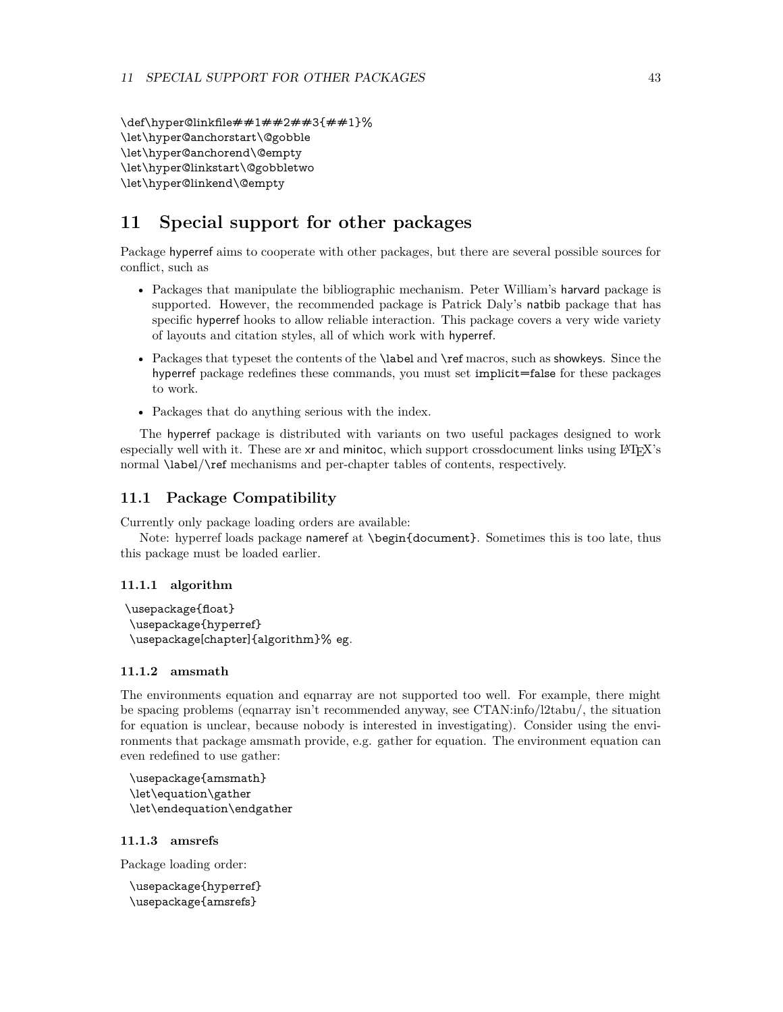\def\hyper@linkfile##1##2##3{##1}% \let\hyper@anchorstart\@gobble \let\hyper@anchorend\@empty \let\hyper@linkstart\@gobbletwo \let\hyper@linkend\@empty

# <span id="page-42-0"></span>**11 Special support for other packages**

Package hyperref aims to cooperate with other packages, but there are several possible sources for conflict, such as

- Packages that manipulate the bibliographic mechanism. Peter William's harvard package is supported. However, the recommended package is Patrick Daly's natbib package that has specific hyperref hooks to allow reliable interaction. This package covers a very wide variety of layouts and citation styles, all of which work with hyperref.
- Packages that typeset the contents of the \label and \ref macros, such as showkeys. Since the hyperref package redefines these commands, you must set implicit=false for these packages to work.
- Packages that do anything serious with the index.

The hyperref package is distributed with variants on two useful packages designed to work especially well with it. These are xr and minitoc, which support crossdocument links using LATEX's normal \label/\ref mechanisms and per-chapter tables of contents, respectively.

# <span id="page-42-1"></span>**11.1 Package Compatibility**

Currently only package loading orders are available:

Note: hyperref loads package nameref at \begin{document}. Sometimes this is too late, thus this package must be loaded earlier.

### <span id="page-42-2"></span>**11.1.1 algorithm**

```
\usepackage{float}
\usepackage{hyperref}
\usepackage[chapter]{algorithm}% eg.
```
### <span id="page-42-3"></span>**11.1.2 amsmath**

The environments equation and eqnarray are not supported too well. For example, there might be spacing problems (eqnarray isn't recommended anyway, see CTAN:info/l2tabu/, the situation for equation is unclear, because nobody is interested in investigating). Consider using the environments that package amsmath provide, e.g. gather for equation. The environment equation can even redefined to use gather:

\usepackage{amsmath} \let\equation\gather \let\endequation\endgather

### <span id="page-42-4"></span>**11.1.3 amsrefs**

Package loading order:

```
\usepackage{hyperref}
\usepackage{amsrefs}
```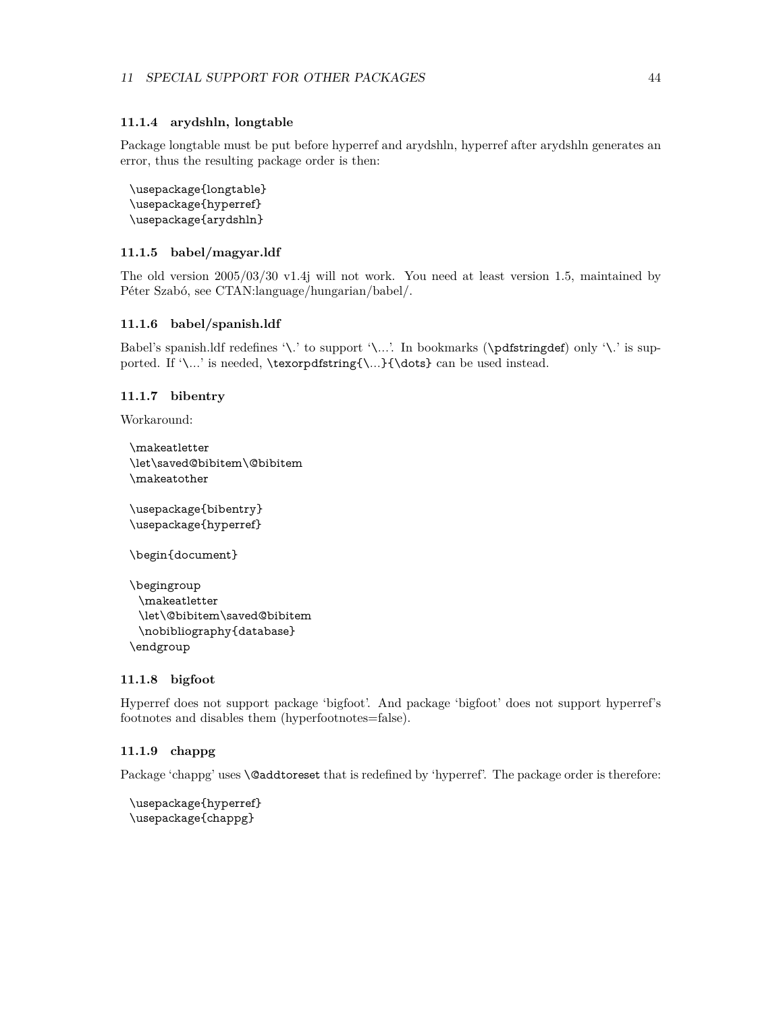### <span id="page-43-0"></span>**11.1.4 arydshln, longtable**

Package longtable must be put before hyperref and arydshln, hyperref after arydshln generates an error, thus the resulting package order is then:

```
\usepackage{longtable}
\usepackage{hyperref}
\usepackage{arydshln}
```
# <span id="page-43-1"></span>**11.1.5 babel/magyar.ldf**

The old version 2005/03/30 v1.4j will not work. You need at least version 1.5, maintained by Péter Szabó, see CTAN:language/hungarian/babel/.

### <span id="page-43-2"></span>**11.1.6 babel/spanish.ldf**

Babel's spanish.ldf redefines '\.' to support '\...'. In bookmarks (\pdfstringdef) only '\.' is supported. If '\...' is needed, \texorpdfstring{\...}{\dots} can be used instead.

### <span id="page-43-3"></span>**11.1.7 bibentry**

Workaround:

```
\makeatletter
\let\saved@bibitem\@bibitem
\makeatother
```
\usepackage{bibentry} \usepackage{hyperref}

\begin{document}

```
\begingroup
 \makeatletter
 \let\@bibitem\saved@bibitem
 \nobibliography{database}
\endgroup
```
### <span id="page-43-4"></span>**11.1.8 bigfoot**

Hyperref does not support package 'bigfoot'. And package 'bigfoot' does not support hyperref's footnotes and disables them (hyperfootnotes=false).

### <span id="page-43-5"></span>**11.1.9 chappg**

Package 'chappg' uses **\@addtoreset** that is redefined by 'hyperref'. The package order is therefore:

```
\usepackage{hyperref}
\usepackage{chappg}
```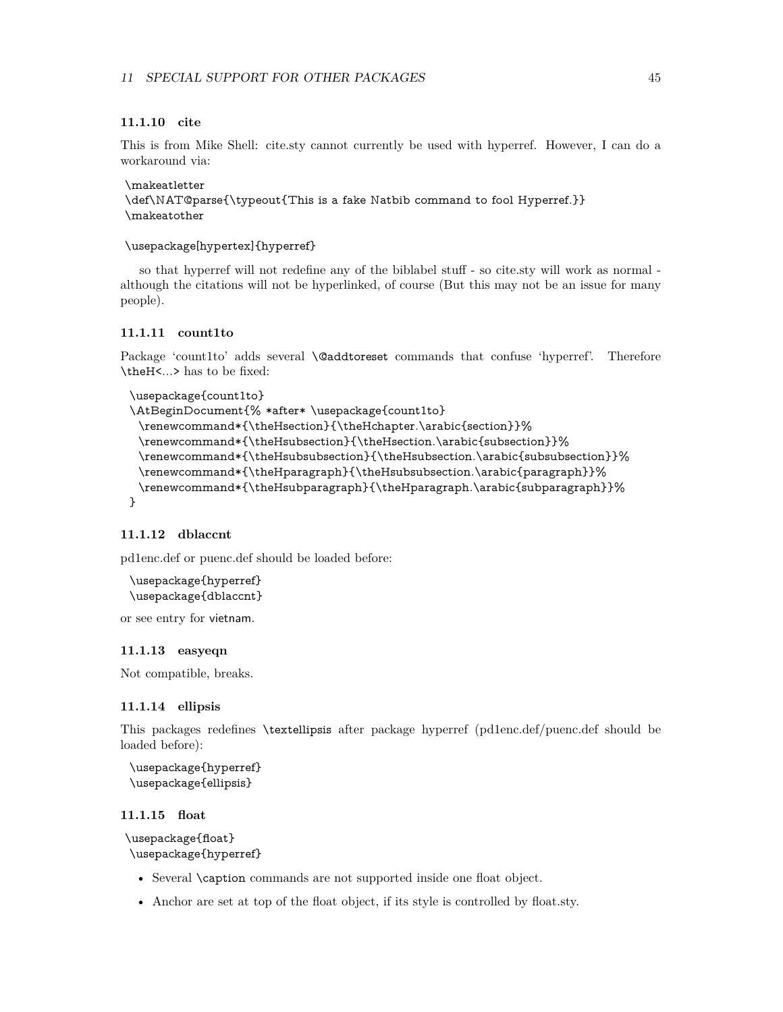### <span id="page-44-0"></span>**11.1.10 cite**

This is from Mike Shell: cite.sty cannot currently be used with hyperref. However, I can do a workaround via:

\makeatletter \def\NAT@parse{\typeout{This is a fake Natbib command to fool Hyperref.}} \makeatother

\usepackage[hypertex]{hyperref}

so that hyperref will not redefine any of the biblabel stuff - so cite.sty will work as normal although the citations will not be hyperlinked, of course (But this may not be an issue for many people).

### <span id="page-44-1"></span>**11.1.11 count1to**

Package 'count1to' adds several **\@addtoreset** commands that confuse 'hyperref'. Therefore \theH<...> has to be fixed:

```
\usepackage{count1to}
\AtBeginDocument{% *after* \usepackage{count1to}
 \renewcommand*{\theHsection}{\theHchapter.\arabic{section}}%
 \renewcommand*{\theHsubsection}{\theHsection.\arabic{subsection}}%
 \renewcommand*{\theHsubsubsection}{\theHsubsection.\arabic{subsubsection}}%
 \renewcommand*{\theHparagraph}{\theHsubsubsection.\arabic{paragraph}}%
 \renewcommand*{\theHsubparagraph}{\theHparagraph.\arabic{subparagraph}}%
}
```
# <span id="page-44-2"></span>**11.1.12 dblaccnt**

pd1enc.def or puenc.def should be loaded before:

```
\usepackage{hyperref}
\usepackage{dblaccnt}
```
or see entry for vietnam.

#### <span id="page-44-3"></span>**11.1.13 easyeqn**

Not compatible, breaks.

### <span id="page-44-4"></span>**11.1.14 ellipsis**

This packages redefines \textellipsis after package hyperref (pd1enc.def/puenc.def should be loaded before):

```
\usepackage{hyperref}
\usepackage{ellipsis}
```
# <span id="page-44-5"></span>**11.1.15 float**

```
\usepackage{float}
\usepackage{hyperref}
```
- Several \caption commands are not supported inside one float object.
- Anchor are set at top of the float object, if its style is controlled by float.sty.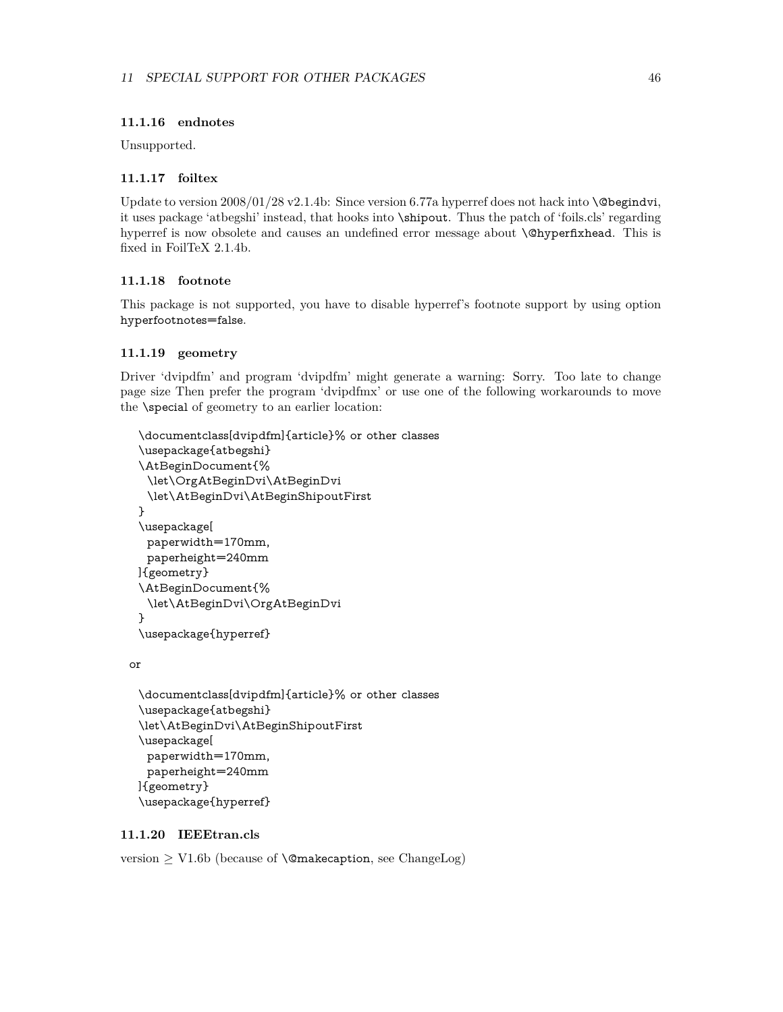# <span id="page-45-0"></span>**11.1.16 endnotes**

Unsupported.

### <span id="page-45-1"></span>**11.1.17 foiltex**

Update to version  $2008/01/28$  v2.1.4b: Since version 6.77a hyperref does not hack into  $\Diamond$  begindvi, it uses package 'atbegshi' instead, that hooks into \shipout. Thus the patch of 'foils.cls' regarding hyperref is now obsolete and causes an undefined error message about \@hyperfixhead. This is fixed in FoilTeX 2.1.4b.

# <span id="page-45-2"></span>**11.1.18 footnote**

This package is not supported, you have to disable hyperref's footnote support by using option hyperfootnotes=false.

#### <span id="page-45-3"></span>**11.1.19 geometry**

Driver 'dvipdfm' and program 'dvipdfm' might generate a warning: Sorry. Too late to change page size Then prefer the program 'dvipdfmx' or use one of the following workarounds to move the \special of geometry to an earlier location:

```
\documentclass[dvipdfm]{article}% or other classes
\usepackage{atbegshi}
\AtBeginDocument{%
 \let\OrgAtBeginDvi\AtBeginDvi
 \let\AtBeginDvi\AtBeginShipoutFirst
}
\usepackage[
 paperwidth=170mm,
 paperheight=240mm
]{geometry}
\AtBeginDocument{%
 \let\AtBeginDvi\OrgAtBeginDvi
}
\usepackage{hyperref}
```
or

```
\documentclass[dvipdfm]{article}% or other classes
\usepackage{atbegshi}
\let\AtBeginDvi\AtBeginShipoutFirst
\usepackage[
 paperwidth=170mm,
 paperheight=240mm
]{geometry}
\usepackage{hyperref}
```
### <span id="page-45-4"></span>**11.1.20 IEEEtran.cls**

version  $\geq$  V1.6b (because of **\@makecaption**, see ChangeLog)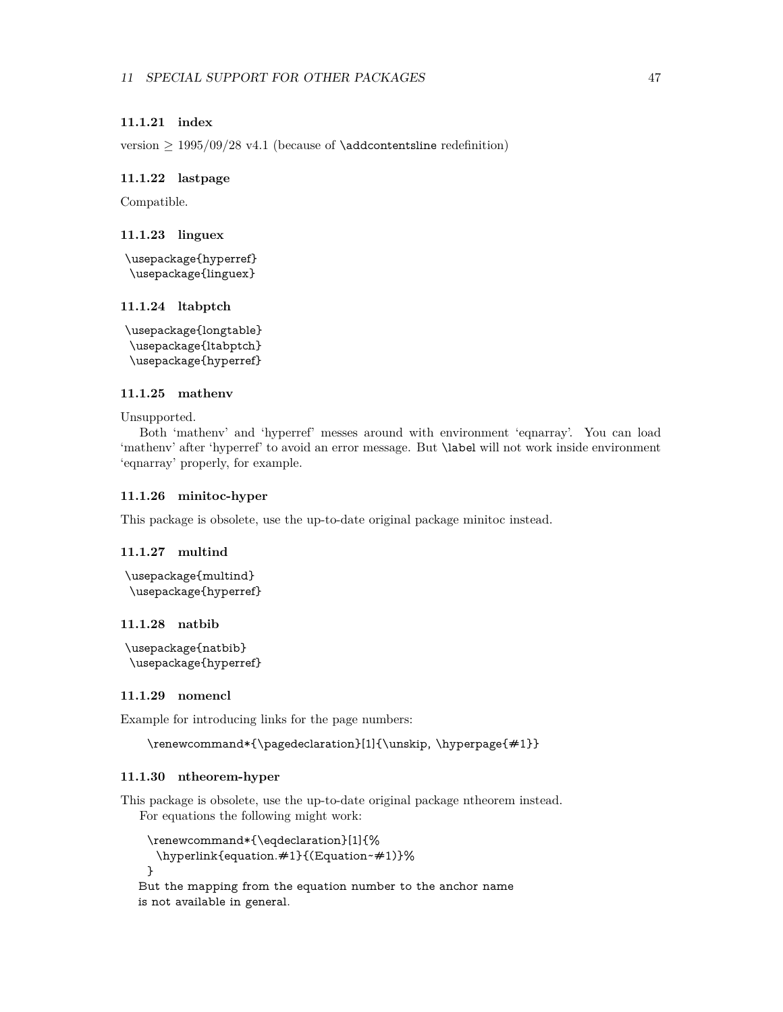### <span id="page-46-0"></span>**11.1.21 index**

version  $\geq 1995/09/28$  v4.1 (because of **\addcontentsline** redefinition)

### <span id="page-46-1"></span>**11.1.22 lastpage**

Compatible.

### <span id="page-46-2"></span>**11.1.23 linguex**

\usepackage{hyperref} \usepackage{linguex}

### <span id="page-46-3"></span>**11.1.24 ltabptch**

\usepackage{longtable} \usepackage{ltabptch} \usepackage{hyperref}

# <span id="page-46-4"></span>**11.1.25 mathenv**

Unsupported.

Both 'mathenv' and 'hyperref' messes around with environment 'eqnarray'. You can load 'mathenv' after 'hyperref' to avoid an error message. But \label will not work inside environment 'eqnarray' properly, for example.

### <span id="page-46-5"></span>**11.1.26 minitoc-hyper**

This package is obsolete, use the up-to-date original package minitoc instead.

### <span id="page-46-6"></span>**11.1.27 multind**

```
\usepackage{multind}
\usepackage{hyperref}
```
# <span id="page-46-7"></span>**11.1.28 natbib**

```
\usepackage{natbib}
\usepackage{hyperref}
```
### <span id="page-46-8"></span>**11.1.29 nomencl**

Example for introducing links for the page numbers:

\renewcommand\*{\pagedeclaration}[1]{\unskip, \hyperpage{#1}}

### <span id="page-46-9"></span>**11.1.30 ntheorem-hyper**

This package is obsolete, use the up-to-date original package ntheorem instead. For equations the following might work:

```
\renewcommand*{\eqdeclaration}[1]{%
 \hyperlink{equation.#1}{(Equation~#1)}%
}
```
But the mapping from the equation number to the anchor name is not available in general.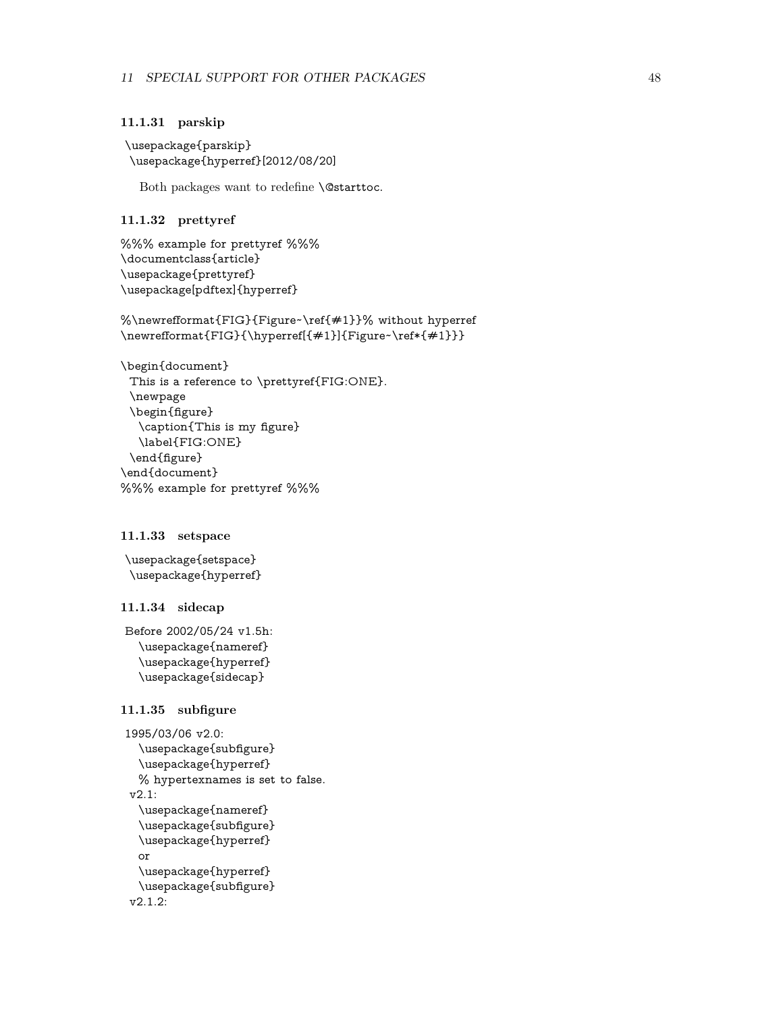### <span id="page-47-0"></span>**11.1.31 parskip**

```
\usepackage{parskip}
\usepackage{hyperref}[2012/08/20]
```
Both packages want to redefine \@starttoc.

# <span id="page-47-1"></span>**11.1.32 prettyref**

```
%%% example for prettyref %%%
\documentclass{article}
\usepackage{prettyref}
\usepackage[pdftex]{hyperref}
```
%\newrefformat{FIG}{Figure~\ref{#1}}% without hyperref \newrefformat{FIG}{\hyperref[{#1}]{Figure~\ref\*{#1}}}

\begin{document} This is a reference to \prettyref{FIG:ONE}. \newpage \begin{figure} \caption{This is my figure} \label{FIG:ONE} \end{figure} \end{document} %%% example for prettyref %%%

# <span id="page-47-2"></span>**11.1.33 setspace**

\usepackage{setspace} \usepackage{hyperref}

# <span id="page-47-3"></span>**11.1.34 sidecap**

Before 2002/05/24 v1.5h: \usepackage{nameref} \usepackage{hyperref} \usepackage{sidecap}

# <span id="page-47-4"></span>**11.1.35 subfigure**

```
1995/03/06 v2.0:
  \usepackage{subfigure}
  \usepackage{hyperref}
  % hypertexnames is set to false.
v2.1:
  \usepackage{nameref}
  \usepackage{subfigure}
  \usepackage{hyperref}
  or
  \usepackage{hyperref}
  \usepackage{subfigure}
v2.1.2:
```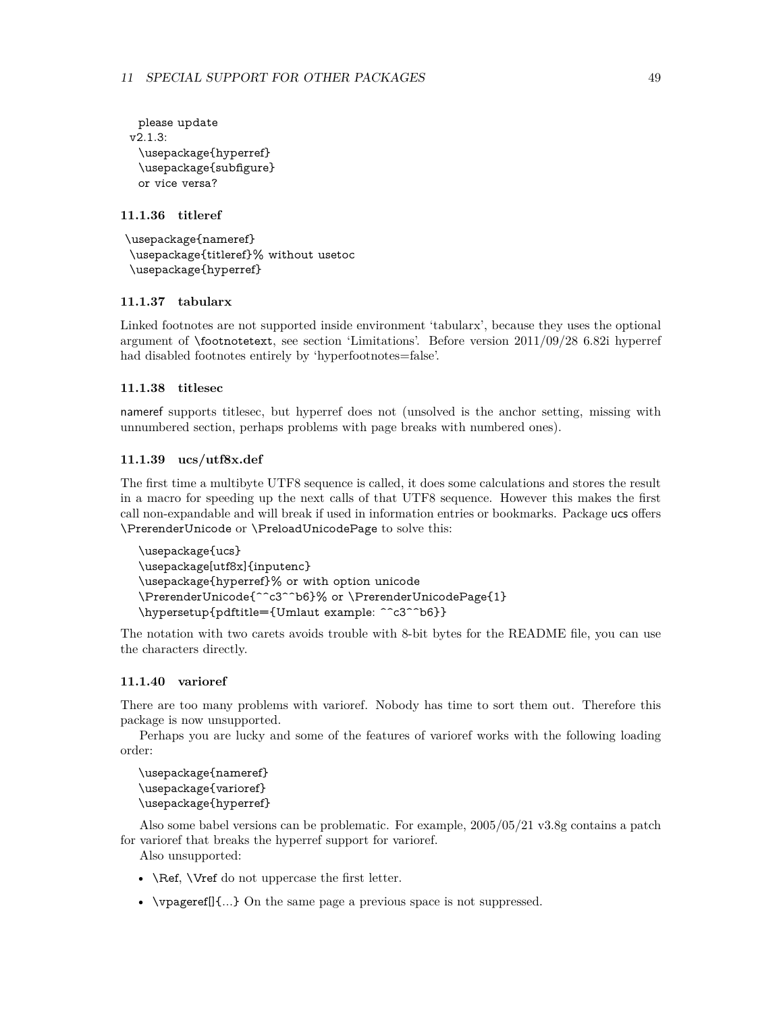```
please update
v2.1.3:
 \usepackage{hyperref}
 \usepackage{subfigure}
 or vice versa?
```
### <span id="page-48-0"></span>**11.1.36 titleref**

```
\usepackage{nameref}
\usepackage{titleref}% without usetoc
\usepackage{hyperref}
```
# <span id="page-48-1"></span>**11.1.37 tabularx**

Linked footnotes are not supported inside environment 'tabularx', because they uses the optional argument of \footnotetext, see section 'Limitations'. Before version 2011/09/28 6.82i hyperref had disabled footnotes entirely by 'hyperfootnotes=false'.

### <span id="page-48-2"></span>**11.1.38 titlesec**

nameref supports titlesec, but hyperref does not (unsolved is the anchor setting, missing with unnumbered section, perhaps problems with page breaks with numbered ones).

### <span id="page-48-3"></span>**11.1.39 ucs/utf8x.def**

The first time a multibyte UTF8 sequence is called, it does some calculations and stores the result in a macro for speeding up the next calls of that UTF8 sequence. However this makes the first call non-expandable and will break if used in information entries or bookmarks. Package ucs offers \PrerenderUnicode or \PreloadUnicodePage to solve this:

```
\usepackage{ucs}
\usepackage[utf8x]{inputenc}
\usepackage{hyperref}% or with option unicode
\PrerenderUnicode{^^c3^^b6}% or \PrerenderUnicodePage{1}
\hypersetup{pdftitle={Umlaut example: ^^c3^^b6}}
```
The notation with two carets avoids trouble with 8-bit bytes for the README file, you can use the characters directly.

### <span id="page-48-4"></span>**11.1.40 varioref**

There are too many problems with varioref. Nobody has time to sort them out. Therefore this package is now unsupported.

Perhaps you are lucky and some of the features of varioref works with the following loading order:

\usepackage{nameref} \usepackage{varioref} \usepackage{hyperref}

Also some babel versions can be problematic. For example, 2005/05/21 v3.8g contains a patch for varioref that breaks the hyperref support for varioref.

Also unsupported:

- **\Ref, \Vref** do not uppercase the first letter.
- \vpageref[]{...} On the same page a previous space is not suppressed.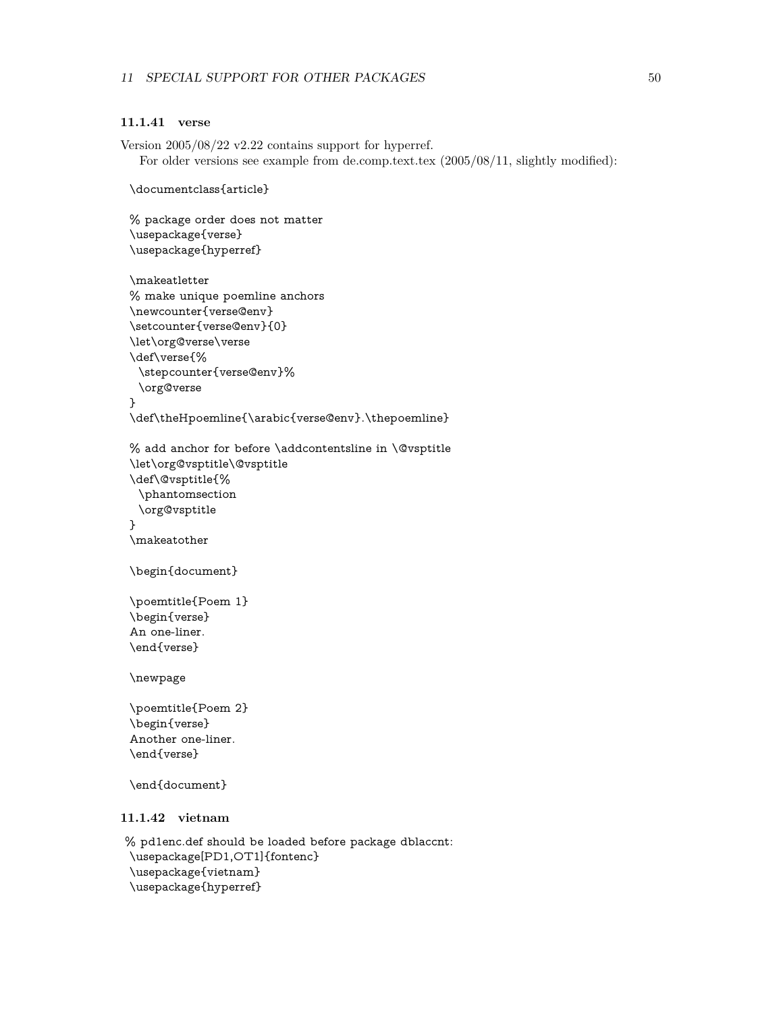# <span id="page-49-0"></span>**11.1.41 verse**

Version 2005/08/22 v2.22 contains support for hyperref. For older versions see example from de.comp.text.tex (2005/08/11, slightly modified):

```
\documentclass{article}
```
% package order does not matter

```
\usepackage{verse}
\usepackage{hyperref}
\makeatletter
% make unique poemline anchors
\newcounter{verse@env}
\setcounter{verse@env}{0}
\let\org@verse\verse
\def\verse{%
 \stepcounter{verse@env}%
 \org@verse
}
\def\theHpoemline{\arabic{verse@env}.\thepoemline}
```

```
% add anchor for before \addcontentsline in \@vsptitle
\let\org@vsptitle\@vsptitle
\def\@vsptitle{%
 \phantomsection
 \org@vsptitle
}
\makeatother
```

```
\begin{document}
```

```
\poemtitle{Poem 1}
\begin{verse}
An one-liner.
\end{verse}
```
\newpage

```
\poemtitle{Poem 2}
\begin{verse}
Another one-liner.
\end{verse}
```
\end{document}

# <span id="page-49-1"></span>**11.1.42 vietnam**

% pd1enc.def should be loaded before package dblaccnt: \usepackage[PD1,OT1]{fontenc} \usepackage{vietnam} \usepackage{hyperref}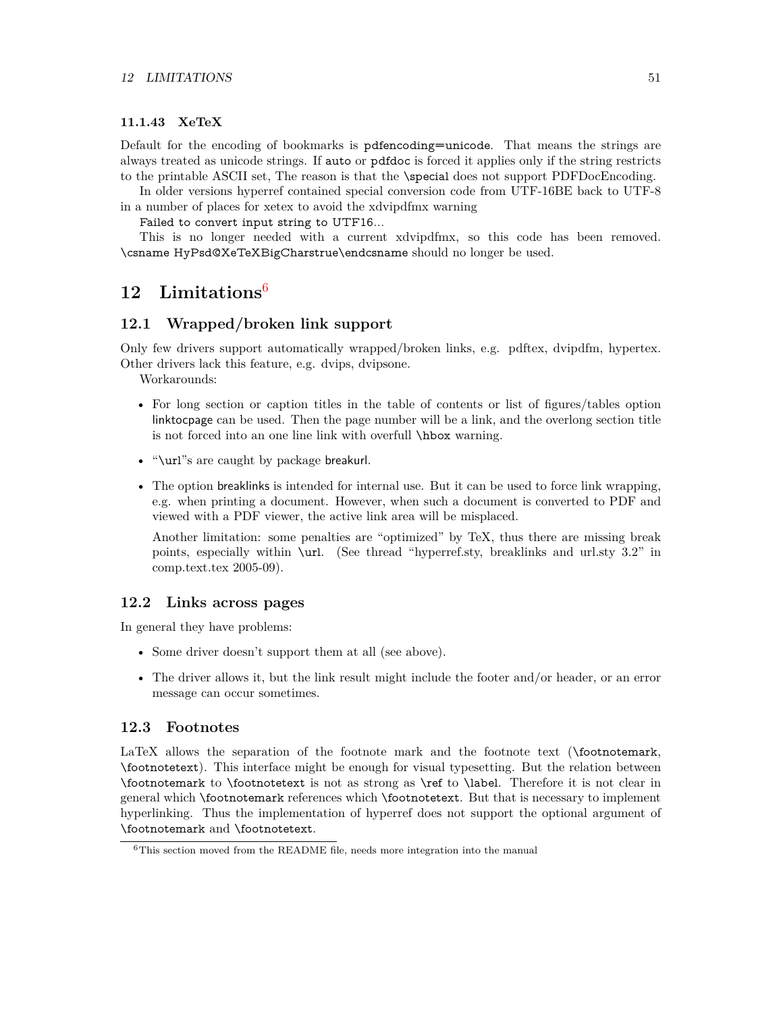### <span id="page-50-0"></span>**11.1.43 XeTeX**

Default for the encoding of bookmarks is pdfencoding=unicode. That means the strings are always treated as unicode strings. If auto or pdfdoc is forced it applies only if the string restricts to the printable ASCII set, The reason is that the \special does not support PDFDocEncoding.

In older versions hyperref contained special conversion code from UTF-16BE back to UTF-8 in a number of places for xetex to avoid the xdvipdfmx warning

Failed to convert input string to UTF16...

This is no longer needed with a current xdvipdfmx, so this code has been removed. \csname HyPsd@XeTeXBigCharstrue\endcsname should no longer be used.

# <span id="page-50-1"></span>**12 Limitations**[6](#page-50-5)

# <span id="page-50-2"></span>**12.1 Wrapped/broken link support**

Only few drivers support automatically wrapped/broken links, e.g. pdftex, dvipdfm, hypertex. Other drivers lack this feature, e.g. dvips, dvipsone.

Workarounds:

- For long section or caption titles in the table of contents or list of figures/tables option linktocpage can be used. Then the page number will be a link, and the overlong section title is not forced into an one line link with overfull \hbox warning.
- "\url"s are caught by package breakurl.
- The option breaklinks is intended for internal use. But it can be used to force link wrapping, e.g. when printing a document. However, when such a document is converted to PDF and viewed with a PDF viewer, the active link area will be misplaced.

Another limitation: some penalties are "optimized" by TeX, thus there are missing break points, especially within \url. (See thread "hyperref.sty, breaklinks and url.sty 3.2" in comp.text.tex 2005-09).

### <span id="page-50-3"></span>**12.2 Links across pages**

In general they have problems:

- Some driver doesn't support them at all (see above).
- The driver allows it, but the link result might include the footer and/or header, or an error message can occur sometimes.

### <span id="page-50-4"></span>**12.3 Footnotes**

LaTeX allows the separation of the footnote mark and the footnote text (\footnotemark, \footnotetext). This interface might be enough for visual typesetting. But the relation between \footnotemark to \footnotetext is not as strong as \ref to \label. Therefore it is not clear in general which \footnotemark references which \footnotetext. But that is necessary to implement hyperlinking. Thus the implementation of hyperref does not support the optional argument of \footnotemark and \footnotetext.

<span id="page-50-5"></span> $6$ This section moved from the README file, needs more integration into the manual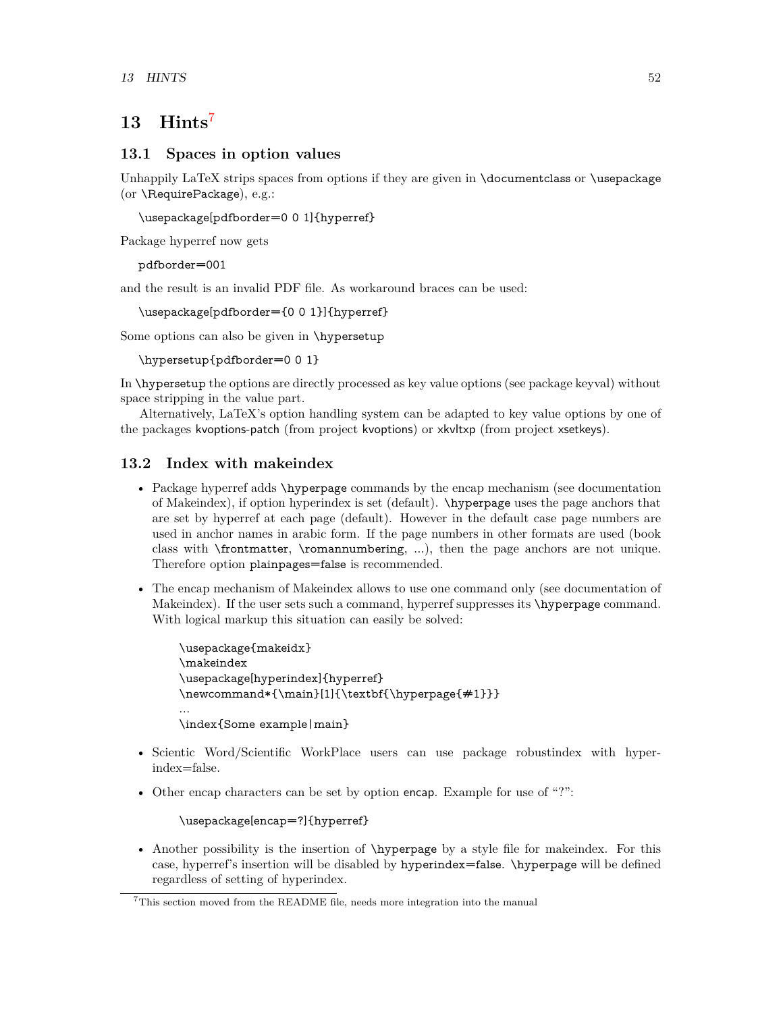# <span id="page-51-0"></span>**13 Hints**[7](#page-51-3)

# <span id="page-51-1"></span>**13.1 Spaces in option values**

Unhappily LaTeX strips spaces from options if they are given in \documentclass or \usepackage (or \RequirePackage), e.g.:

\usepackage[pdfborder=0 0 1]{hyperref}

Package hyperref now gets

pdfborder=001

and the result is an invalid PDF file. As workaround braces can be used:

\usepackage[pdfborder={0 0 1}]{hyperref}

Some options can also be given in \hypersetup

\hypersetup{pdfborder=0 0 1}

In \hypersetup the options are directly processed as key value options (see package keyval) without space stripping in the value part.

Alternatively, LaTeX's option handling system can be adapted to key value options by one of the packages kvoptions-patch (from project kvoptions) or xkvltxp (from project xsetkeys).

# <span id="page-51-2"></span>**13.2 Index with makeindex**

- Package hyperref adds \hyperpage commands by the encap mechanism (see documentation of Makeindex), if option hyperindex is set (default). \hyperpage uses the page anchors that are set by hyperref at each page (default). However in the default case page numbers are used in anchor names in arabic form. If the page numbers in other formats are used (book class with \frontmatter, \romannumbering, ...), then the page anchors are not unique. Therefore option plainpages=false is recommended.
- The encap mechanism of Makeindex allows to use one command only (see documentation of Makeindex). If the user sets such a command, hyperref suppresses its \hyperpage command. With logical markup this situation can easily be solved:

```
\usepackage{makeidx}
\makeindex
\usepackage[hyperindex]{hyperref}
\newcommand*{\main}[1]{\textbf{\hyperpage{#1}}}
...
\index{Some example|main}
```
- Scientic Word/Scientific WorkPlace users can use package robustindex with hyperindex=false.
- Other encap characters can be set by option encap. Example for use of "?":

\usepackage[encap=?]{hyperref}

• Another possibility is the insertion of \hyperpage by a style file for makeindex. For this case, hyperref's insertion will be disabled by hyperindex=false. \hyperpage will be defined regardless of setting of hyperindex.

<span id="page-51-3"></span><sup>7</sup>This section moved from the README file, needs more integration into the manual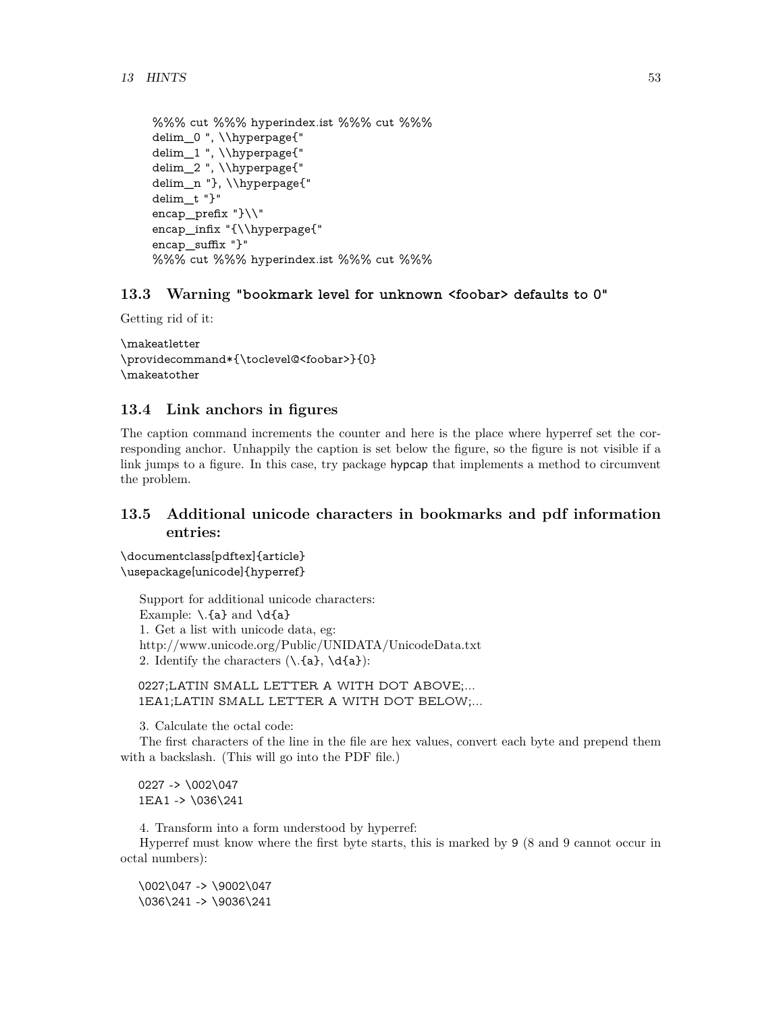```
%%% cut %%% hyperindex.ist %%% cut %%%
delim_0 ", \\hyperpage{"
delim_1 ", \\hyperpage{"
delim_2 ", \\hyperpage{"
delim_n "}, \\hyperpage{"
delim_t "}"
encap_prefix "}\\"
encap_infix "{\\hyperpage{"
encap_suffix "}"
%%% cut %%% hyperindex.ist %%% cut %%%
```
# <span id="page-52-0"></span>**13.3 Warning "bookmark level for unknown <foobar> defaults to 0"**

Getting rid of it:

```
\makeatletter
\providecommand*{\toclevel@<foobar>}{0}
\makeatother
```
# <span id="page-52-1"></span>**13.4 Link anchors in figures**

The caption command increments the counter and here is the place where hyperref set the corresponding anchor. Unhappily the caption is set below the figure, so the figure is not visible if a link jumps to a figure. In this case, try package hypcap that implements a method to circumvent the problem.

# <span id="page-52-2"></span>**13.5 Additional unicode characters in bookmarks and pdf information entries:**

\documentclass[pdftex]{article} \usepackage[unicode]{hyperref}

Support for additional unicode characters: Example:  $\lceil \cdot \rceil$  and  $\dceil$ 1. Get a list with unicode data, eg: http://www.unicode.org/Public/UNIDATA/UnicodeData.txt 2. Identify the characters  $(\lambda \cdot \{a\}, \lambda \cdot \{a\})$ :

0227;LATIN SMALL LETTER A WITH DOT ABOVE;... 1EA1;LATIN SMALL LETTER A WITH DOT BELOW;...

3. Calculate the octal code:

The first characters of the line in the file are hex values, convert each byte and prepend them with a backslash. (This will go into the PDF file.)

0227 -> \002\047 1EA1 -> \036\241

4. Transform into a form understood by hyperref:

Hyperref must know where the first byte starts, this is marked by 9 (8 and 9 cannot occur in octal numbers):

\002\047 -> \9002\047 \036\241 -> \9036\241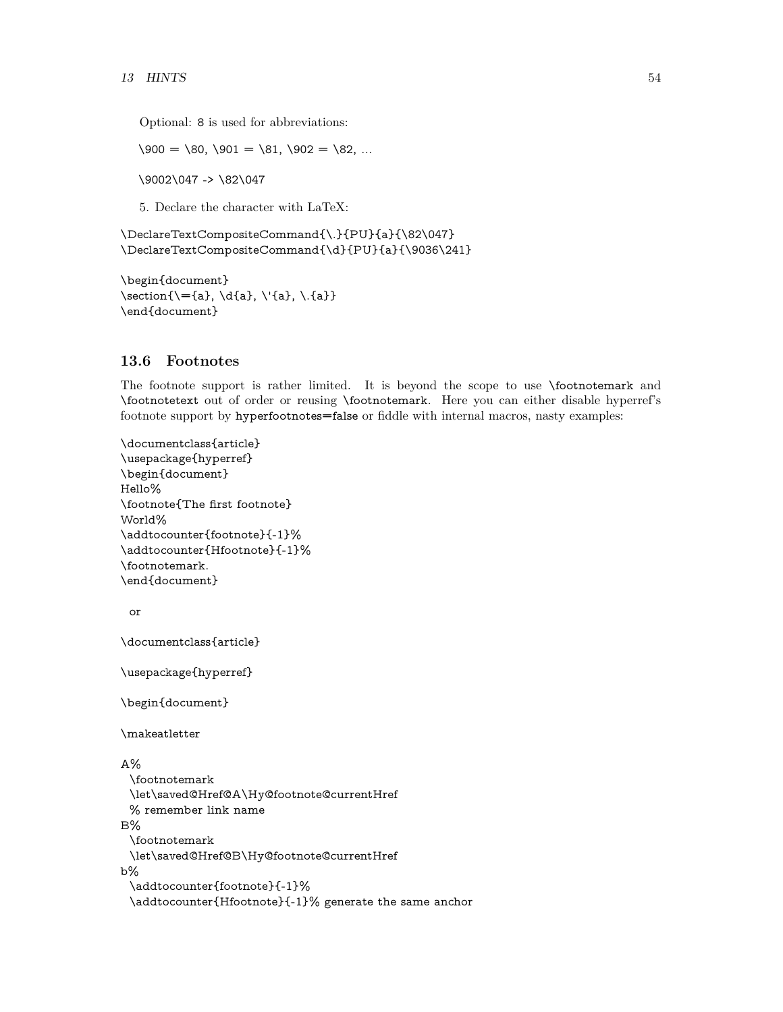Optional: 8 is used for abbreviations:

 $\setminus 900 = \setminus 80, \setminus 901 = \setminus 81, \setminus 902 = \setminus 82, \dots$ 

\9002\047 -> \82\047

5. Declare the character with LaTeX:

\DeclareTextCompositeCommand{\.}{PU}{a}{\82\047} \DeclareTextCompositeCommand{\d}{PU}{a}{\9036\241}

\begin{document} \section ${\setminus}={a}, \dot{\{a}, \dot{\{a}\}, \dot{\{a}\}}$ \end{document}

# <span id="page-53-0"></span>**13.6 Footnotes**

The footnote support is rather limited. It is beyond the scope to use \footnotemark and \footnotetext out of order or reusing \footnotemark. Here you can either disable hyperref's footnote support by hyperfootnotes=false or fiddle with internal macros, nasty examples:

```
\documentclass{article}
\usepackage{hyperref}
\begin{document}
Hello%
\footnote{The first footnote}
World%
\addtocounter{footnote}{-1}%
\addtocounter{Hfootnote}{-1}%
\footnotemark.
\end{document}
 or
```
\documentclass{article}

\usepackage{hyperref}

\begin{document}

\makeatletter

# A%

```
\footnotemark
 \let\saved@Href@A\Hy@footnote@currentHref
 % remember link name
B%
 \footnotemark
 \let\saved@Href@B\Hy@footnote@currentHref
b%
 \addtocounter{footnote}{-1}%
 \addtocounter{Hfootnote}{-1}% generate the same anchor
```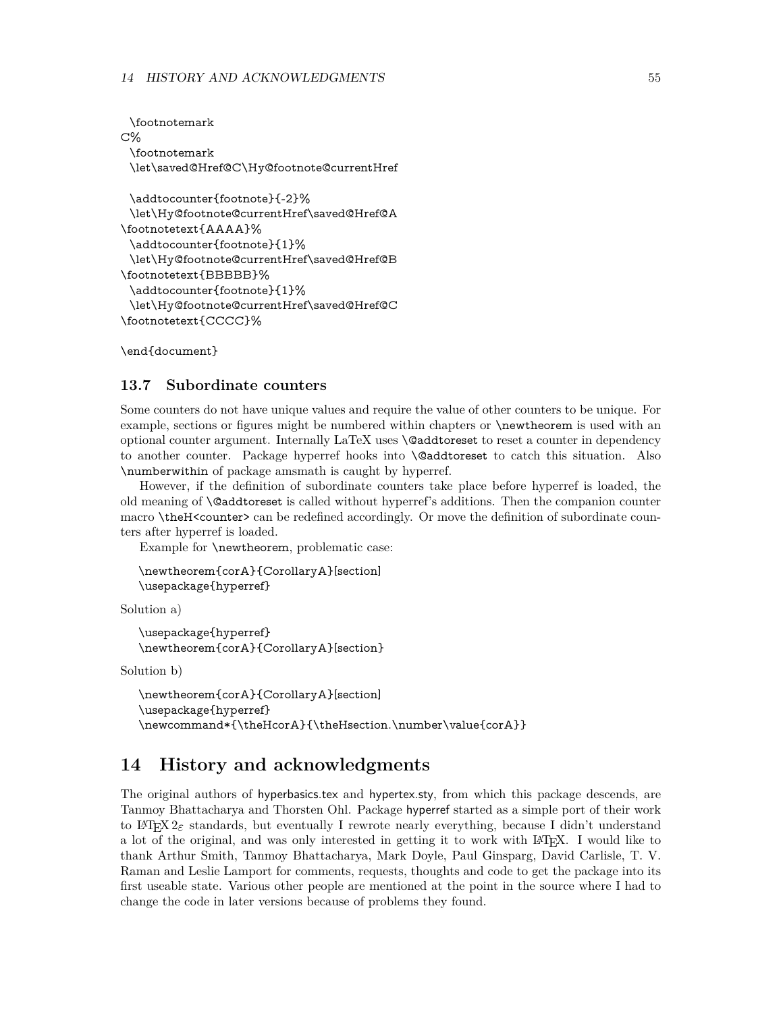\footnotemark C% \footnotemark \let\saved@Href@C\Hy@footnote@currentHref

```
\addtocounter{footnote}{-2}%
 \let\Hy@footnote@currentHref\saved@Href@A
\footnotetext{AAAA}%
 \addtocounter{footnote}{1}%
 \let\Hy@footnote@currentHref\saved@Href@B
\footnotetext{BBBBB}%
 \addtocounter{footnote}{1}%
 \let\Hy@footnote@currentHref\saved@Href@C
\footnotetext{CCCC}%
```
\end{document}

# <span id="page-54-0"></span>**13.7 Subordinate counters**

Some counters do not have unique values and require the value of other counters to be unique. For example, sections or figures might be numbered within chapters or  $\newcommand{\mbox}{\mbox{3}}$  or  $\newcommand{\mbox}{\mbox{3}}$  and  $\newcommand{\mbox}{\mbox{3}}$  and  $\newcommand{\mbox}{\mbox{3}}$  and  $\newcommand{\mbox}{\mbox{3}}$  and  $\newcommand{\mbox}{\mbox{3}}$  and  $\newcommand{\mbox}{\mbox{3}}$  and  $\newcommand{\mbox}{\mbox{3}}$  a optional counter argument. Internally LaTeX uses \@addtoreset to reset a counter in dependency to another counter. Package hyperref hooks into \@addtoreset to catch this situation. Also \numberwithin of package amsmath is caught by hyperref.

However, if the definition of subordinate counters take place before hyperref is loaded, the old meaning of \@addtoreset is called without hyperref's additions. Then the companion counter macro \theH<counter> can be redefined accordingly. Or move the definition of subordinate counters after hyperref is loaded.

Example for \newtheorem, problematic case:

```
\newtheorem{corA}{CorollaryA}[section]
\usepackage{hyperref}
```
Solution a)

```
\usepackage{hyperref}
\newtheorem{corA}{CorollaryA}[section}
```
Solution b)

```
\newtheorem{corA}{CorollaryA}[section]
\usepackage{hyperref}
\newcommand*{\theHcorA}{\theHsection.\number\value{corA}}
```
# <span id="page-54-1"></span>**14 History and acknowledgments**

The original authors of hyperbasics.tex and hypertex.sty, from which this package descends, are Tanmoy Bhattacharya and Thorsten Ohl. Package hyperref started as a simple port of their work to LATEX  $2\varepsilon$  standards, but eventually I rewrote nearly everything, because I didn't understand a lot of the original, and was only interested in getting it to work with LATEX. I would like to thank Arthur Smith, Tanmoy Bhattacharya, Mark Doyle, Paul Ginsparg, David Carlisle, T. V. Raman and Leslie Lamport for comments, requests, thoughts and code to get the package into its first useable state. Various other people are mentioned at the point in the source where I had to change the code in later versions because of problems they found.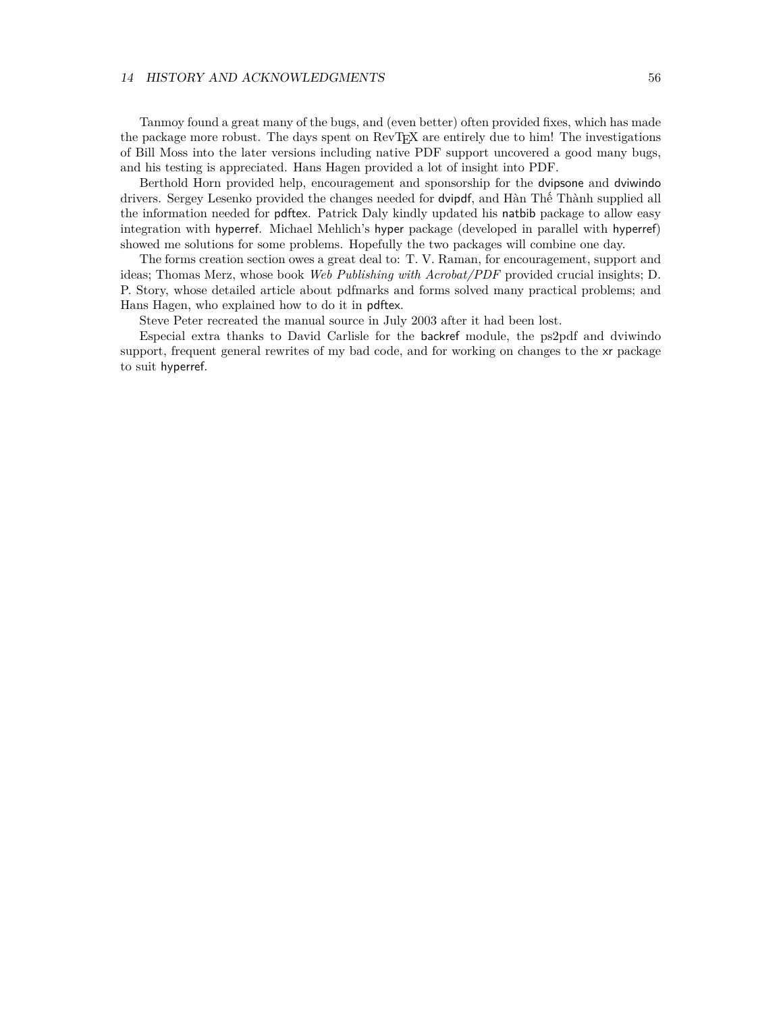### 14 HISTORY AND ACKNOWLEDGMENTS 56

Tanmoy found a great many of the bugs, and (even better) often provided fixes, which has made the package more robust. The days spent on RevTEX are entirely due to him! The investigations of Bill Moss into the later versions including native PDF support uncovered a good many bugs, and his testing is appreciated. Hans Hagen provided a lot of insight into PDF.

Berthold Horn provided help, encouragement and sponsorship for the dvipsone and dviwindo drivers. Sergey Lesenko provided the changes needed for dvipdf, and Hàn Thế Thành supplied all the information needed for pdftex. Patrick Daly kindly updated his natbib package to allow easy integration with hyperref. Michael Mehlich's hyper package (developed in parallel with hyperref) showed me solutions for some problems. Hopefully the two packages will combine one day.

The forms creation section owes a great deal to: T. V. Raman, for encouragement, support and ideas; Thomas Merz, whose book *Web Publishing with Acrobat/PDF* provided crucial insights; D. P. Story, whose detailed article about pdfmarks and forms solved many practical problems; and Hans Hagen, who explained how to do it in pdftex.

Steve Peter recreated the manual source in July 2003 after it had been lost.

Especial extra thanks to David Carlisle for the backref module, the ps2pdf and dviwindo support, frequent general rewrites of my bad code, and for working on changes to the xr package to suit hyperref.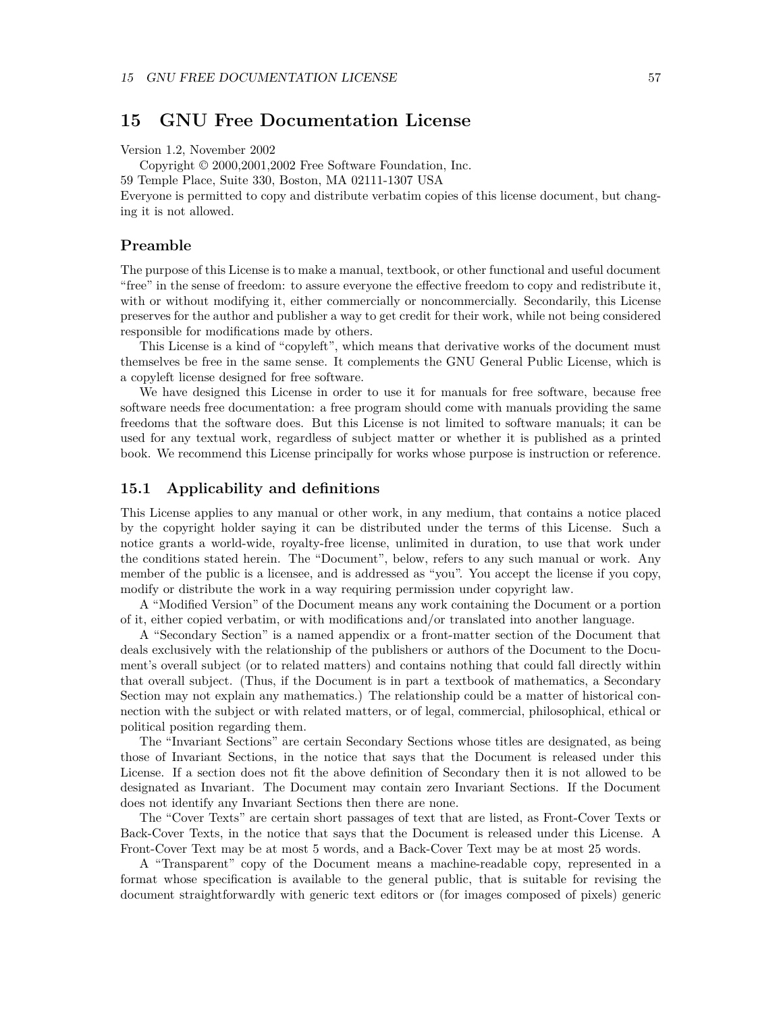# <span id="page-56-0"></span>**15 GNU Free Documentation License**

Version 1.2, November 2002

Copyright © 2000,2001,2002 Free Software Foundation, Inc.

59 Temple Place, Suite 330, Boston, MA 02111-1307 USA

Everyone is permitted to copy and distribute verbatim copies of this license document, but changing it is not allowed.

### **Preamble**

The purpose of this License is to make a manual, textbook, or other functional and useful document "free" in the sense of freedom: to assure everyone the effective freedom to copy and redistribute it, with or without modifying it, either commercially or noncommercially. Secondarily, this License preserves for the author and publisher a way to get credit for their work, while not being considered responsible for modifications made by others.

This License is a kind of "copyleft", which means that derivative works of the document must themselves be free in the same sense. It complements the GNU General Public License, which is a copyleft license designed for free software.

We have designed this License in order to use it for manuals for free software, because free software needs free documentation: a free program should come with manuals providing the same freedoms that the software does. But this License is not limited to software manuals; it can be used for any textual work, regardless of subject matter or whether it is published as a printed book. We recommend this License principally for works whose purpose is instruction or reference.

### <span id="page-56-1"></span>**15.1 Applicability and definitions**

This License applies to any manual or other work, in any medium, that contains a notice placed by the copyright holder saying it can be distributed under the terms of this License. Such a notice grants a world-wide, royalty-free license, unlimited in duration, to use that work under the conditions stated herein. The "Document", below, refers to any such manual or work. Any member of the public is a licensee, and is addressed as "you". You accept the license if you copy, modify or distribute the work in a way requiring permission under copyright law.

A "Modified Version" of the Document means any work containing the Document or a portion of it, either copied verbatim, or with modifications and/or translated into another language.

A "Secondary Section" is a named appendix or a front-matter section of the Document that deals exclusively with the relationship of the publishers or authors of the Document to the Document's overall subject (or to related matters) and contains nothing that could fall directly within that overall subject. (Thus, if the Document is in part a textbook of mathematics, a Secondary Section may not explain any mathematics.) The relationship could be a matter of historical connection with the subject or with related matters, or of legal, commercial, philosophical, ethical or political position regarding them.

The "Invariant Sections" are certain Secondary Sections whose titles are designated, as being those of Invariant Sections, in the notice that says that the Document is released under this License. If a section does not fit the above definition of Secondary then it is not allowed to be designated as Invariant. The Document may contain zero Invariant Sections. If the Document does not identify any Invariant Sections then there are none.

The "Cover Texts" are certain short passages of text that are listed, as Front-Cover Texts or Back-Cover Texts, in the notice that says that the Document is released under this License. A Front-Cover Text may be at most 5 words, and a Back-Cover Text may be at most 25 words.

A "Transparent" copy of the Document means a machine-readable copy, represented in a format whose specification is available to the general public, that is suitable for revising the document straightforwardly with generic text editors or (for images composed of pixels) generic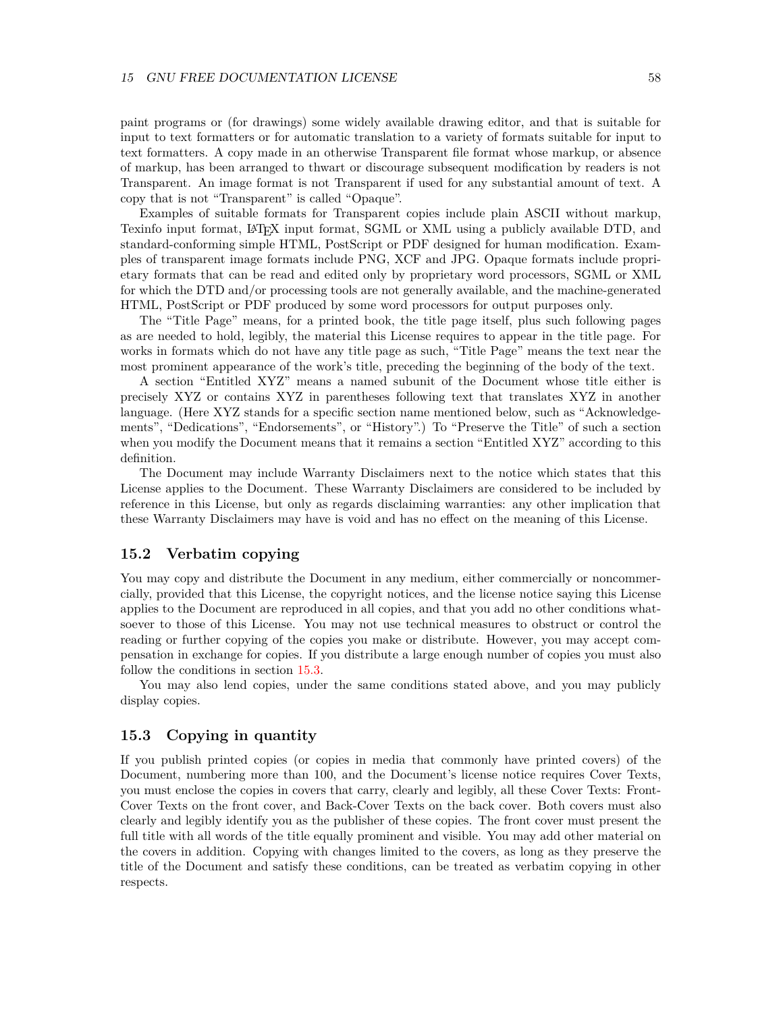paint programs or (for drawings) some widely available drawing editor, and that is suitable for input to text formatters or for automatic translation to a variety of formats suitable for input to text formatters. A copy made in an otherwise Transparent file format whose markup, or absence of markup, has been arranged to thwart or discourage subsequent modification by readers is not Transparent. An image format is not Transparent if used for any substantial amount of text. A copy that is not "Transparent" is called "Opaque".

Examples of suitable formats for Transparent copies include plain ASCII without markup, Texinfo input format, LATEX input format, SGML or XML using a publicly available DTD, and standard-conforming simple HTML, PostScript or PDF designed for human modification. Examples of transparent image formats include PNG, XCF and JPG. Opaque formats include proprietary formats that can be read and edited only by proprietary word processors, SGML or XML for which the DTD and/or processing tools are not generally available, and the machine-generated HTML, PostScript or PDF produced by some word processors for output purposes only.

The "Title Page" means, for a printed book, the title page itself, plus such following pages as are needed to hold, legibly, the material this License requires to appear in the title page. For works in formats which do not have any title page as such, "Title Page" means the text near the most prominent appearance of the work's title, preceding the beginning of the body of the text.

A section "Entitled XYZ" means a named subunit of the Document whose title either is precisely XYZ or contains XYZ in parentheses following text that translates XYZ in another language. (Here XYZ stands for a specific section name mentioned below, such as "Acknowledgements", "Dedications", "Endorsements", or "History".) To "Preserve the Title" of such a section when you modify the Document means that it remains a section "Entitled XYZ" according to this definition.

The Document may include Warranty Disclaimers next to the notice which states that this License applies to the Document. These Warranty Disclaimers are considered to be included by reference in this License, but only as regards disclaiming warranties: any other implication that these Warranty Disclaimers may have is void and has no effect on the meaning of this License.

### <span id="page-57-1"></span>**15.2 Verbatim copying**

You may copy and distribute the Document in any medium, either commercially or noncommercially, provided that this License, the copyright notices, and the license notice saying this License applies to the Document are reproduced in all copies, and that you add no other conditions whatsoever to those of this License. You may not use technical measures to obstruct or control the reading or further copying of the copies you make or distribute. However, you may accept compensation in exchange for copies. If you distribute a large enough number of copies you must also follow the conditions in section [15.3.](#page-57-0)

You may also lend copies, under the same conditions stated above, and you may publicly display copies.

# <span id="page-57-0"></span>**15.3 Copying in quantity**

If you publish printed copies (or copies in media that commonly have printed covers) of the Document, numbering more than 100, and the Document's license notice requires Cover Texts, you must enclose the copies in covers that carry, clearly and legibly, all these Cover Texts: Front-Cover Texts on the front cover, and Back-Cover Texts on the back cover. Both covers must also clearly and legibly identify you as the publisher of these copies. The front cover must present the full title with all words of the title equally prominent and visible. You may add other material on the covers in addition. Copying with changes limited to the covers, as long as they preserve the title of the Document and satisfy these conditions, can be treated as verbatim copying in other respects.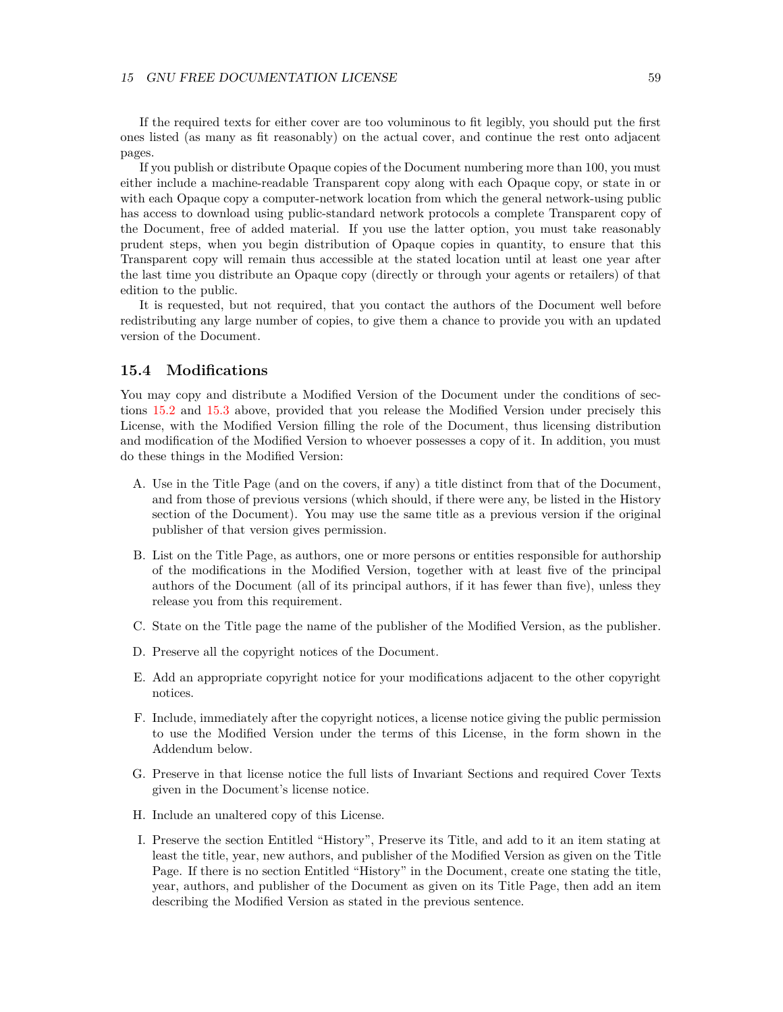If the required texts for either cover are too voluminous to fit legibly, you should put the first ones listed (as many as fit reasonably) on the actual cover, and continue the rest onto adjacent pages.

If you publish or distribute Opaque copies of the Document numbering more than 100, you must either include a machine-readable Transparent copy along with each Opaque copy, or state in or with each Opaque copy a computer-network location from which the general network-using public has access to download using public-standard network protocols a complete Transparent copy of the Document, free of added material. If you use the latter option, you must take reasonably prudent steps, when you begin distribution of Opaque copies in quantity, to ensure that this Transparent copy will remain thus accessible at the stated location until at least one year after the last time you distribute an Opaque copy (directly or through your agents or retailers) of that edition to the public.

It is requested, but not required, that you contact the authors of the Document well before redistributing any large number of copies, to give them a chance to provide you with an updated version of the Document.

# <span id="page-58-0"></span>**15.4 Modifications**

You may copy and distribute a Modified Version of the Document under the conditions of sections [15.2](#page-57-1) and [15.3](#page-57-0) above, provided that you release the Modified Version under precisely this License, with the Modified Version filling the role of the Document, thus licensing distribution and modification of the Modified Version to whoever possesses a copy of it. In addition, you must do these things in the Modified Version:

- A. Use in the Title Page (and on the covers, if any) a title distinct from that of the Document, and from those of previous versions (which should, if there were any, be listed in the History section of the Document). You may use the same title as a previous version if the original publisher of that version gives permission.
- B. List on the Title Page, as authors, one or more persons or entities responsible for authorship of the modifications in the Modified Version, together with at least five of the principal authors of the Document (all of its principal authors, if it has fewer than five), unless they release you from this requirement.
- C. State on the Title page the name of the publisher of the Modified Version, as the publisher.
- D. Preserve all the copyright notices of the Document.
- E. Add an appropriate copyright notice for your modifications adjacent to the other copyright notices.
- F. Include, immediately after the copyright notices, a license notice giving the public permission to use the Modified Version under the terms of this License, in the form shown in the Addendum below.
- G. Preserve in that license notice the full lists of Invariant Sections and required Cover Texts given in the Document's license notice.
- H. Include an unaltered copy of this License.
- I. Preserve the section Entitled "History", Preserve its Title, and add to it an item stating at least the title, year, new authors, and publisher of the Modified Version as given on the Title Page. If there is no section Entitled "History" in the Document, create one stating the title, year, authors, and publisher of the Document as given on its Title Page, then add an item describing the Modified Version as stated in the previous sentence.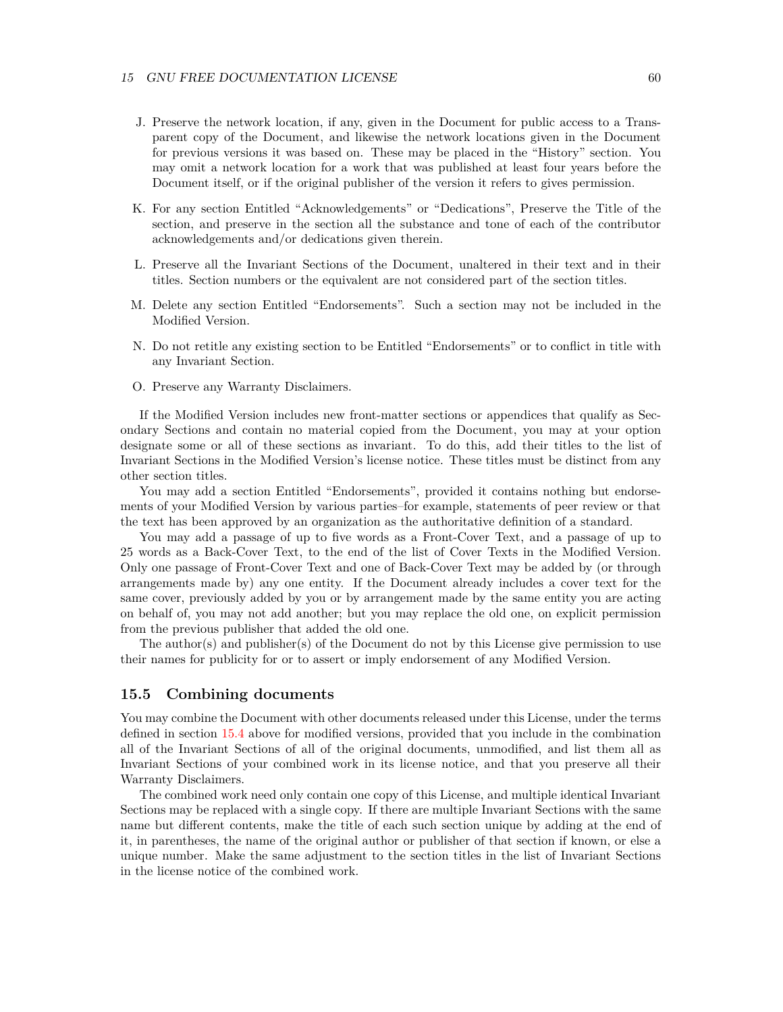- J. Preserve the network location, if any, given in the Document for public access to a Transparent copy of the Document, and likewise the network locations given in the Document for previous versions it was based on. These may be placed in the "History" section. You may omit a network location for a work that was published at least four years before the Document itself, or if the original publisher of the version it refers to gives permission.
- K. For any section Entitled "Acknowledgements" or "Dedications", Preserve the Title of the section, and preserve in the section all the substance and tone of each of the contributor acknowledgements and/or dedications given therein.
- L. Preserve all the Invariant Sections of the Document, unaltered in their text and in their titles. Section numbers or the equivalent are not considered part of the section titles.
- M. Delete any section Entitled "Endorsements". Such a section may not be included in the Modified Version.
- N. Do not retitle any existing section to be Entitled "Endorsements" or to conflict in title with any Invariant Section.
- O. Preserve any Warranty Disclaimers.

If the Modified Version includes new front-matter sections or appendices that qualify as Secondary Sections and contain no material copied from the Document, you may at your option designate some or all of these sections as invariant. To do this, add their titles to the list of Invariant Sections in the Modified Version's license notice. These titles must be distinct from any other section titles.

You may add a section Entitled "Endorsements", provided it contains nothing but endorsements of your Modified Version by various parties–for example, statements of peer review or that the text has been approved by an organization as the authoritative definition of a standard.

You may add a passage of up to five words as a Front-Cover Text, and a passage of up to 25 words as a Back-Cover Text, to the end of the list of Cover Texts in the Modified Version. Only one passage of Front-Cover Text and one of Back-Cover Text may be added by (or through arrangements made by) any one entity. If the Document already includes a cover text for the same cover, previously added by you or by arrangement made by the same entity you are acting on behalf of, you may not add another; but you may replace the old one, on explicit permission from the previous publisher that added the old one.

The author(s) and publisher(s) of the Document do not by this License give permission to use their names for publicity for or to assert or imply endorsement of any Modified Version.

### **15.5 Combining documents**

You may combine the Document with other documents released under this License, under the terms defined in section [15.4](#page-58-0) above for modified versions, provided that you include in the combination all of the Invariant Sections of all of the original documents, unmodified, and list them all as Invariant Sections of your combined work in its license notice, and that you preserve all their Warranty Disclaimers.

The combined work need only contain one copy of this License, and multiple identical Invariant Sections may be replaced with a single copy. If there are multiple Invariant Sections with the same name but different contents, make the title of each such section unique by adding at the end of it, in parentheses, the name of the original author or publisher of that section if known, or else a unique number. Make the same adjustment to the section titles in the list of Invariant Sections in the license notice of the combined work.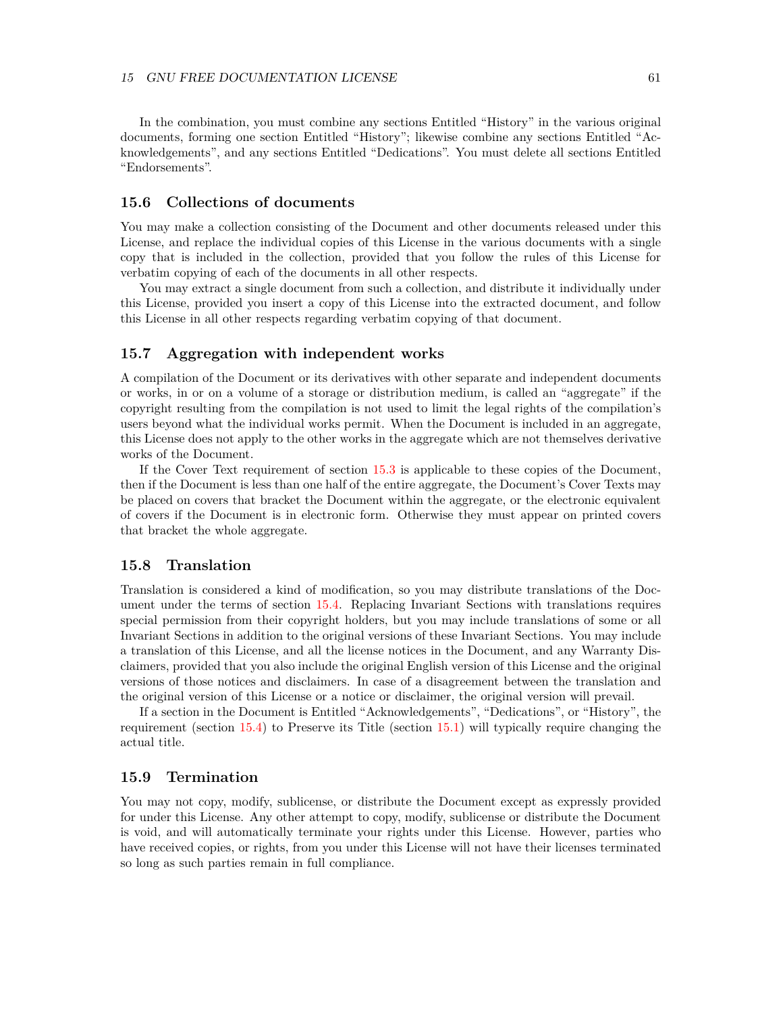In the combination, you must combine any sections Entitled "History" in the various original documents, forming one section Entitled "History"; likewise combine any sections Entitled "Acknowledgements", and any sections Entitled "Dedications". You must delete all sections Entitled "Endorsements".

# **15.6 Collections of documents**

You may make a collection consisting of the Document and other documents released under this License, and replace the individual copies of this License in the various documents with a single copy that is included in the collection, provided that you follow the rules of this License for verbatim copying of each of the documents in all other respects.

You may extract a single document from such a collection, and distribute it individually under this License, provided you insert a copy of this License into the extracted document, and follow this License in all other respects regarding verbatim copying of that document.

### **15.7 Aggregation with independent works**

A compilation of the Document or its derivatives with other separate and independent documents or works, in or on a volume of a storage or distribution medium, is called an "aggregate" if the copyright resulting from the compilation is not used to limit the legal rights of the compilation's users beyond what the individual works permit. When the Document is included in an aggregate, this License does not apply to the other works in the aggregate which are not themselves derivative works of the Document.

If the Cover Text requirement of section [15.3](#page-57-0) is applicable to these copies of the Document, then if the Document is less than one half of the entire aggregate, the Document's Cover Texts may be placed on covers that bracket the Document within the aggregate, or the electronic equivalent of covers if the Document is in electronic form. Otherwise they must appear on printed covers that bracket the whole aggregate.

### **15.8 Translation**

Translation is considered a kind of modification, so you may distribute translations of the Document under the terms of section [15.4.](#page-58-0) Replacing Invariant Sections with translations requires special permission from their copyright holders, but you may include translations of some or all Invariant Sections in addition to the original versions of these Invariant Sections. You may include a translation of this License, and all the license notices in the Document, and any Warranty Disclaimers, provided that you also include the original English version of this License and the original versions of those notices and disclaimers. In case of a disagreement between the translation and the original version of this License or a notice or disclaimer, the original version will prevail.

If a section in the Document is Entitled "Acknowledgements", "Dedications", or "History", the requirement (section [15.4\)](#page-58-0) to Preserve its Title (section [15.1\)](#page-56-1) will typically require changing the actual title.

### **15.9 Termination**

You may not copy, modify, sublicense, or distribute the Document except as expressly provided for under this License. Any other attempt to copy, modify, sublicense or distribute the Document is void, and will automatically terminate your rights under this License. However, parties who have received copies, or rights, from you under this License will not have their licenses terminated so long as such parties remain in full compliance.